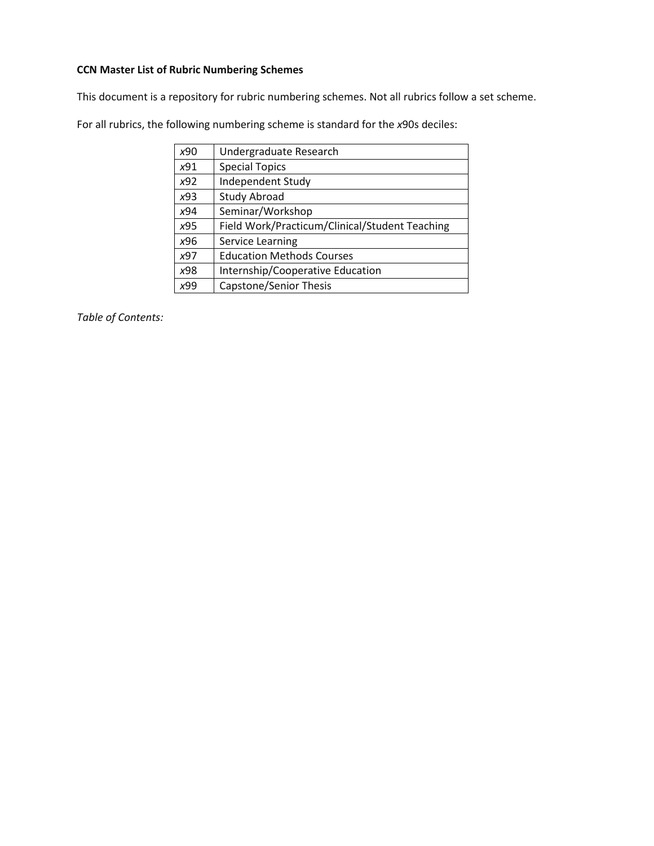### <span id="page-0-0"></span>**CCN Master List of Rubric Numbering Schemes**

This document is a repository for rubric numbering schemes. Not all rubrics follow a set scheme.

For all rubrics, the following numbering scheme is standard for the *x*90s deciles:

| x90             | Undergraduate Research                         |
|-----------------|------------------------------------------------|
| x91             | <b>Special Topics</b>                          |
| x92             | Independent Study                              |
| x93             | <b>Study Abroad</b>                            |
| x94             | Seminar/Workshop                               |
| x95             | Field Work/Practicum/Clinical/Student Teaching |
| x96             | <b>Service Learning</b>                        |
| x97             | <b>Education Methods Courses</b>               |
| x98             | Internship/Cooperative Education               |
| <sub>x</sub> qq | Capstone/Senior Thesis                         |

*Table of Contents:*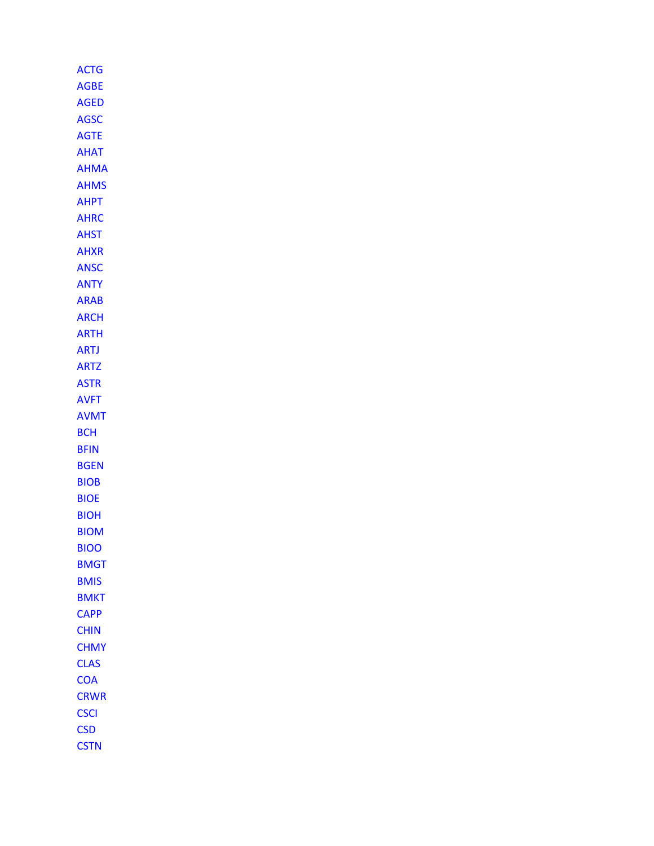| ACTG        |
|-------------|
| AGBE        |
| AGED        |
| AGSC        |
| AGTE        |
| AHAT        |
| AHMA        |
| <b>AHMS</b> |
| АНРТ        |
| AHRC        |
| AHST        |
| AHXR        |
| <b>ANSC</b> |
| ANTY        |
| ARAB        |
| ARCH        |
| <b>ARTH</b> |
| <b>ARTJ</b> |
| <b>ARTZ</b> |
| <b>ASTR</b> |
| <b>AVFT</b> |
| <b>AVMT</b> |
| всн         |
| BFIN        |
| BGEN        |
| BIOB        |
|             |
| <b>BIOE</b> |
| <b>BIOH</b> |
| BIOM        |
| <b>BIOO</b> |
| <b>BMGT</b> |
| <b>BMIS</b> |
| <b>BMKT</b> |
| <b>CAPP</b> |
| <b>CHIN</b> |
| <b>CHMY</b> |
| <b>CLAS</b> |
| <b>COA</b>  |
| <b>CRWR</b> |
| <b>CSCI</b> |
| <b>CSD</b>  |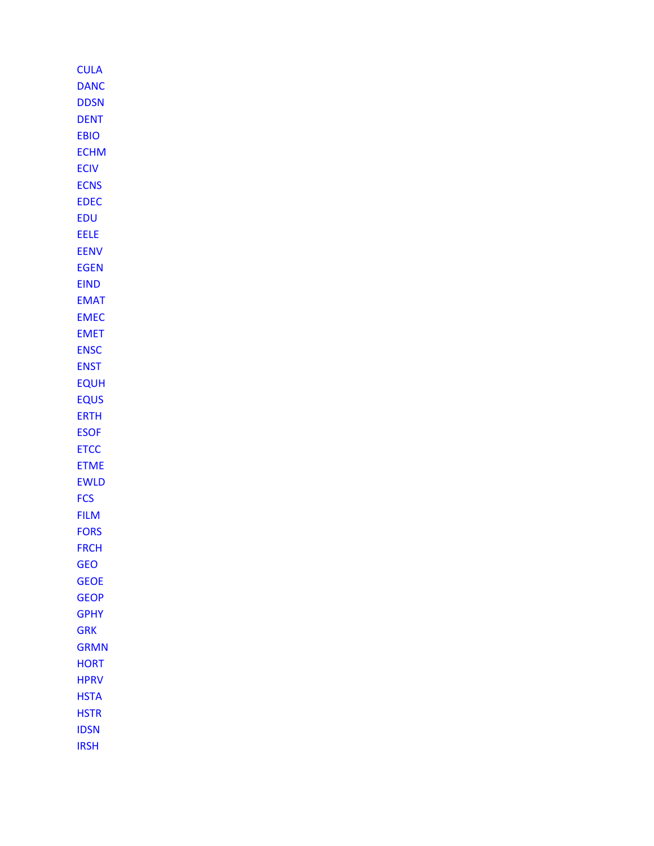| <b>CULA</b> |  |
|-------------|--|
| <b>DANC</b> |  |
| <b>DDSN</b> |  |
| <b>DENT</b> |  |
| <b>EBIO</b> |  |
| <b>ECHM</b> |  |
| <b>ECIV</b> |  |
| <b>ECNS</b> |  |
| EDEC        |  |
| EDU         |  |
| EELE        |  |
| <b>EENV</b> |  |
| <b>EGEN</b> |  |
| EIND        |  |
| <b>EMAT</b> |  |
| EMEC        |  |
| <b>EMET</b> |  |
| <b>ENSC</b> |  |
| <b>ENST</b> |  |
| <b>EQUH</b> |  |
| EQUS        |  |
| ERTH        |  |
| <b>ESOF</b> |  |
| <b>ETCC</b> |  |
| ETME        |  |
| <b>EWLD</b> |  |
| <b>FCS</b>  |  |
| <b>FILM</b> |  |
| <b>FORS</b> |  |
| <b>FRCH</b> |  |
| <b>GEO</b>  |  |
| <b>GEOE</b> |  |
| GEOP        |  |
| <b>GPHY</b> |  |
| <b>GRK</b>  |  |
| <b>GRMN</b> |  |
| HORT        |  |
| <b>HPRV</b> |  |
| <b>HSTA</b> |  |
| <b>HSTR</b> |  |
| <b>IDSN</b> |  |
| <b>IRSH</b> |  |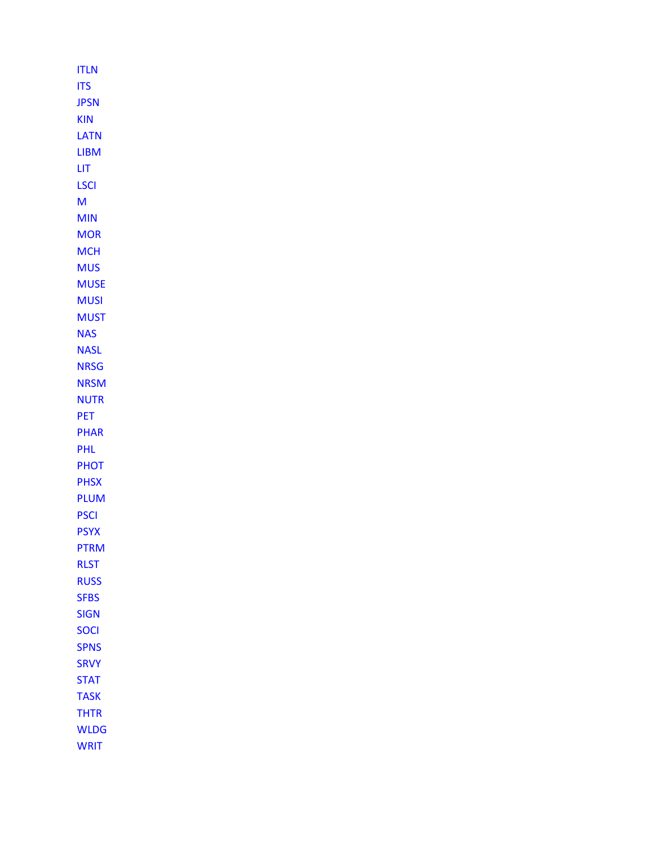| <b>ITLN</b> |
|-------------|
| <b>ITS</b>  |
| <b>JPSN</b> |
| <b>KIN</b>  |
| LATN        |
| <b>LIBM</b> |
| ЦT          |
| LSCI        |
| м           |
| MIN         |
| <b>MOR</b>  |
| <b>MCH</b>  |
| <b>MUS</b>  |
| <b>MUSE</b> |
| <b>MUSI</b> |
| <b>MUST</b> |
| <b>NAS</b>  |
| <b>NASL</b> |
| <b>NRSG</b> |
| <b>NRSM</b> |
| <b>NUTR</b> |
| PET         |
| <b>PHAR</b> |
| PHL         |
| <b>PHOT</b> |
| <b>PHSX</b> |
| <b>PLUM</b> |
| <b>PSCI</b> |
| <b>PSYX</b> |
| PTRM        |
| RLST        |
| <b>RUSS</b> |
| <b>SFBS</b> |
| <b>SIGN</b> |
| <b>SOCI</b> |
| <b>SPNS</b> |
| <b>SRVY</b> |
| <b>STAT</b> |
| <b>TASK</b> |
| <b>THTR</b> |
| <b>WLDG</b> |
| <b>WRIT</b> |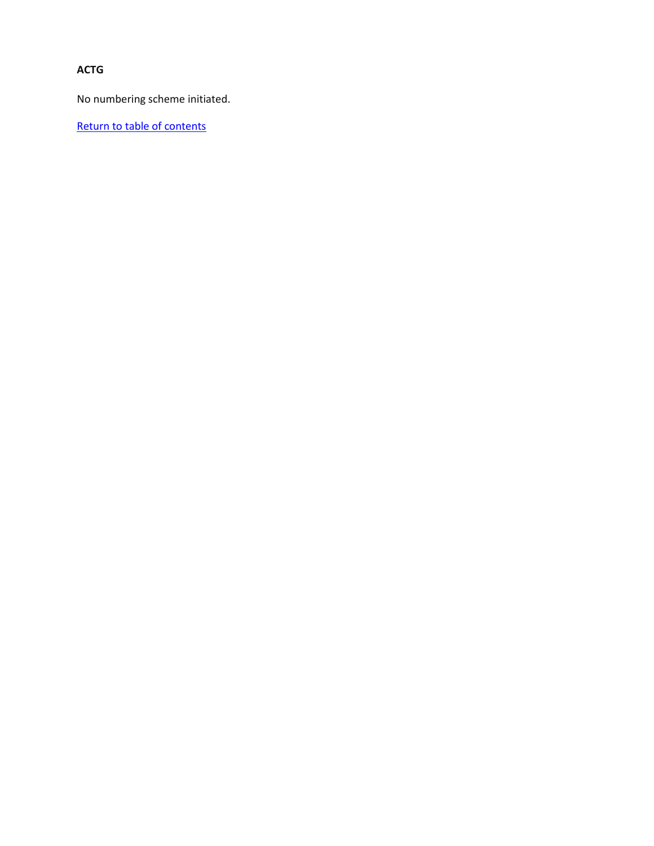<span id="page-5-0"></span>**ACTG**

No numbering scheme initiated.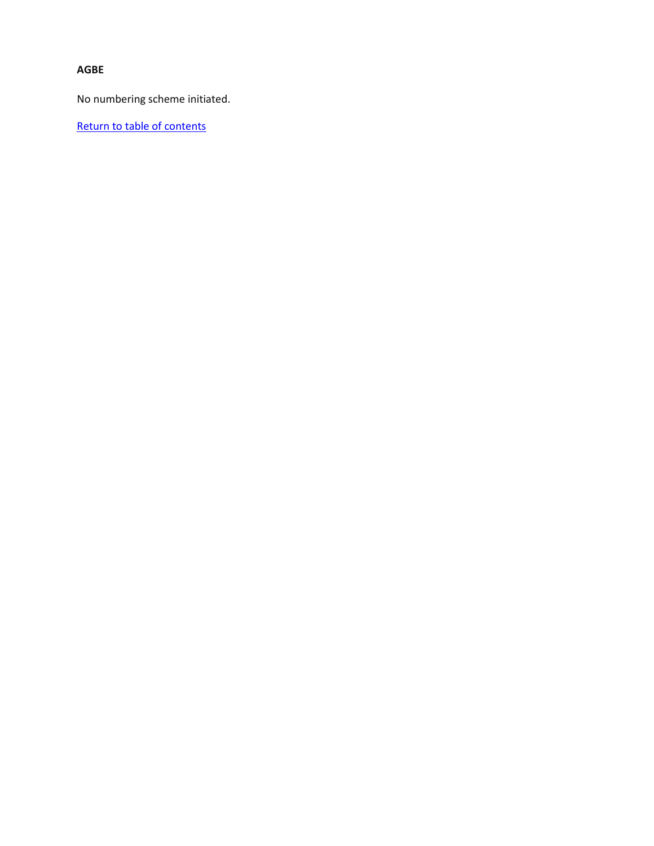#### <span id="page-6-0"></span>**AGBE**

No numbering scheme initiated.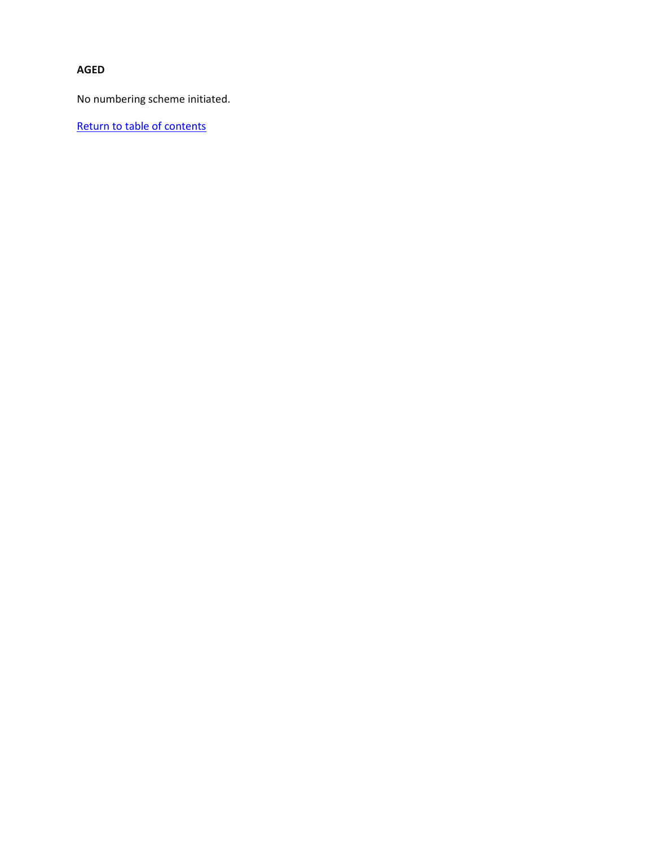### <span id="page-7-0"></span>**AGED**

No numbering scheme initiated.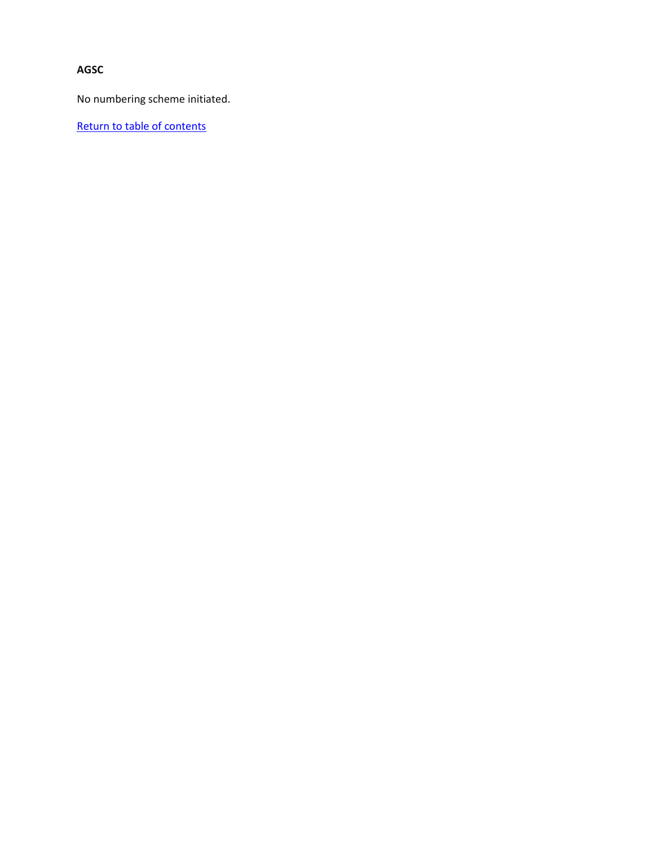<span id="page-8-0"></span>**AGSC**

No numbering scheme initiated.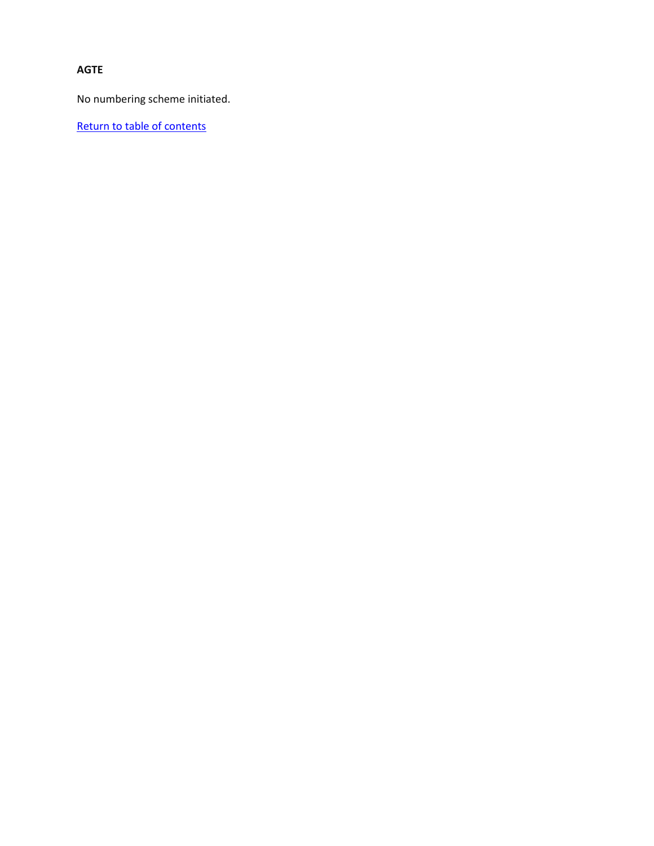### <span id="page-9-0"></span>**AGTE**

No numbering scheme initiated.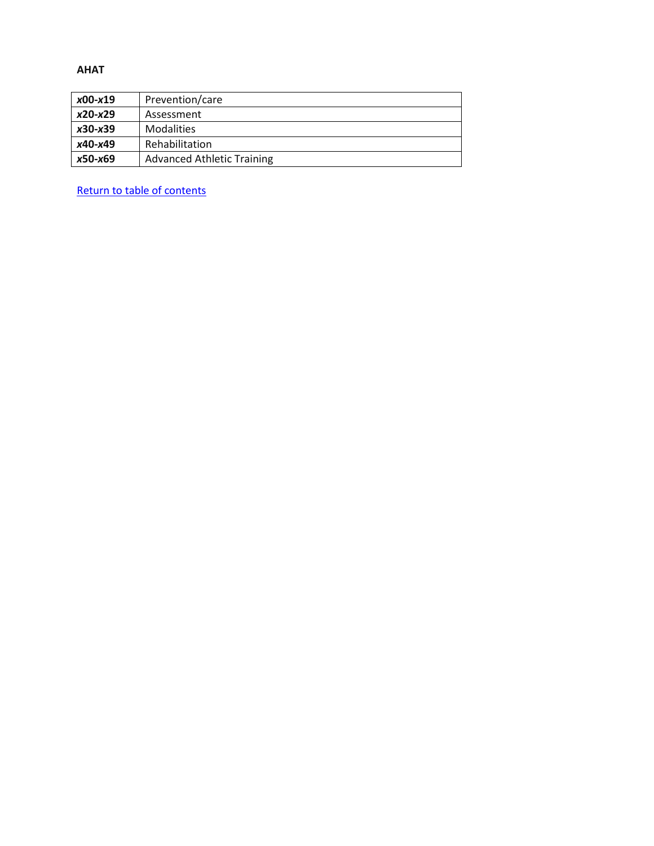#### <span id="page-10-0"></span>**AHAT**

| x00-x19   | Prevention/care                   |
|-----------|-----------------------------------|
| $x20-x29$ | Assessment                        |
| $x30-x39$ | <b>Modalities</b>                 |
| x40-x49   | Rehabilitation                    |
| x50-x69   | <b>Advanced Athletic Training</b> |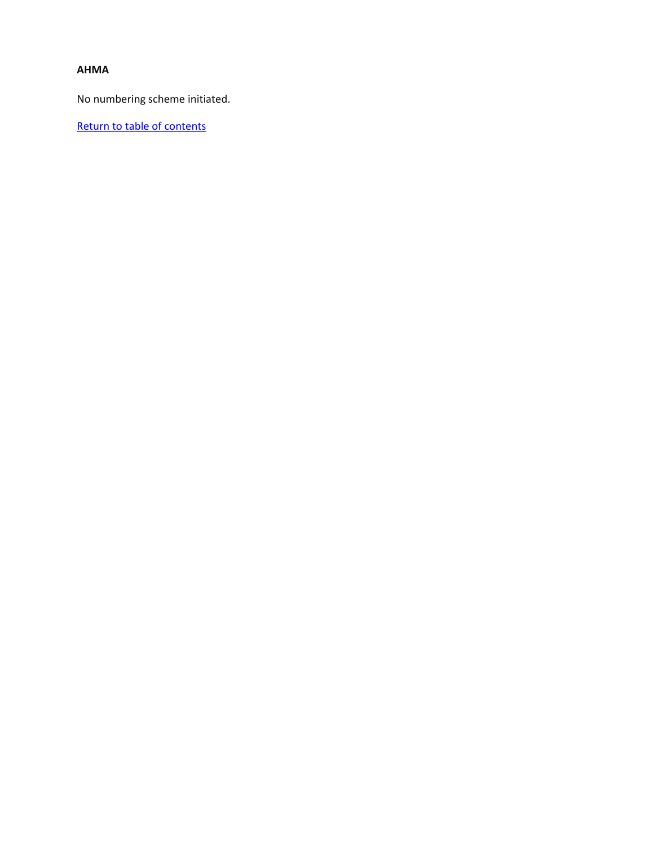### <span id="page-11-0"></span>**AHMA**

No numbering scheme initiated.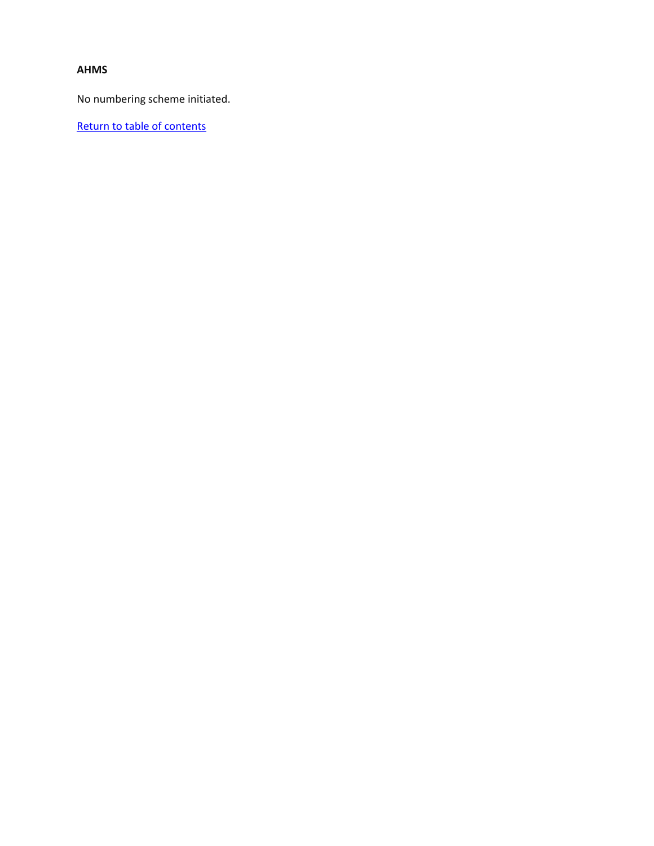#### <span id="page-12-0"></span>**AHMS**

No numbering scheme initiated.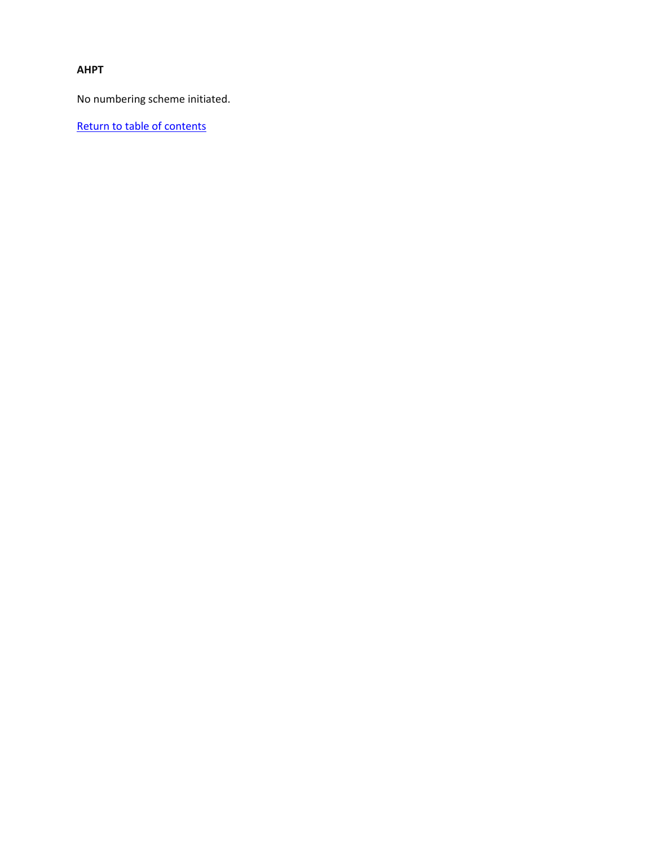### <span id="page-13-0"></span>**AHPT**

No numbering scheme initiated.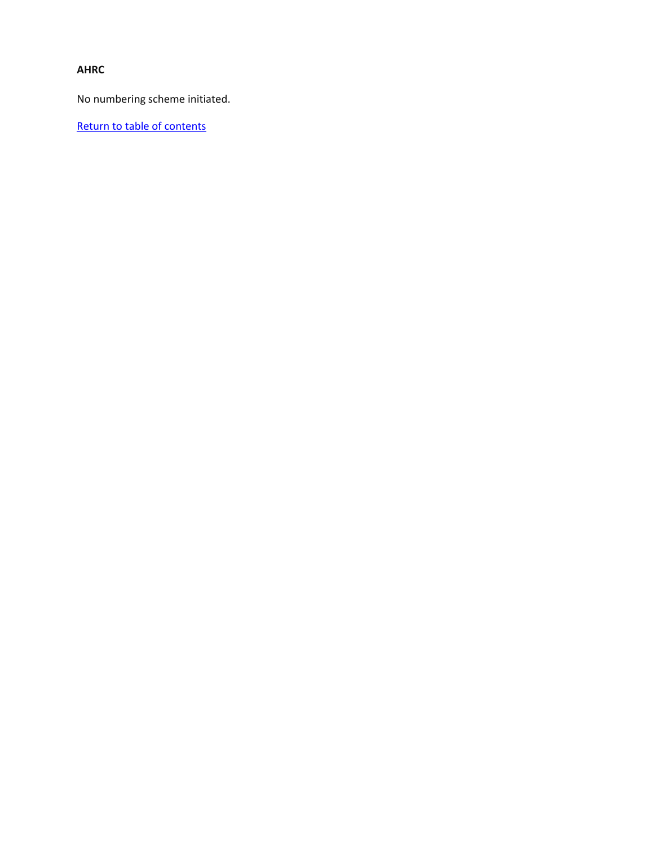### <span id="page-14-0"></span>**AHRC**

No numbering scheme initiated.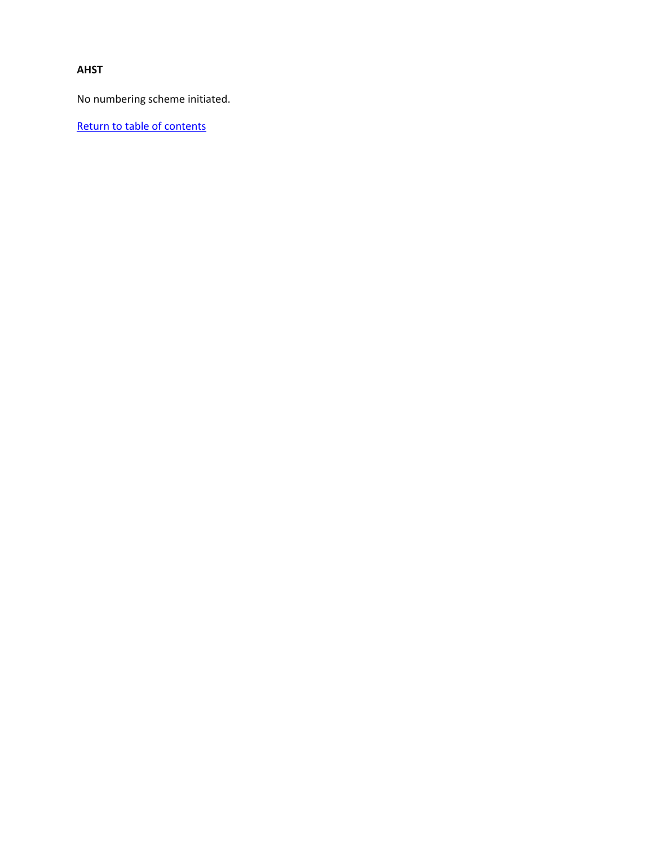### <span id="page-15-0"></span>**AHST**

No numbering scheme initiated.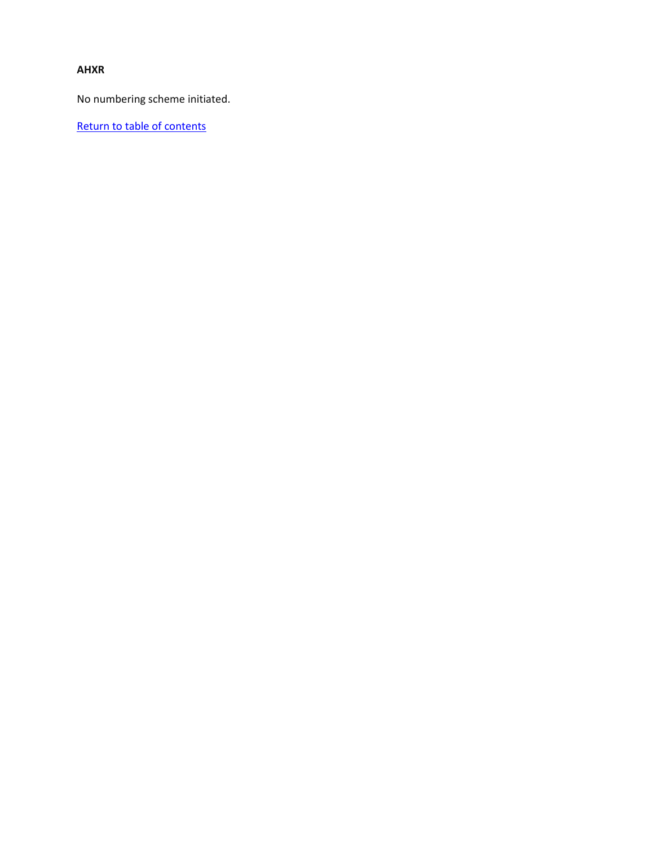### <span id="page-16-0"></span>**AHXR**

No numbering scheme initiated.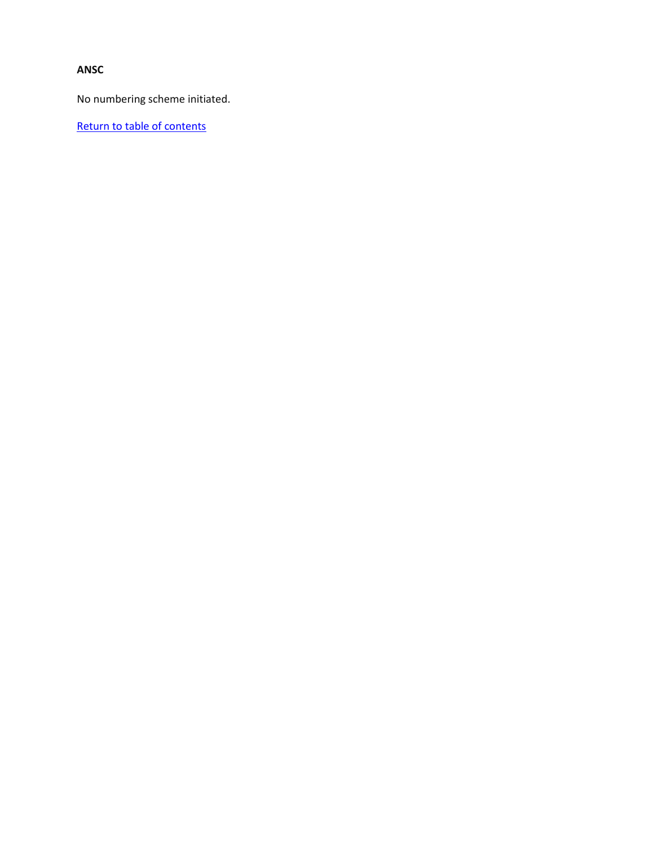### <span id="page-17-0"></span>**ANSC**

No numbering scheme initiated.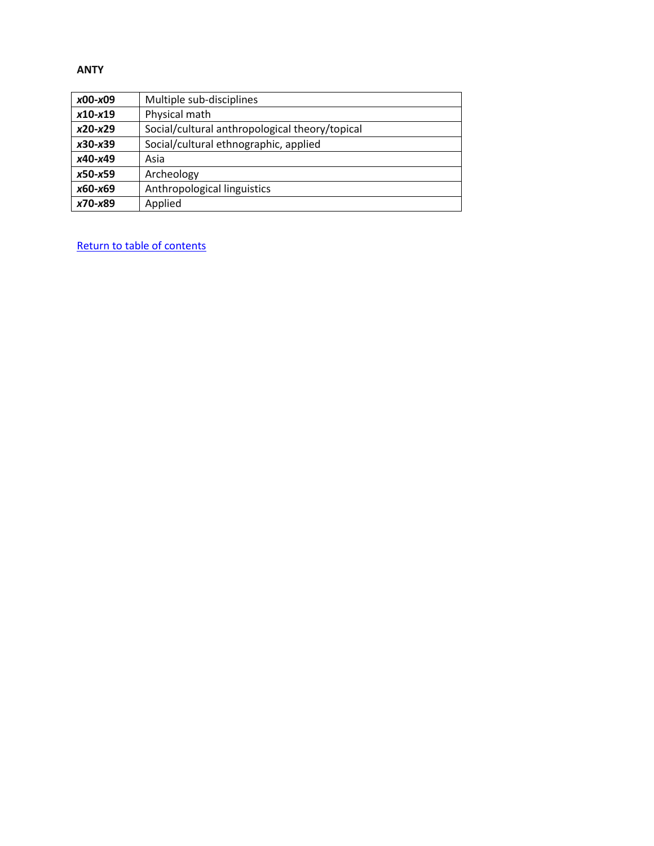#### <span id="page-18-0"></span>**ANTY**

| $x00-x09$   | Multiple sub-disciplines                       |
|-------------|------------------------------------------------|
| $x10-x19$   | Physical math                                  |
| $x20-x29$   | Social/cultural anthropological theory/topical |
| $x30-x39$   | Social/cultural ethnographic, applied          |
| x40-x49     | Asia                                           |
| $x50 - x59$ | Archeology                                     |
| x60-x69     | Anthropological linguistics                    |
| x70-x89     | Applied                                        |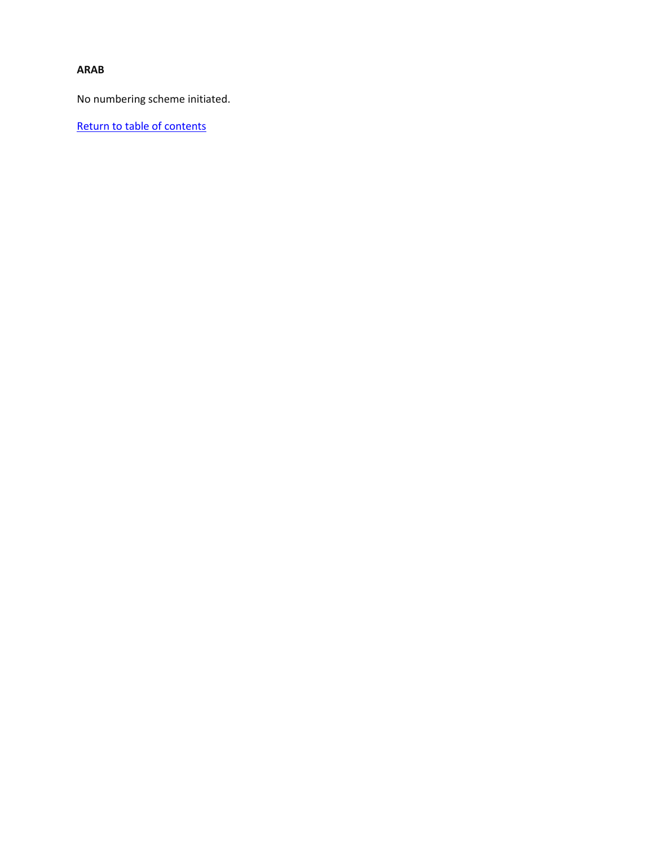### <span id="page-19-0"></span>**ARAB**

No numbering scheme initiated.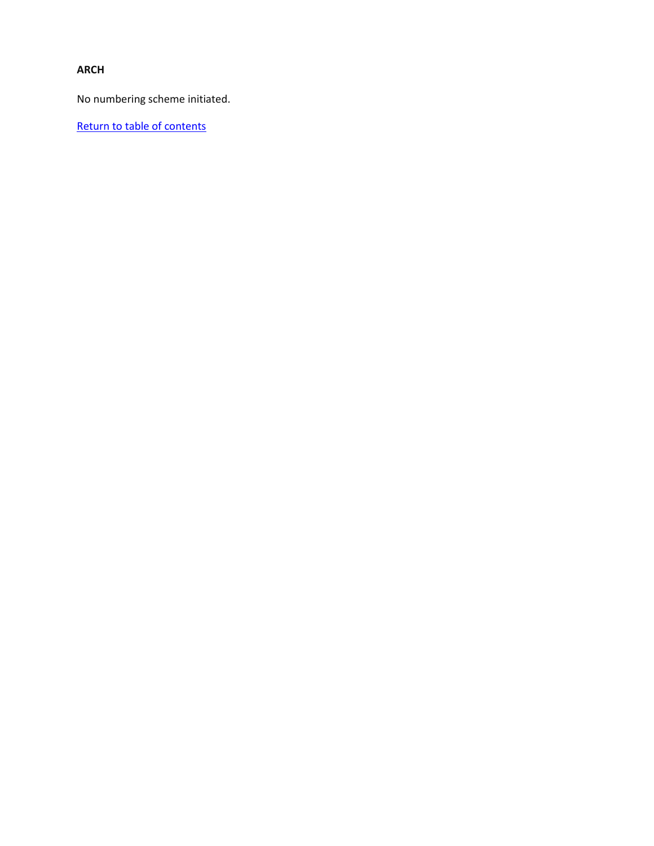## <span id="page-20-0"></span>**ARCH**

No numbering scheme initiated.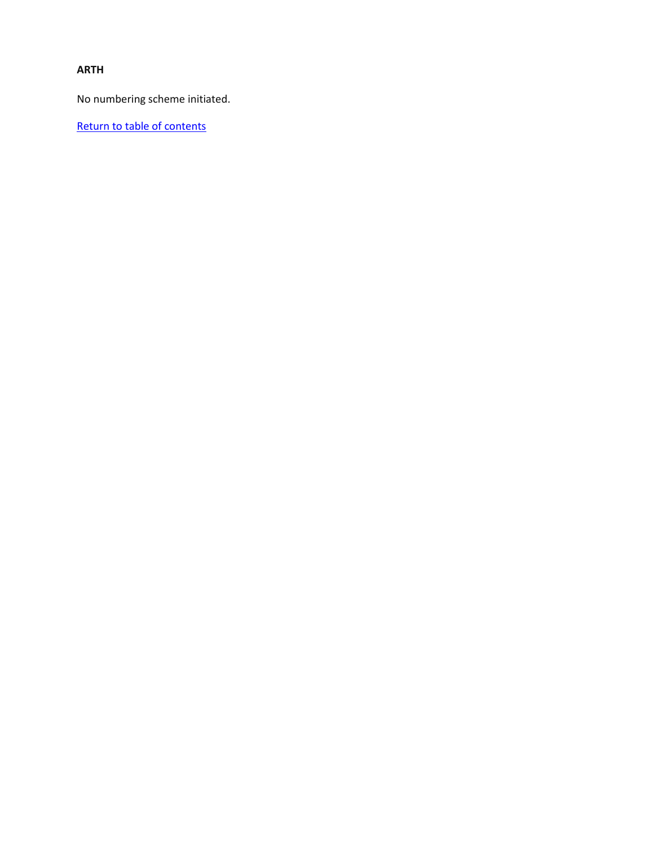### <span id="page-21-0"></span>**ARTH**

No numbering scheme initiated.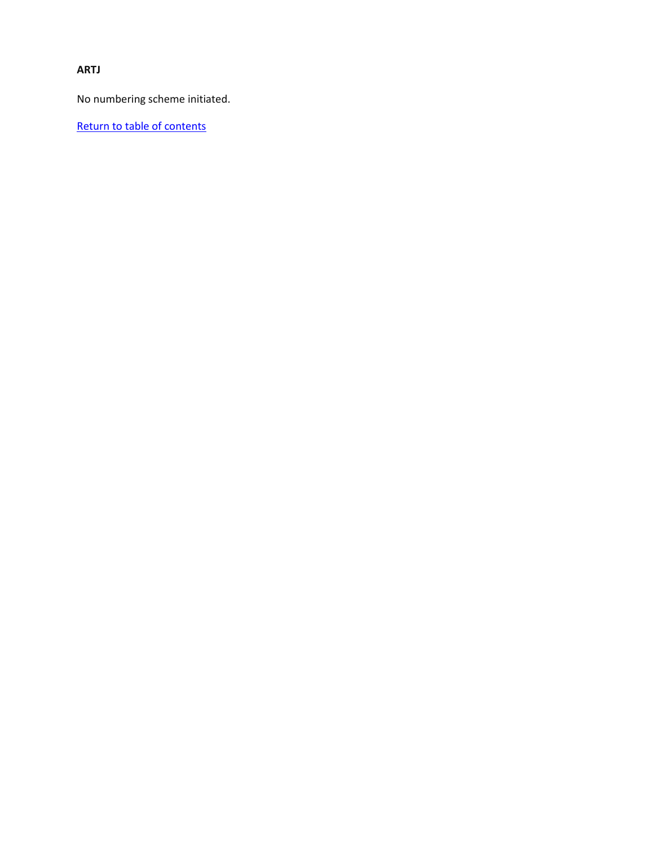<span id="page-22-0"></span>**ARTJ**

No numbering scheme initiated.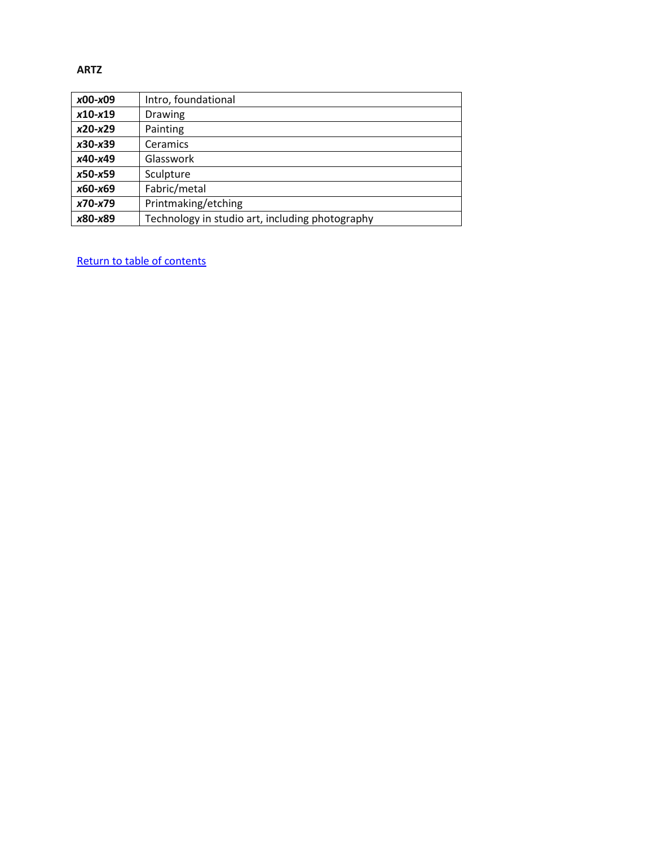#### <span id="page-23-0"></span>**ARTZ**

| x00-x09   | Intro, foundational                             |
|-----------|-------------------------------------------------|
| $x10-x19$ | Drawing                                         |
| $x20-x29$ | Painting                                        |
| x30-x39   | Ceramics                                        |
| x40-x49   | Glasswork                                       |
| $x50-x59$ | Sculpture                                       |
| x60-x69   | Fabric/metal                                    |
| x70-x79   | Printmaking/etching                             |
| x80-x89   | Technology in studio art, including photography |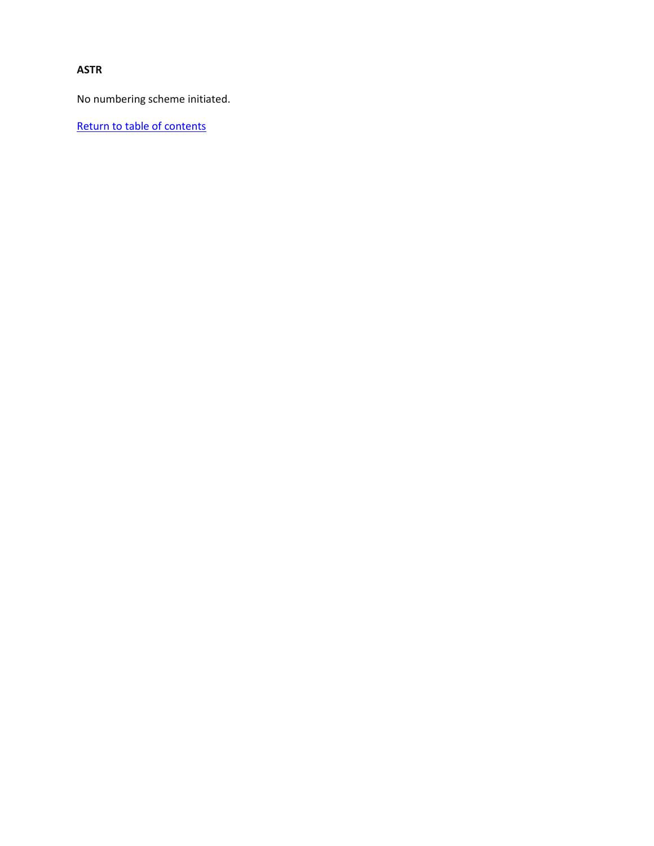## <span id="page-24-0"></span>**ASTR**

No numbering scheme initiated.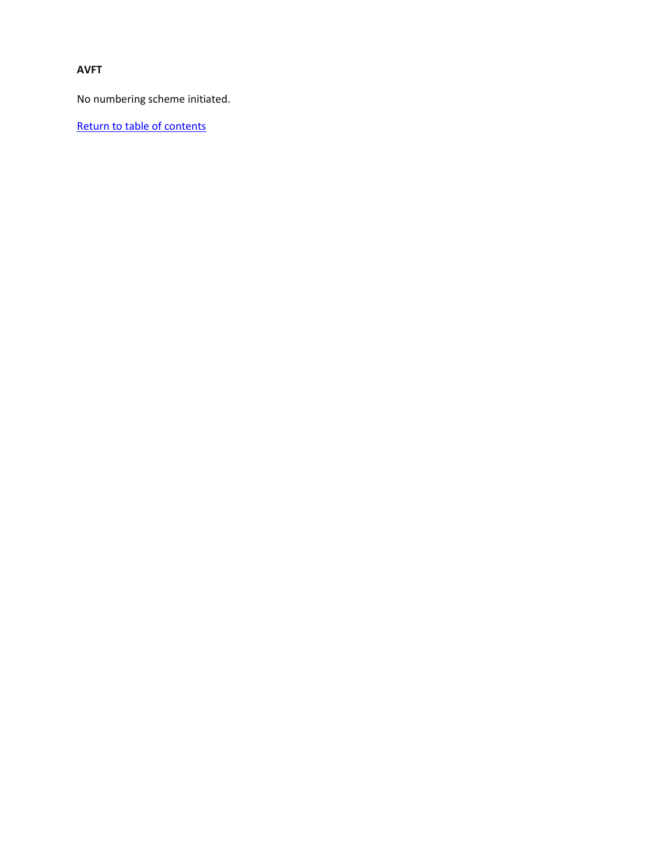## <span id="page-25-0"></span>**AVFT**

No numbering scheme initiated.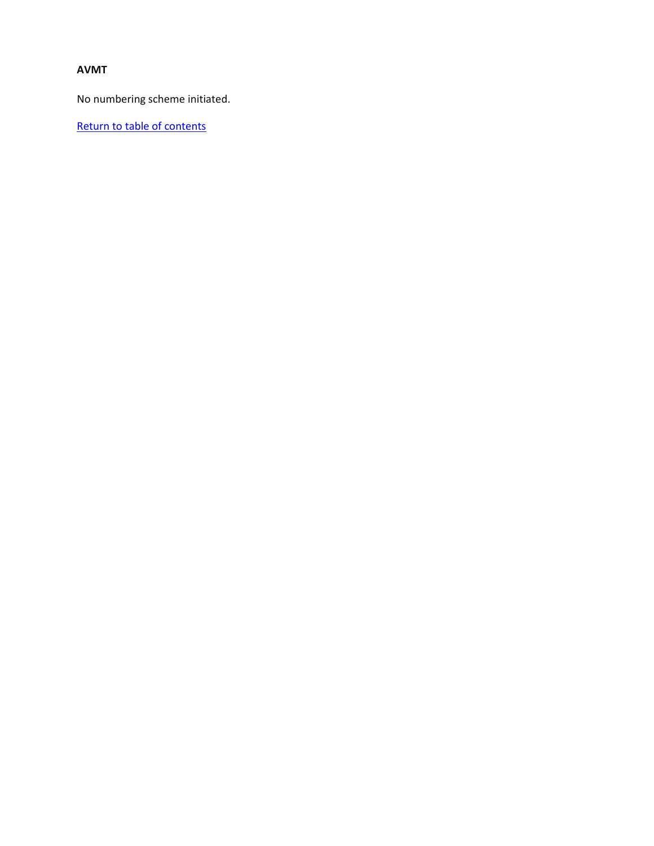## <span id="page-26-0"></span>**AVMT**

No numbering scheme initiated.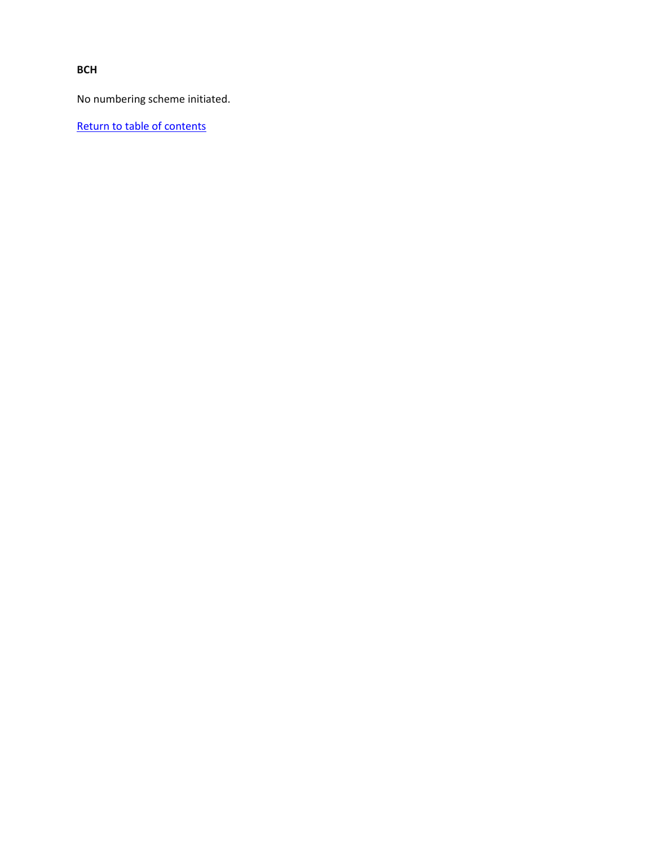<span id="page-27-0"></span>**BCH**

No numbering scheme initiated.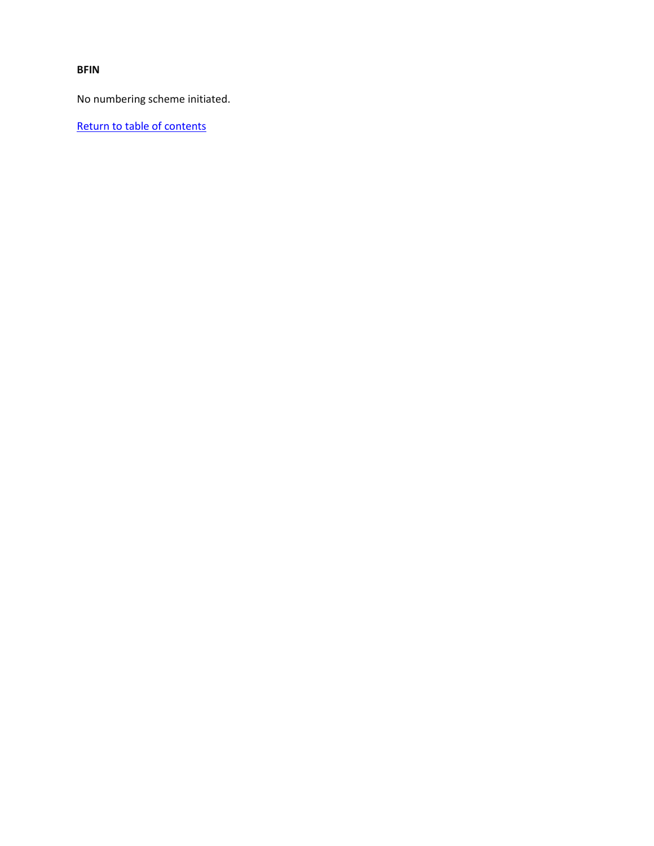<span id="page-28-0"></span>**BFIN**

No numbering scheme initiated.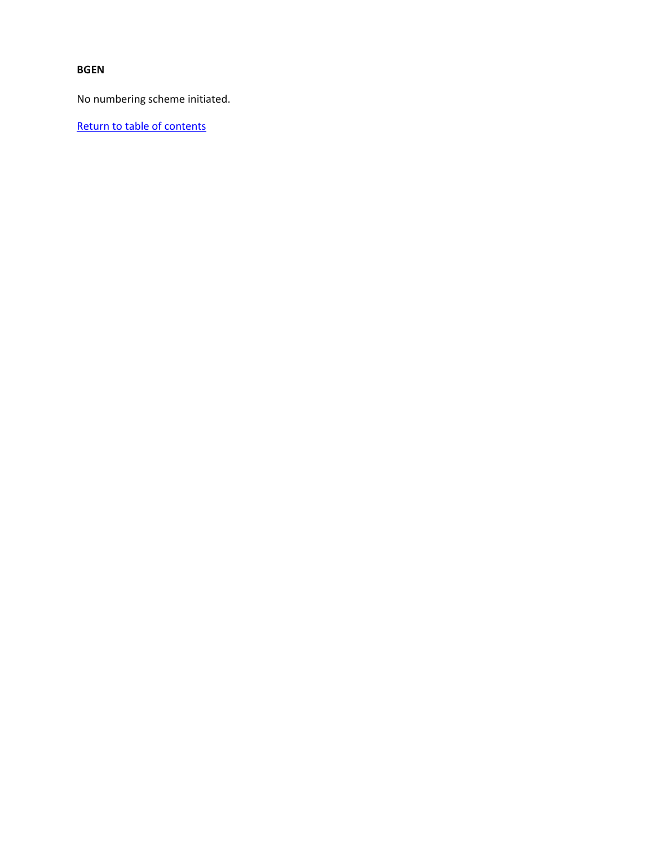#### <span id="page-29-0"></span>**BGEN**

No numbering scheme initiated.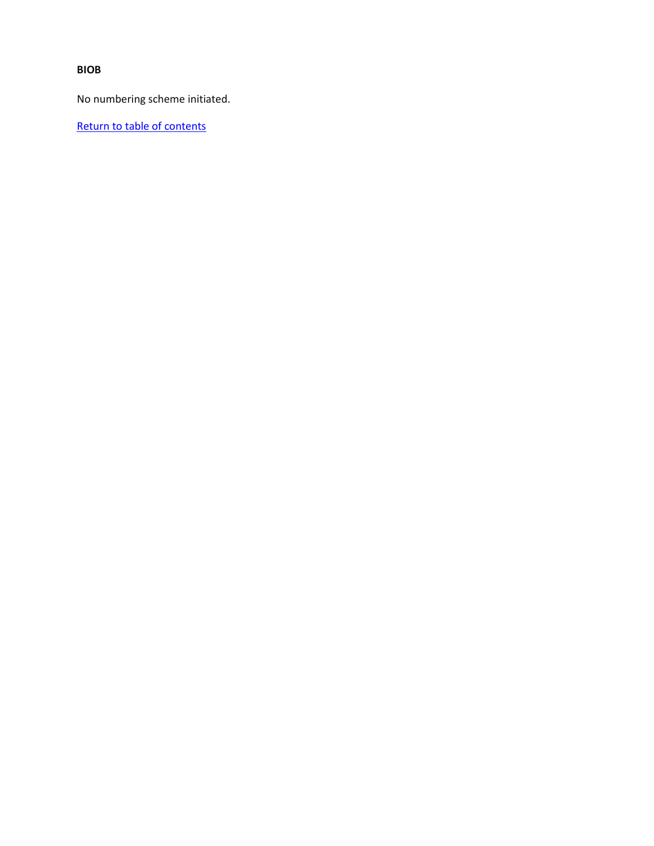<span id="page-30-0"></span>**BIOB**

No numbering scheme initiated.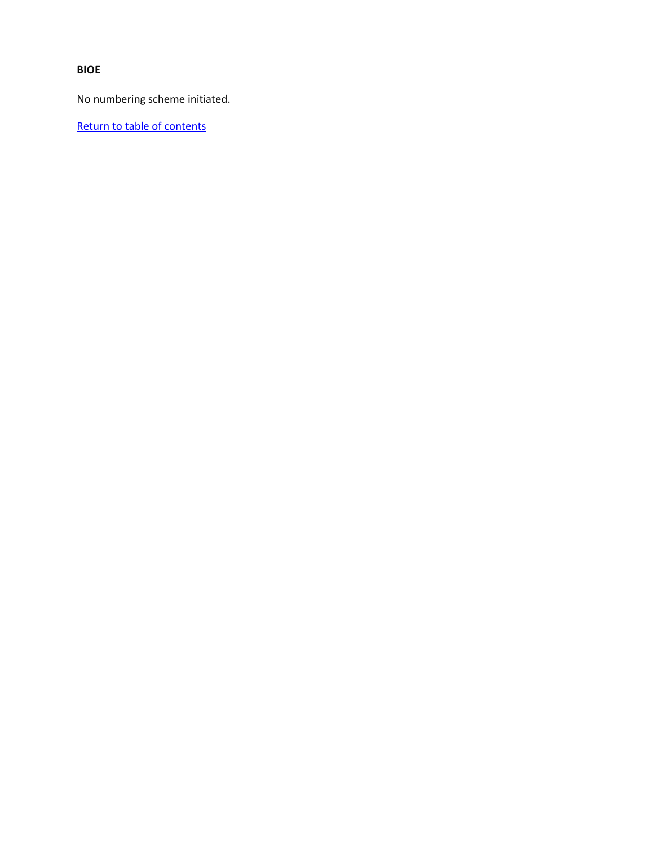<span id="page-31-0"></span>**BIOE**

No numbering scheme initiated.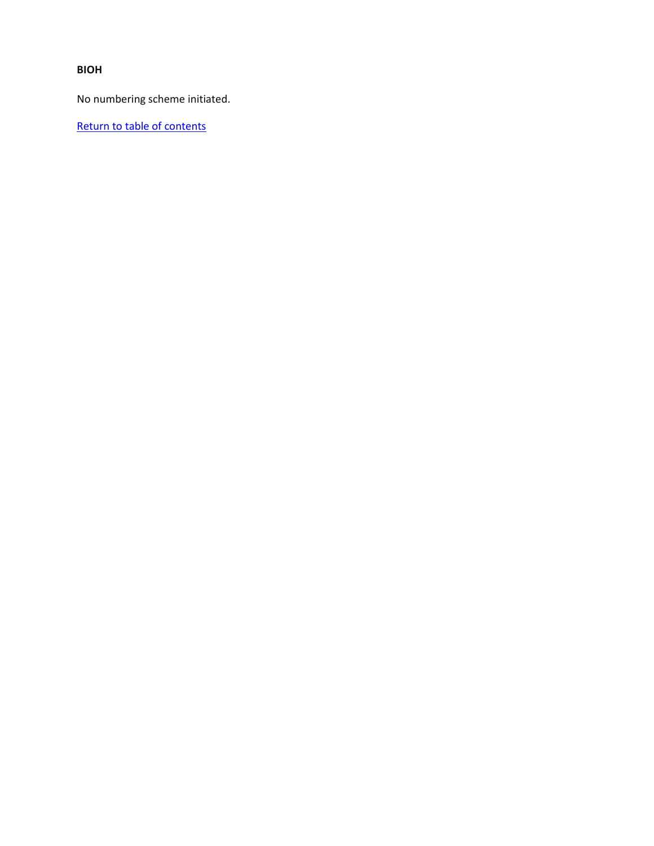<span id="page-32-0"></span>**BIOH**

No numbering scheme initiated.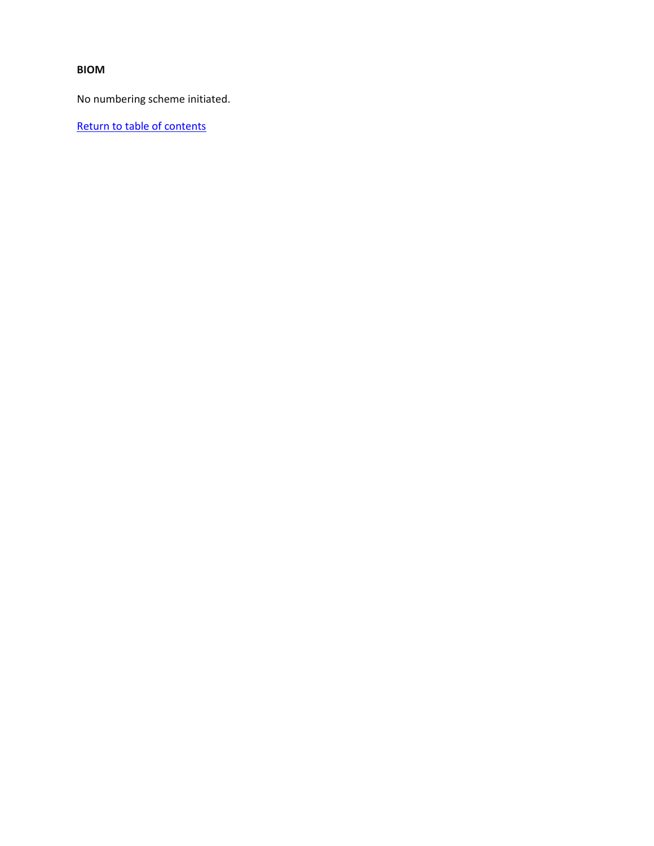### <span id="page-33-0"></span>**BIOM**

No numbering scheme initiated.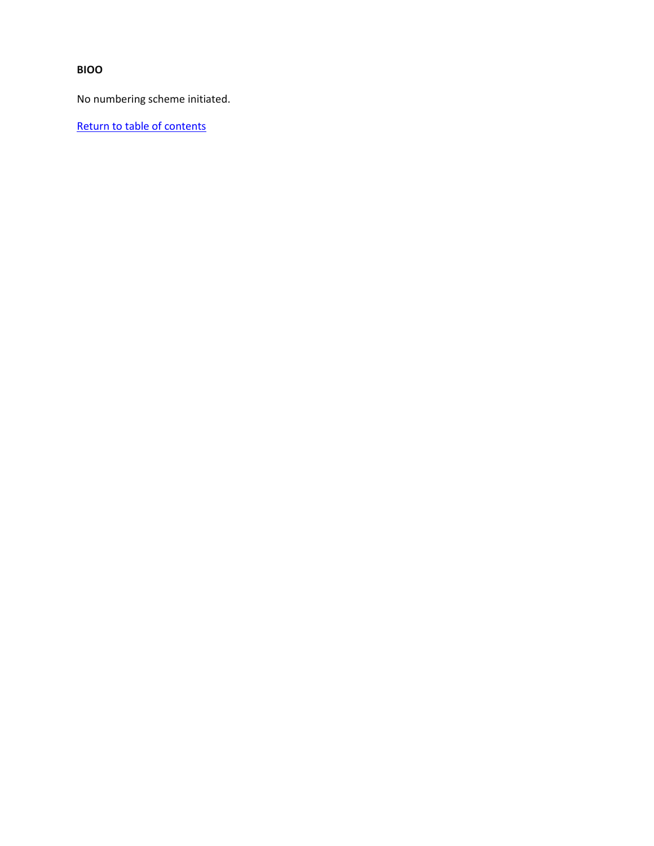# <span id="page-34-0"></span>**BIOO**

No numbering scheme initiated.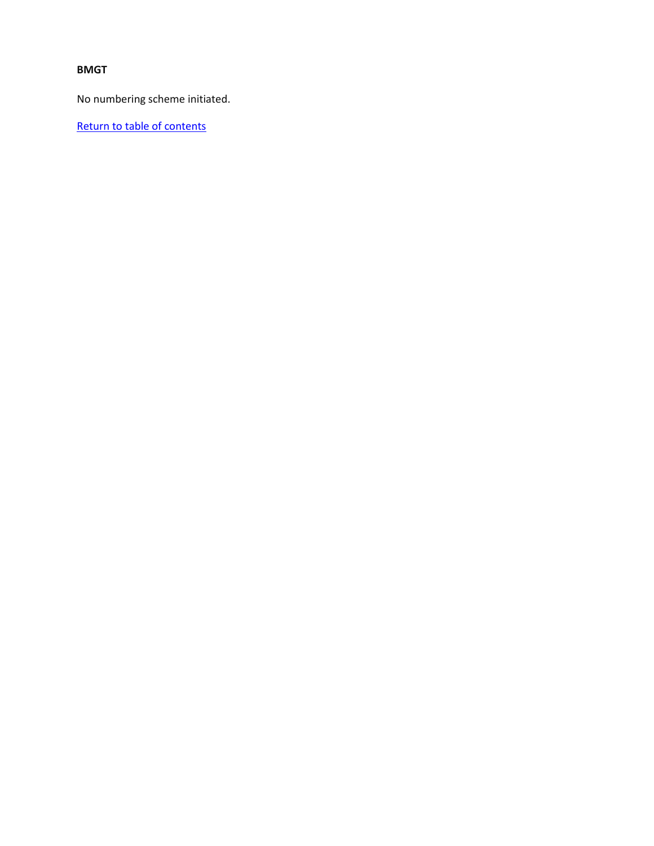### <span id="page-35-0"></span>**BMGT**

No numbering scheme initiated.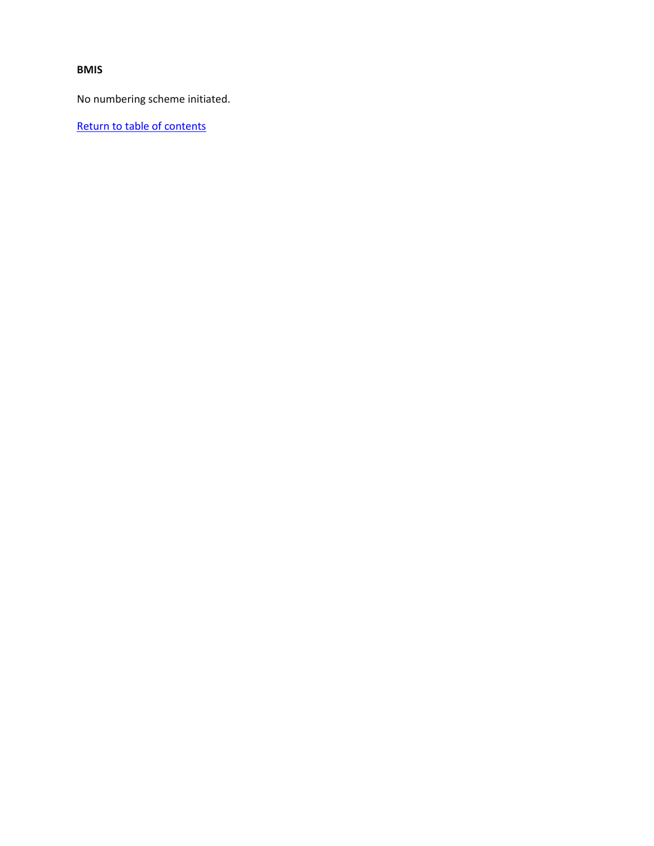#### **BMIS**

No numbering scheme initiated.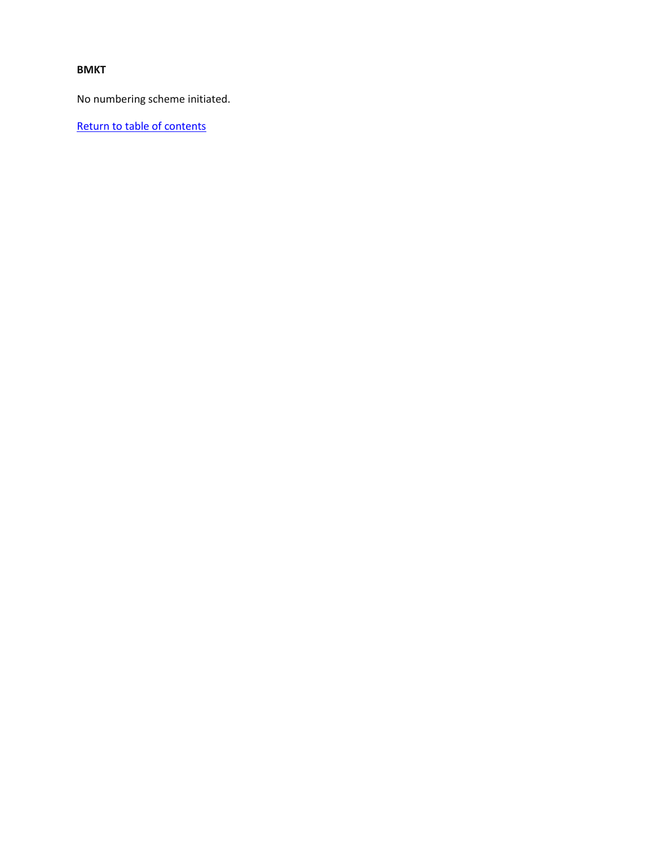#### **BMKT**

No numbering scheme initiated.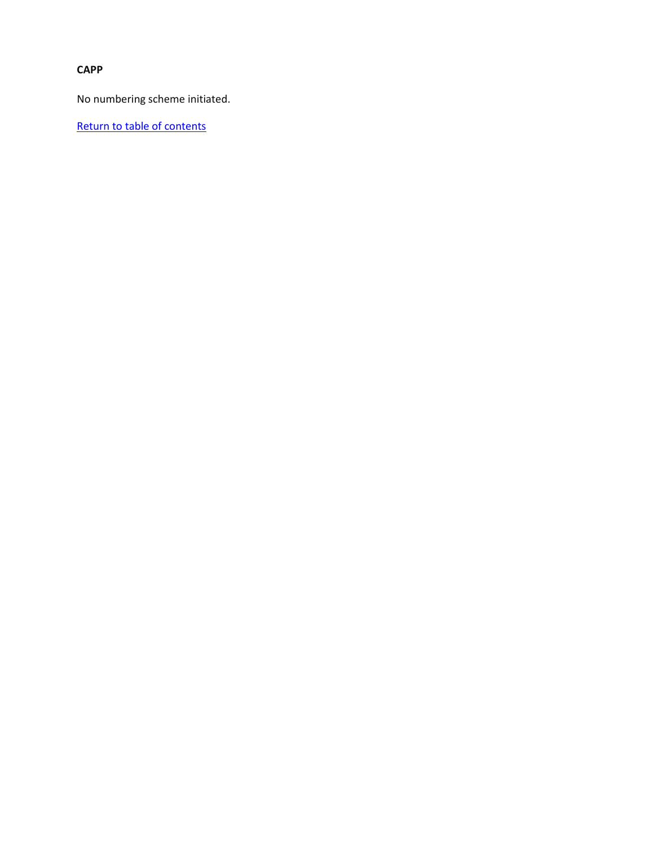## **CAPP**

No numbering scheme initiated.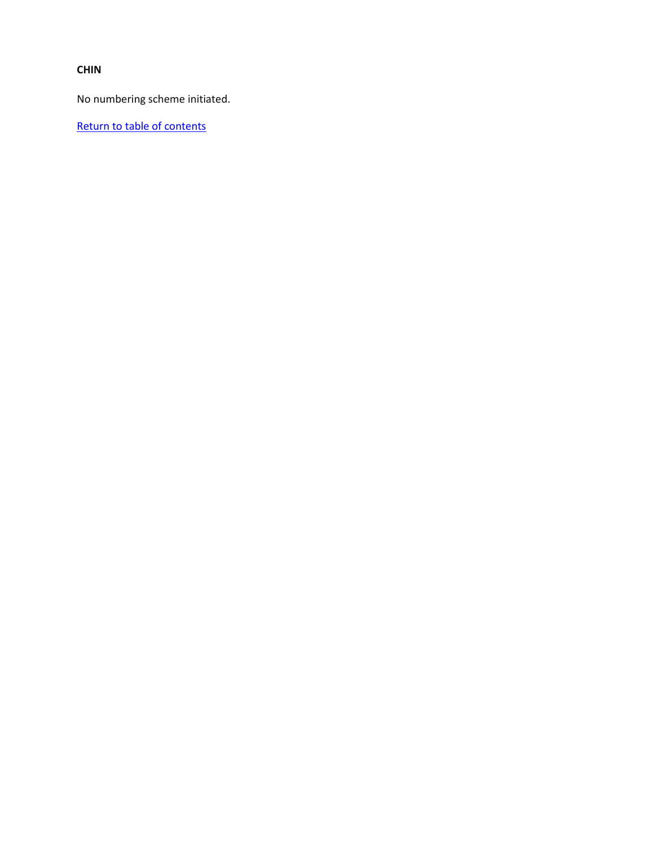#### **CHIN**

No numbering scheme initiated.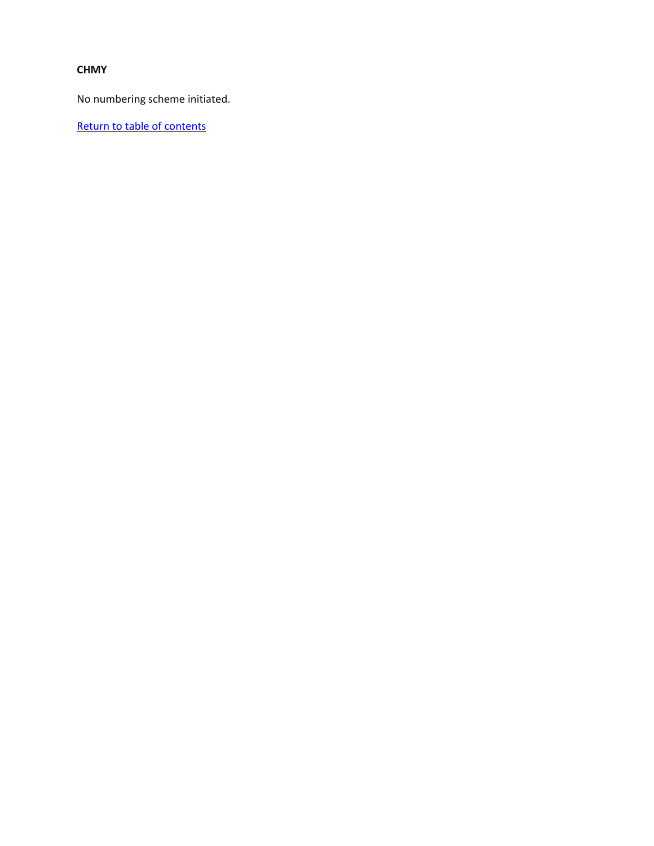#### **CHMY**

No numbering scheme initiated.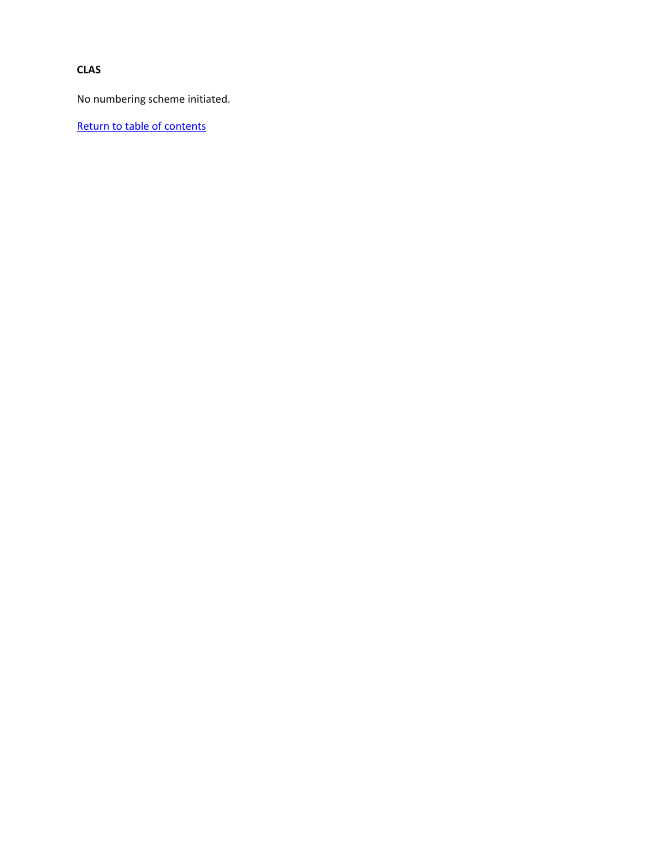### **CLAS**

No numbering scheme initiated.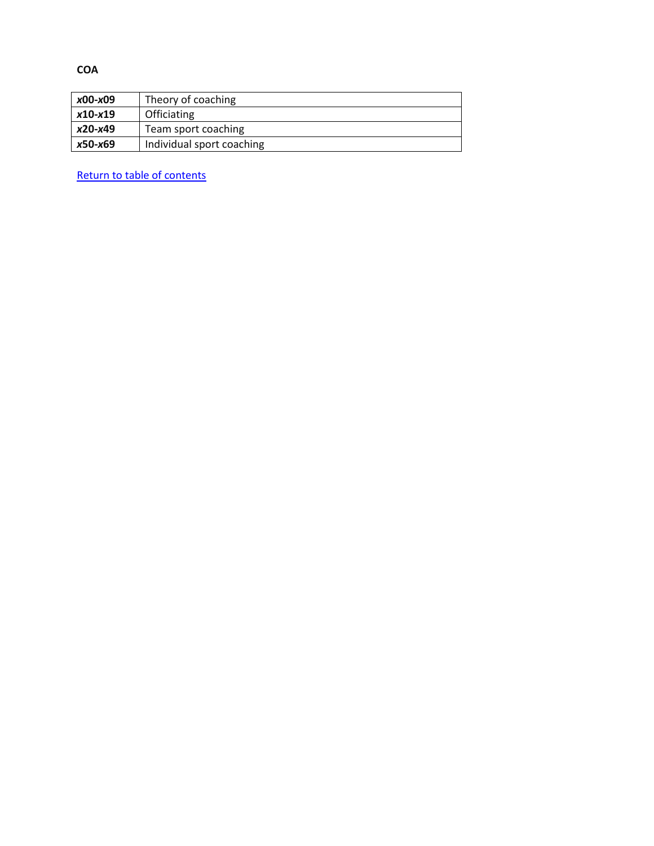| x00-x09   | Theory of coaching        |
|-----------|---------------------------|
| $x10-x19$ | Officiating               |
| x20-x49   | Team sport coaching       |
| x50-x69   | Individual sport coaching |

[Return to table of contents](#page-0-0)

**COA**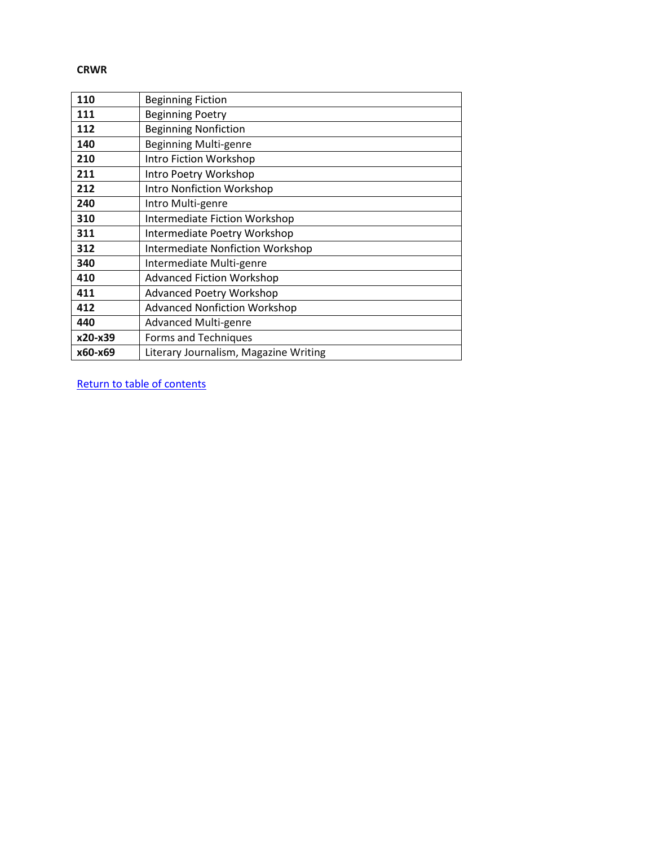#### **CRWR**

| 110     | <b>Beginning Fiction</b>                |
|---------|-----------------------------------------|
| 111     | <b>Beginning Poetry</b>                 |
| 112     | <b>Beginning Nonfiction</b>             |
| 140     | <b>Beginning Multi-genre</b>            |
| 210     | Intro Fiction Workshop                  |
| 211     | Intro Poetry Workshop                   |
| 212     | <b>Intro Nonfiction Workshop</b>        |
| 240     | Intro Multi-genre                       |
| 310     | <b>Intermediate Fiction Workshop</b>    |
| 311     | Intermediate Poetry Workshop            |
| 312     | <b>Intermediate Nonfiction Workshop</b> |
| 340     | Intermediate Multi-genre                |
| 410     | <b>Advanced Fiction Workshop</b>        |
| 411     | <b>Advanced Poetry Workshop</b>         |
| 412     | <b>Advanced Nonfiction Workshop</b>     |
| 440     | <b>Advanced Multi-genre</b>             |
| x20-x39 | Forms and Techniques                    |
| x60-x69 | Literary Journalism, Magazine Writing   |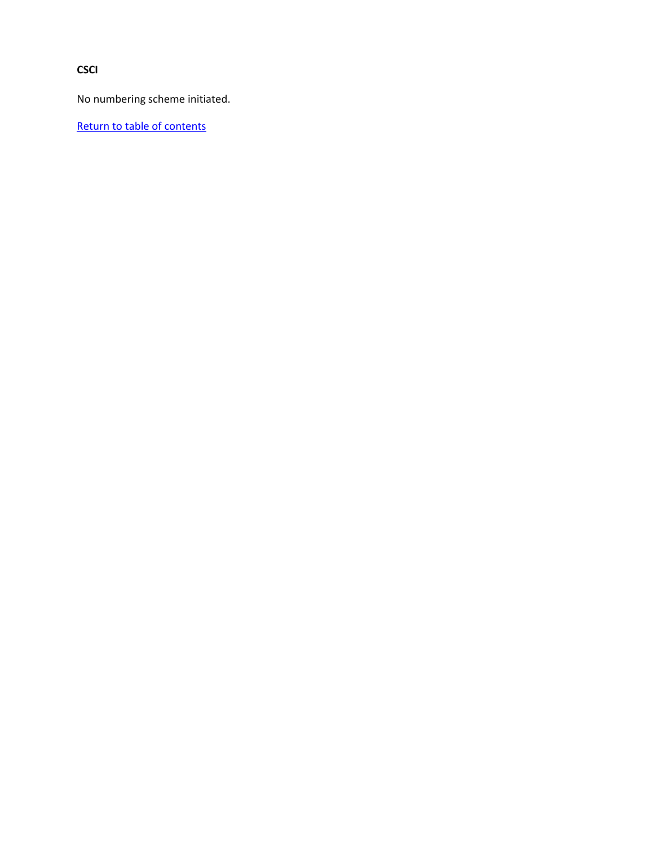**CSCI**

No numbering scheme initiated.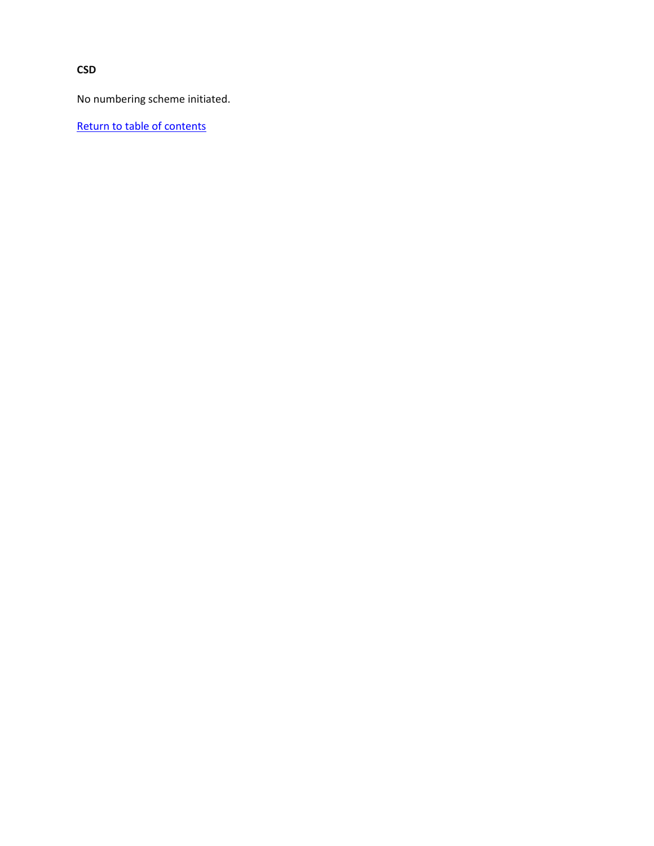**CSD**

No numbering scheme initiated.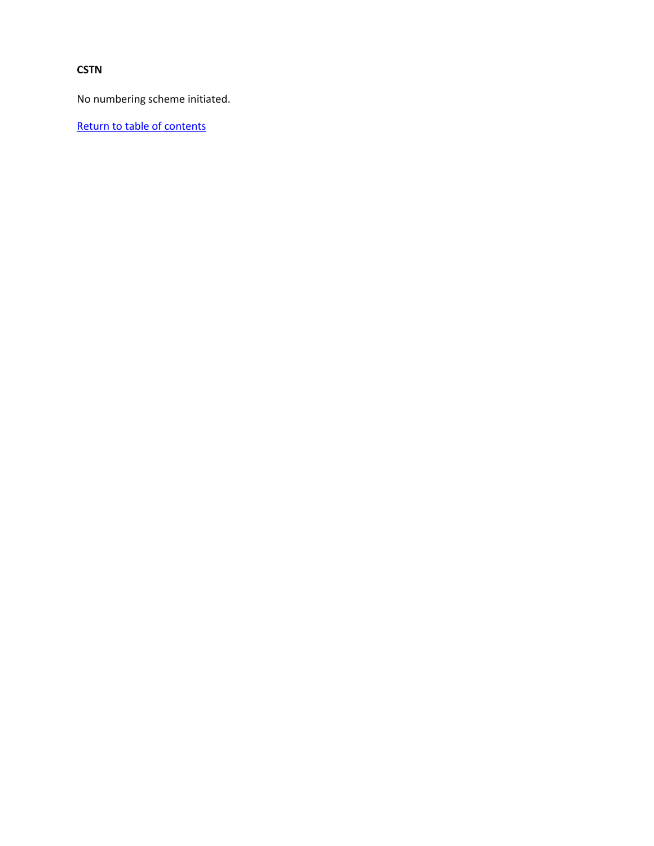## **CSTN**

No numbering scheme initiated.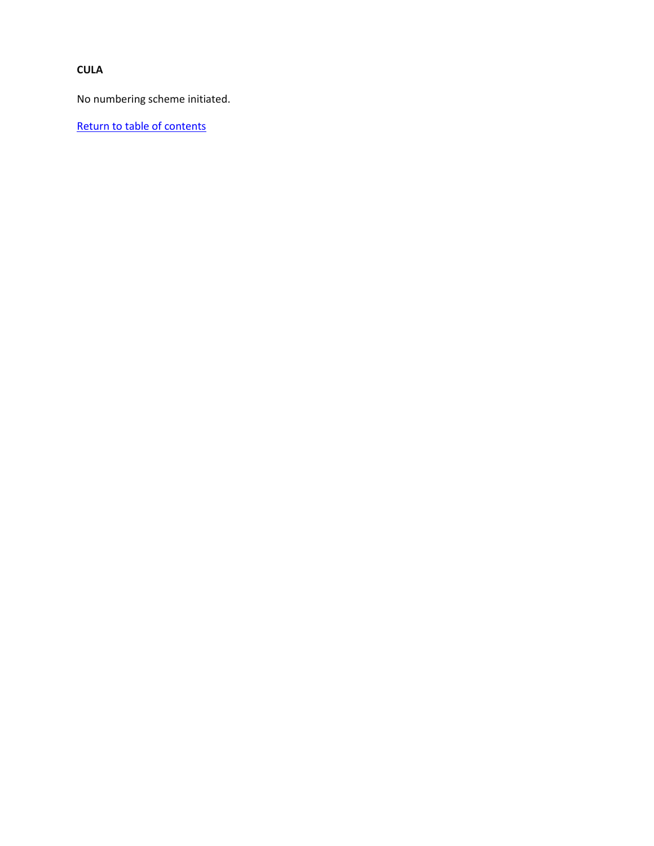## **CULA**

No numbering scheme initiated.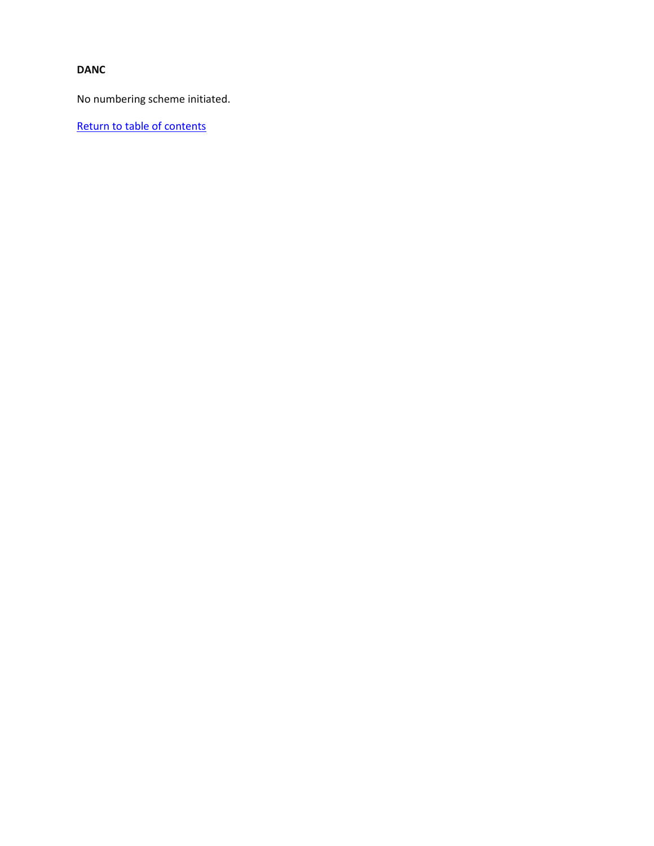#### **DANC**

No numbering scheme initiated.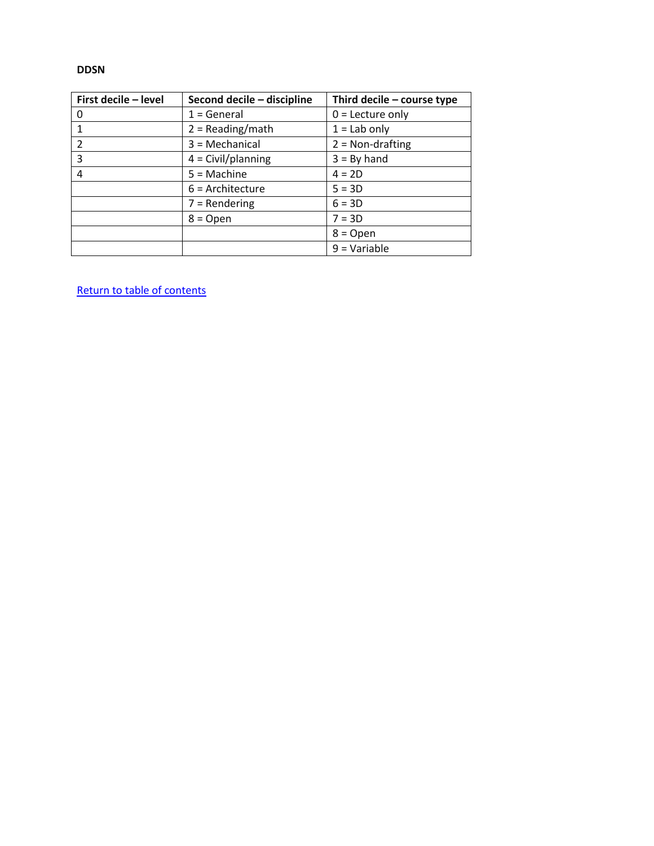#### **DDSN**

| First decile - level | Second decile - discipline | Third decile - course type |
|----------------------|----------------------------|----------------------------|
| $\Omega$             | $1 = General$              | $0 =$ Lecture only         |
|                      | $2 = Reading/math$         | $1 =$ Lab only             |
| $\overline{2}$       | $3 = \text{Mechanical}$    | $2 = Non-drafting$         |
| 3                    | $4 = Civil/planning$       | $3 = By hand$              |
| 4                    | $5 = Machine$              | $4 = 2D$                   |
|                      | $6$ = Architecture         | $5 = 3D$                   |
|                      | $7 =$ Rendering            | $6 = 3D$                   |
|                      | $8 = Open$                 | $7 = 3D$                   |
|                      |                            | $8 = Open$                 |
|                      |                            | $9 = Variable$             |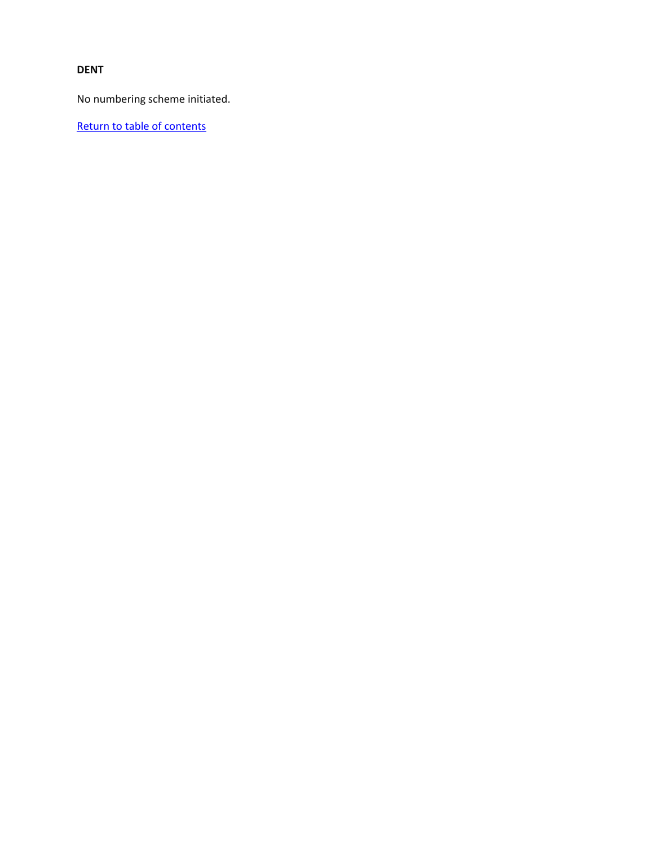#### **DENT**

No numbering scheme initiated.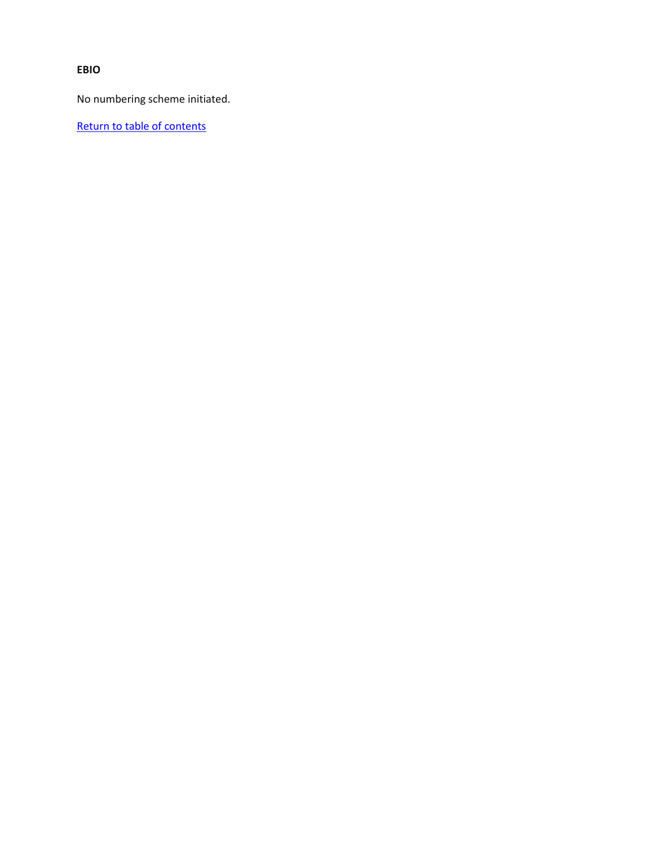**EBIO**

No numbering scheme initiated.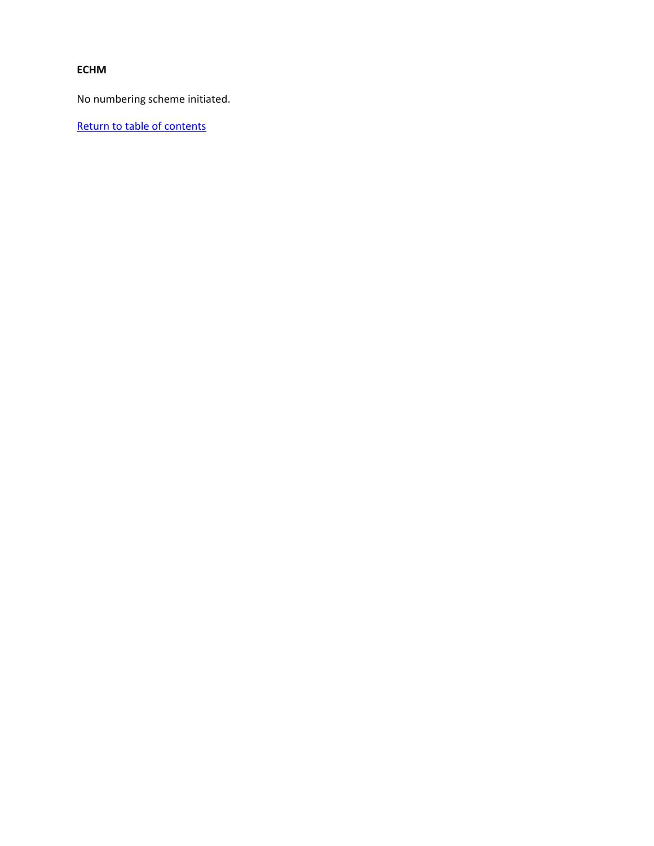## **ECHM**

No numbering scheme initiated.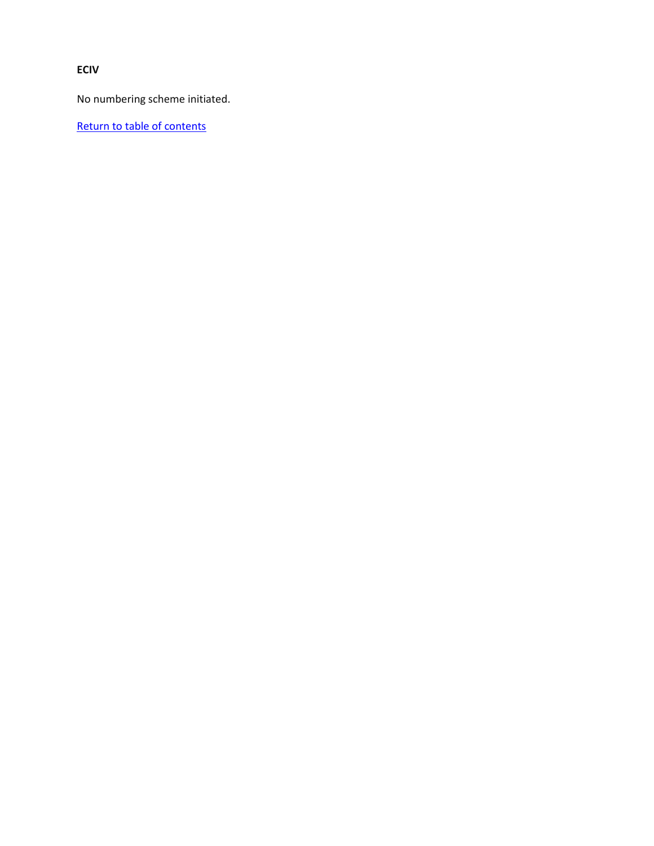**ECIV**

No numbering scheme initiated.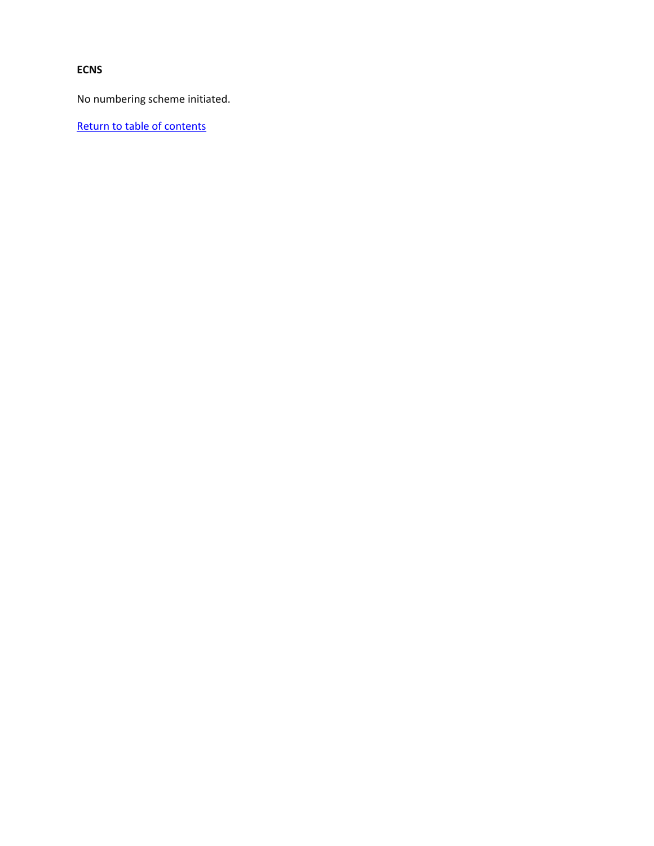## **ECNS**

No numbering scheme initiated.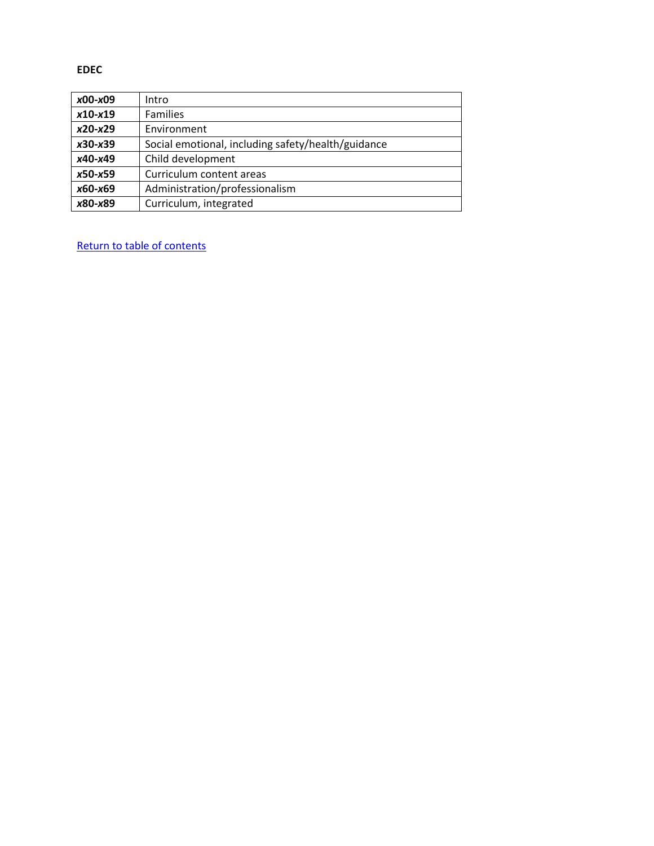**EDEC**

| x00-x09   | Intro                                              |
|-----------|----------------------------------------------------|
| $x10-x19$ | <b>Families</b>                                    |
| $x20-x29$ | Environment                                        |
| $x30-x39$ | Social emotional, including safety/health/guidance |
| x40-x49   | Child development                                  |
| $x50-x59$ | Curriculum content areas                           |
| x60-x69   | Administration/professionalism                     |
| x80-x89   | Curriculum, integrated                             |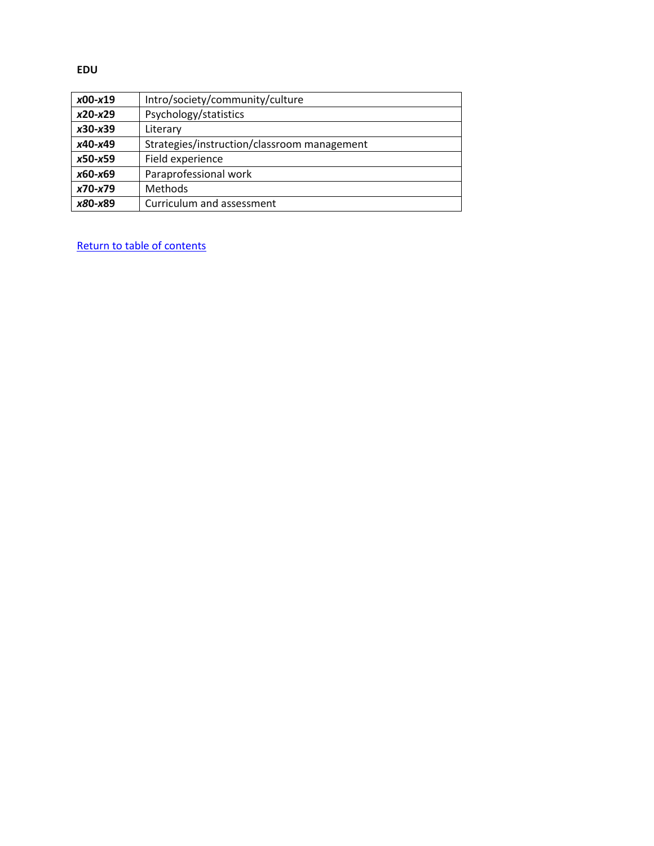**EDU**

| $x00-x19$ | Intro/society/community/culture             |
|-----------|---------------------------------------------|
| $x20-x29$ | Psychology/statistics                       |
| $x30-x39$ | Literary                                    |
| x40-x49   | Strategies/instruction/classroom management |
| $x50-x59$ | Field experience                            |
| x60-x69   | Paraprofessional work                       |
| $x70-x79$ | Methods                                     |
| x80-x89   | Curriculum and assessment                   |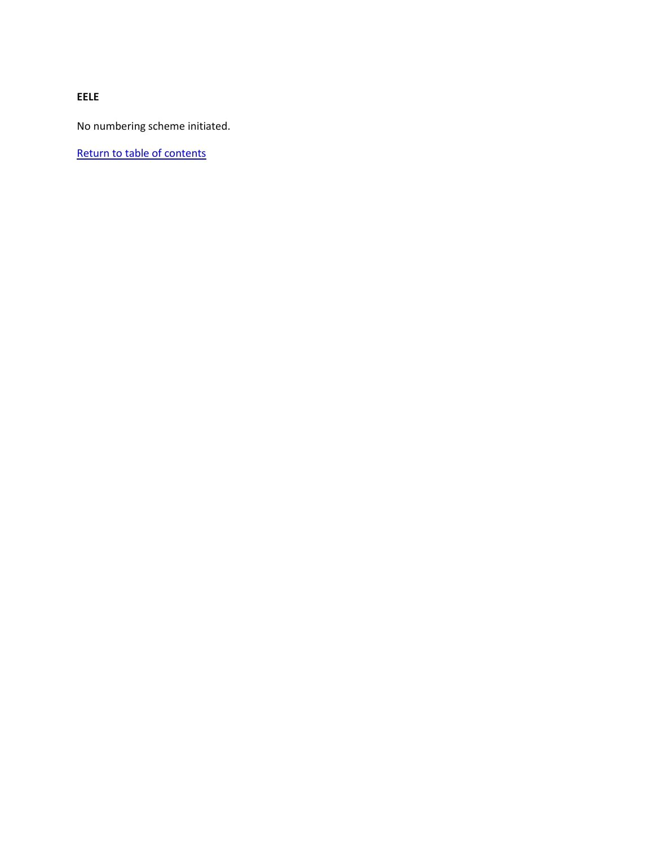**EELE**

No numbering scheme initiated.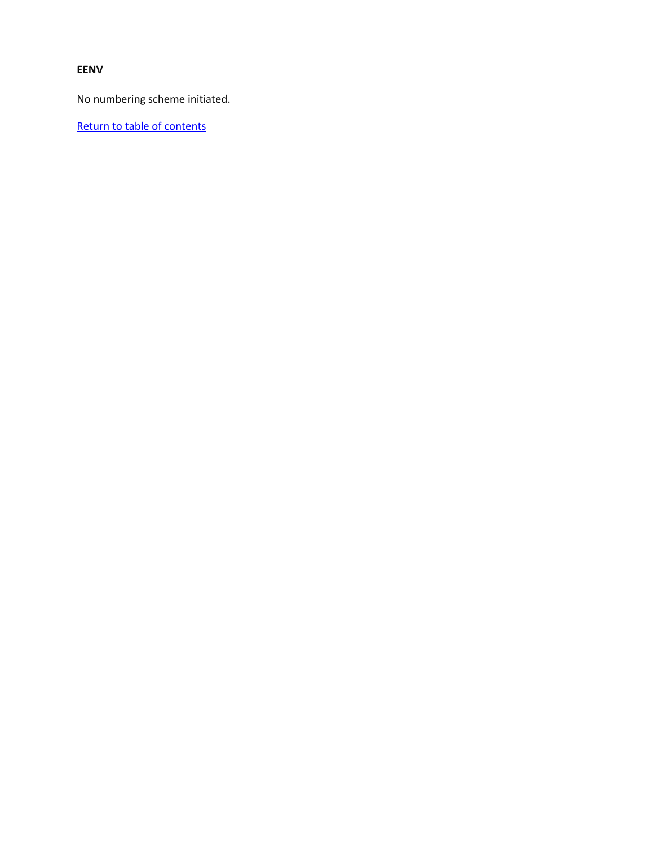#### **EENV**

No numbering scheme initiated.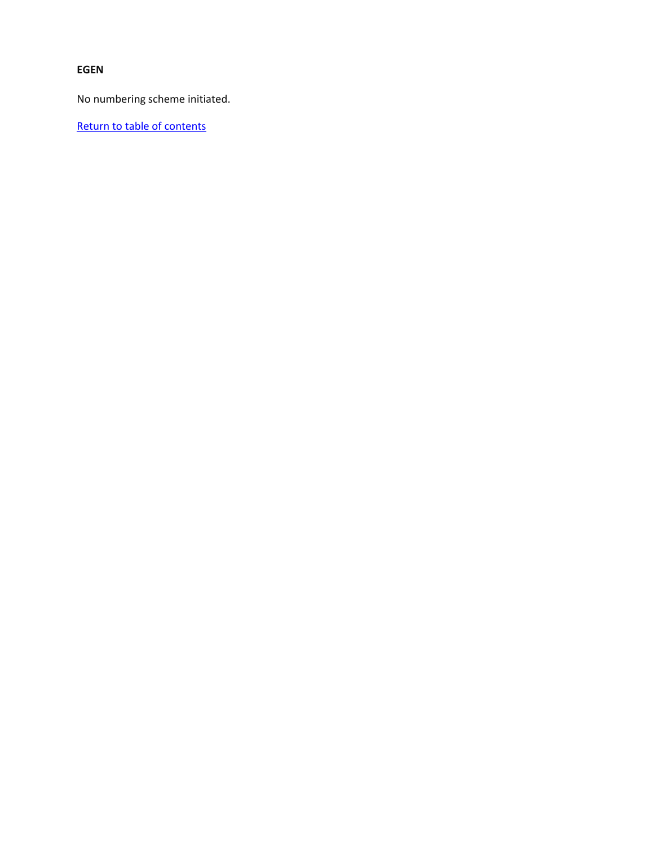## **EGEN**

No numbering scheme initiated.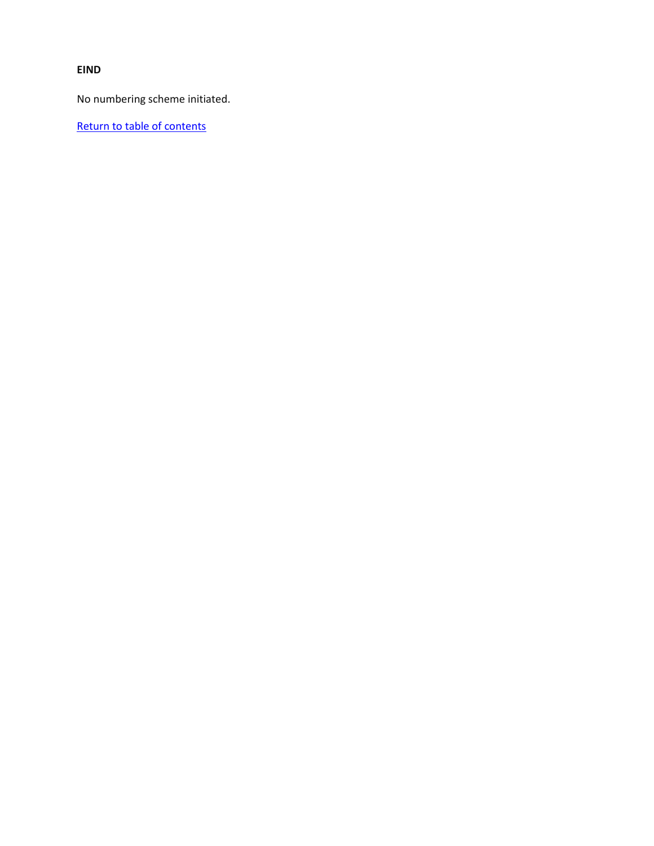**EIND**

No numbering scheme initiated.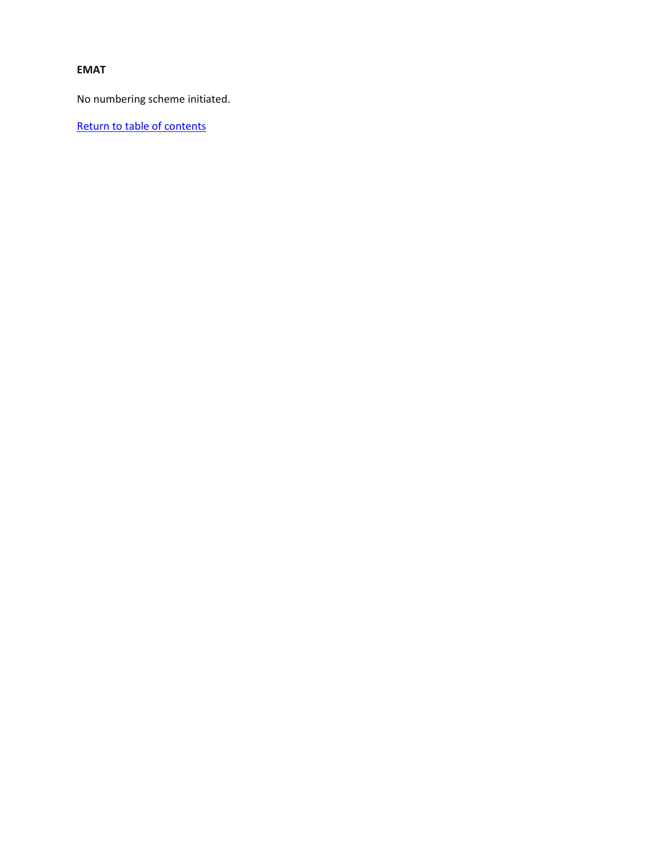#### **EMAT**

No numbering scheme initiated.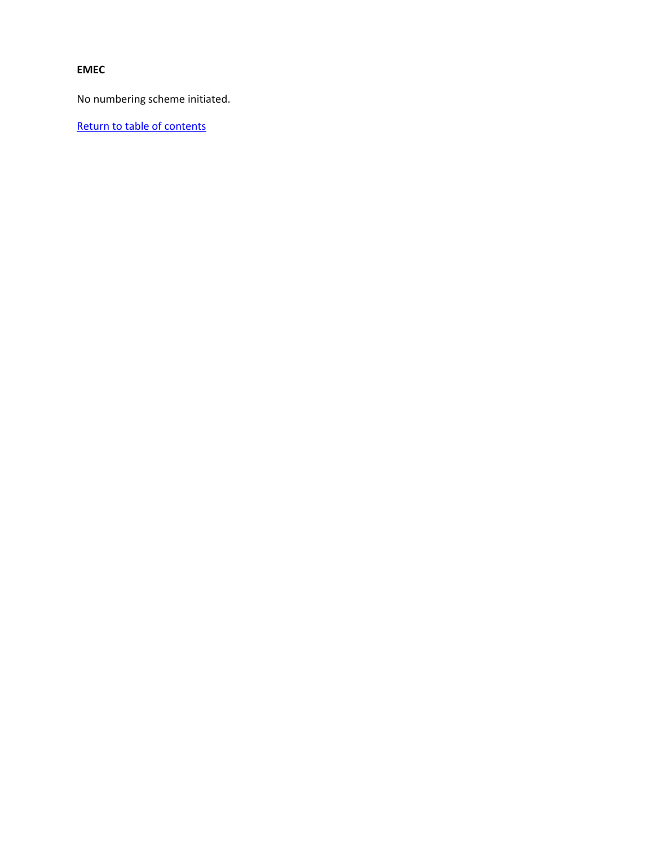# **EMEC**

No numbering scheme initiated.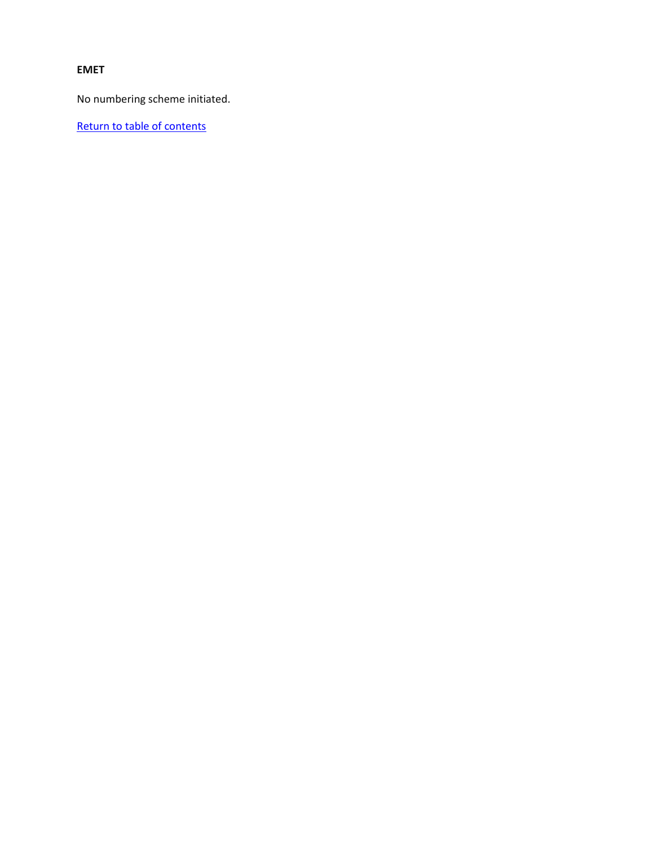#### **EMET**

No numbering scheme initiated.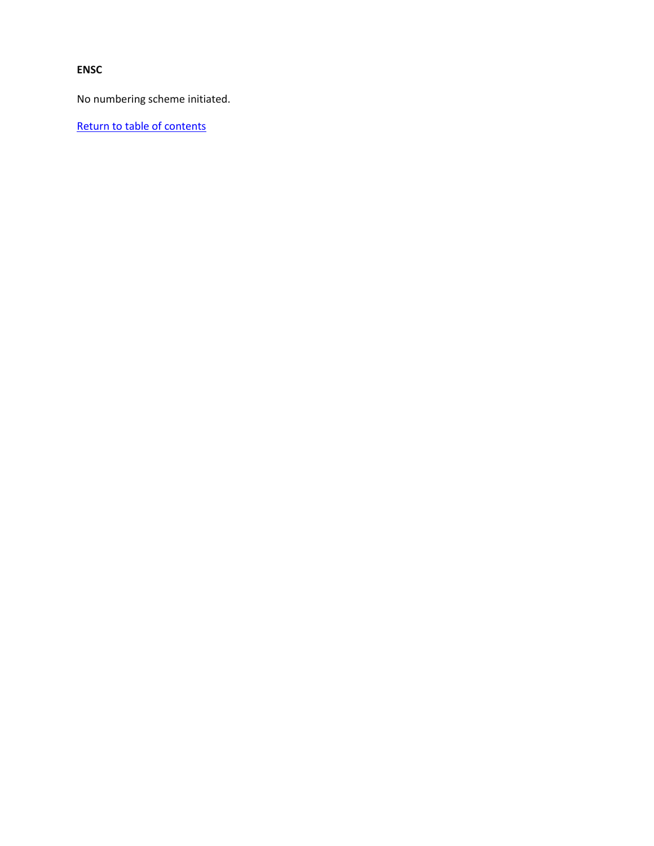### **ENSC**

No numbering scheme initiated.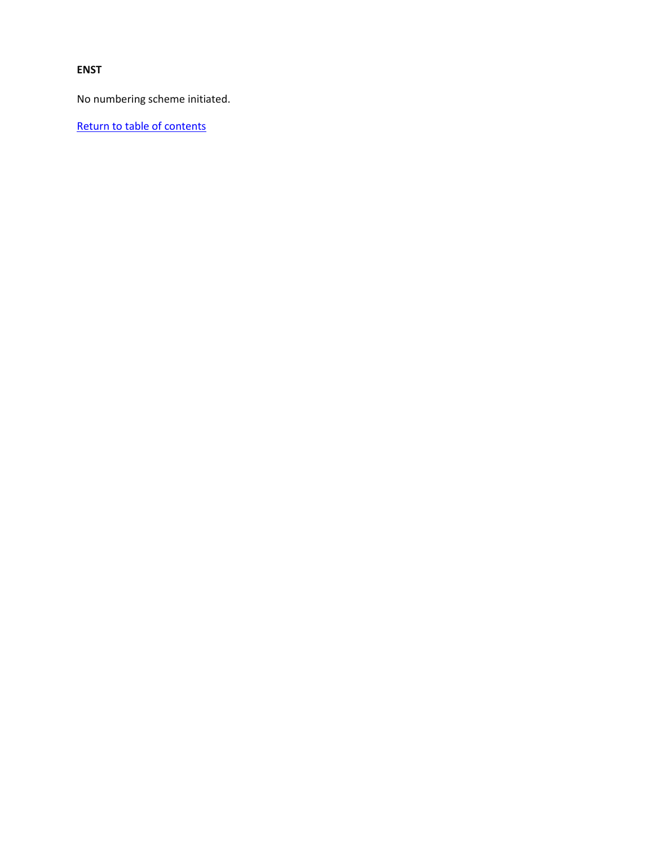#### **ENST**

No numbering scheme initiated.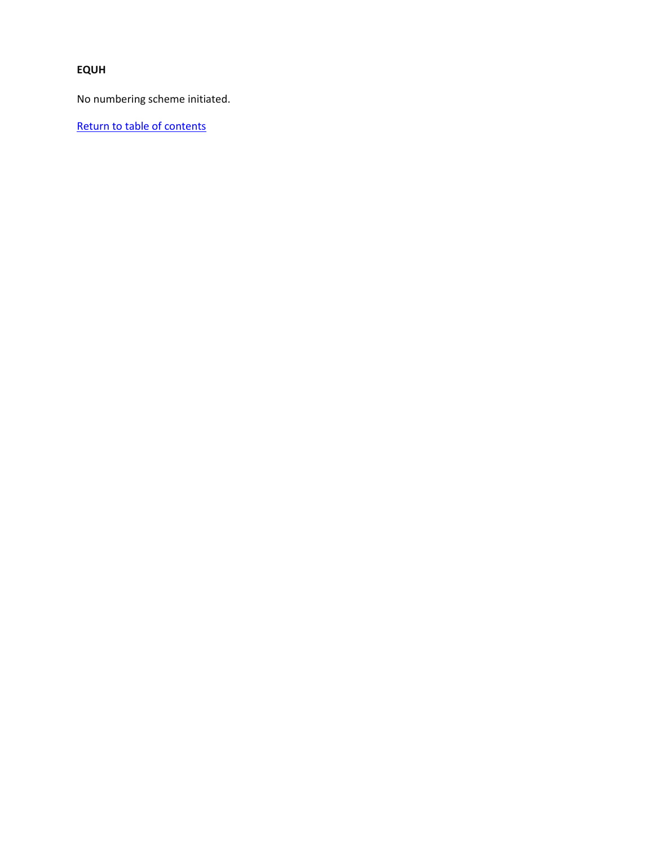# **EQUH**

No numbering scheme initiated.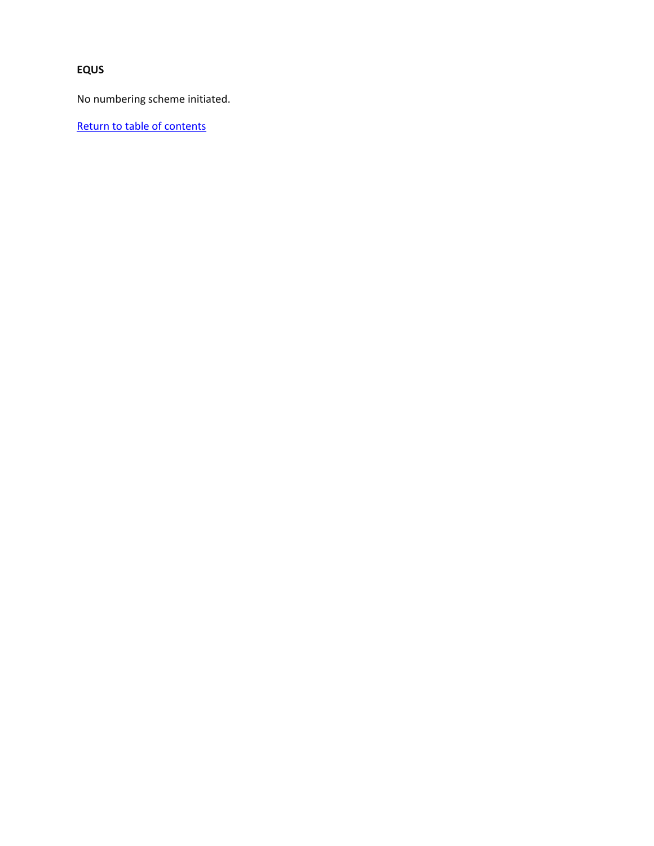# **EQUS**

No numbering scheme initiated.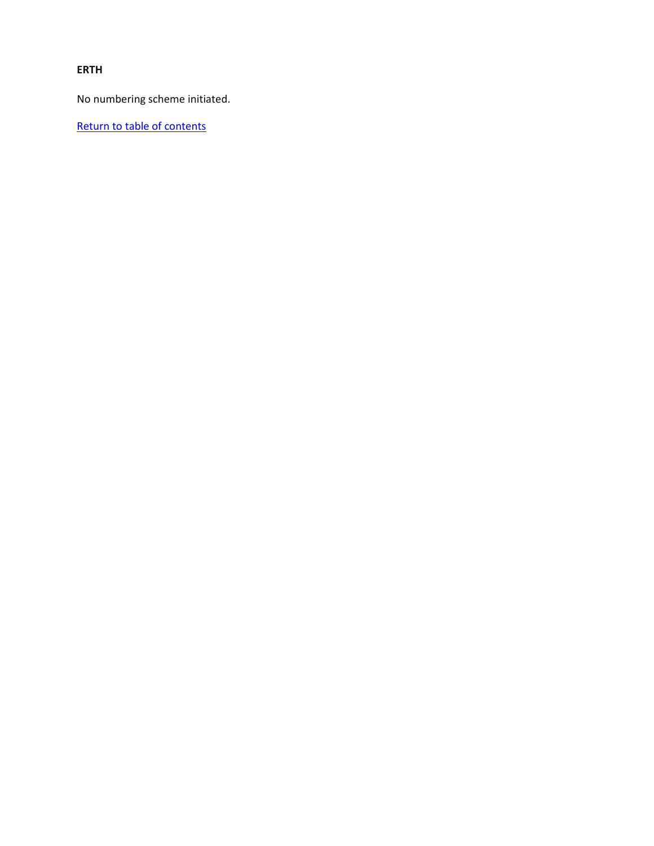**ERTH**

No numbering scheme initiated.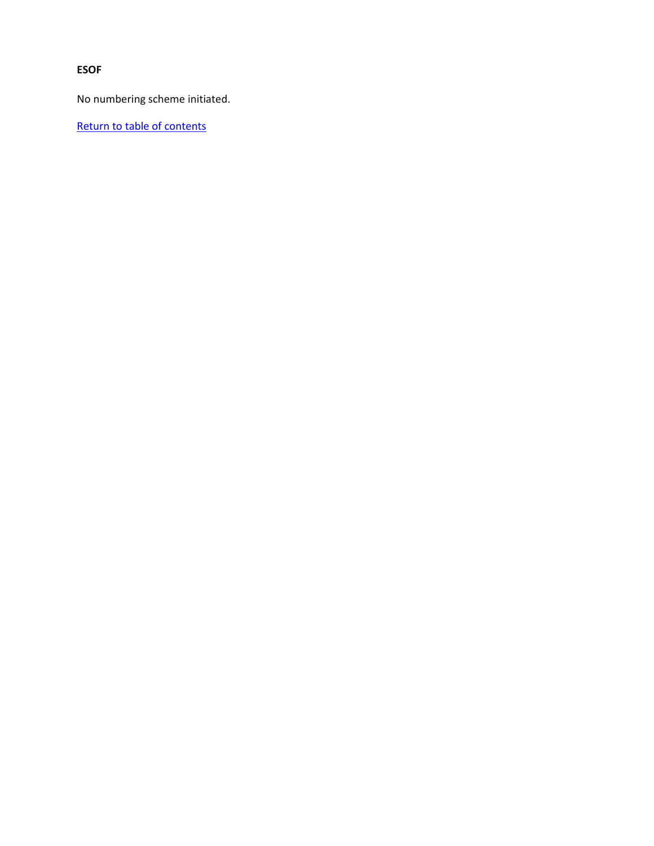**ESOF**

No numbering scheme initiated.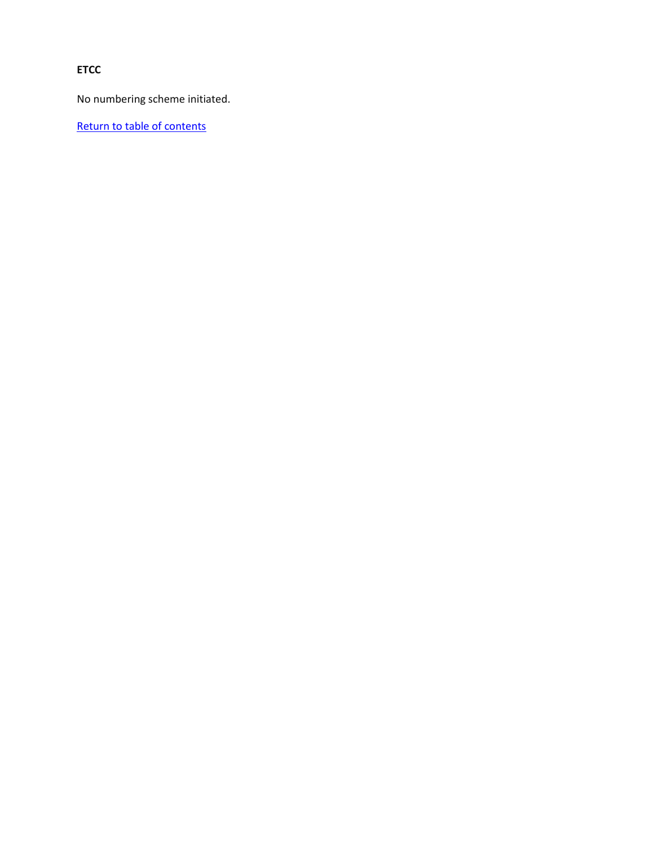**ETCC**

No numbering scheme initiated.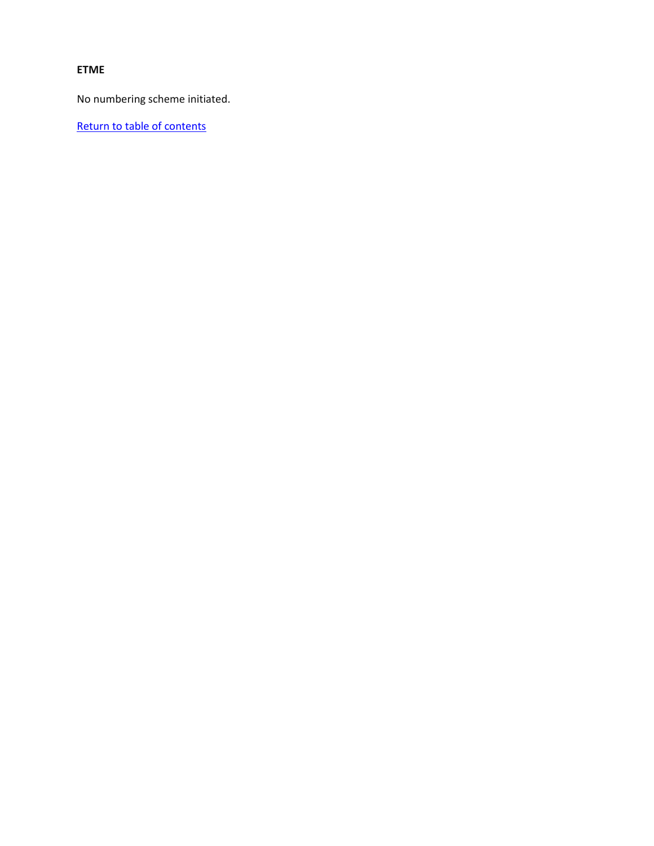#### **ETME**

No numbering scheme initiated.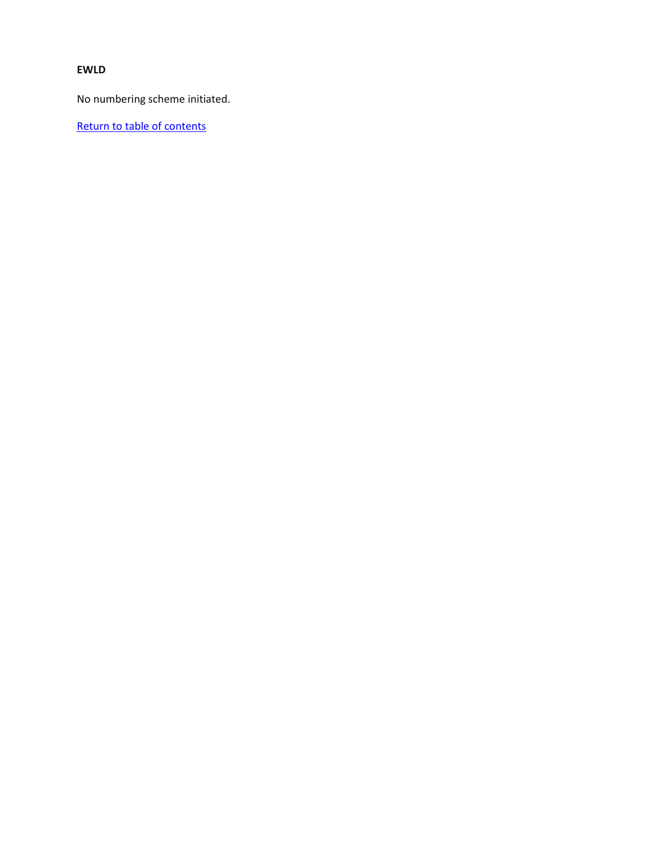#### **EWLD**

No numbering scheme initiated.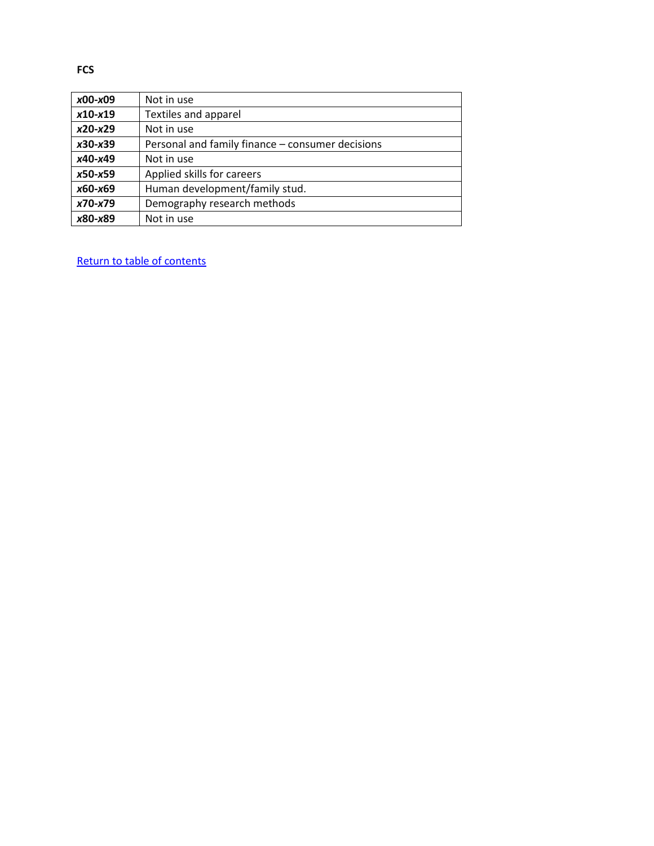| x00-x09   | Not in use                                       |
|-----------|--------------------------------------------------|
| $x10-x19$ | Textiles and apparel                             |
| $x20-x29$ | Not in use                                       |
| $x30-x39$ | Personal and family finance - consumer decisions |
| x40-x49   | Not in use                                       |
| x50-x59   | Applied skills for careers                       |
| x60-x69   | Human development/family stud.                   |
| x70-x79   | Demography research methods                      |
| x80-x89   | Not in use                                       |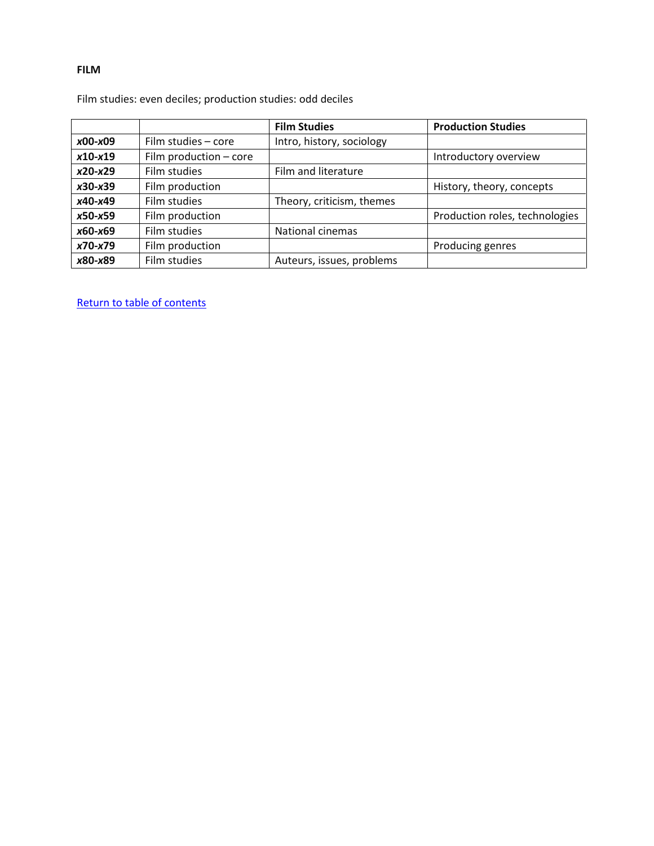#### **FILM**

Film studies: even deciles; production studies: odd deciles

|           |                          | <b>Film Studies</b>       | <b>Production Studies</b>      |
|-----------|--------------------------|---------------------------|--------------------------------|
| $x00-x09$ | Film studies - core      | Intro, history, sociology |                                |
| $x10-x19$ | Film production $-$ core |                           | Introductory overview          |
| $x20-x29$ | Film studies             | Film and literature       |                                |
| $x30-x39$ | Film production          |                           | History, theory, concepts      |
| x40-x49   | Film studies             | Theory, criticism, themes |                                |
| $x50-x59$ | Film production          |                           | Production roles, technologies |
| x60-x69   | Film studies             | National cinemas          |                                |
| x70-x79   | Film production          |                           | Producing genres               |
| x80-x89   | Film studies             | Auteurs, issues, problems |                                |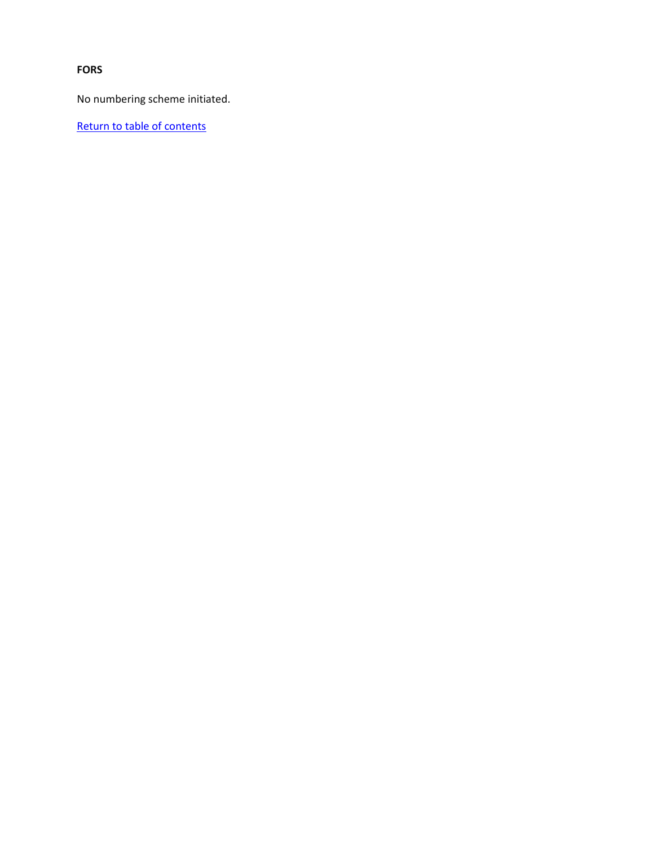**FORS**

No numbering scheme initiated.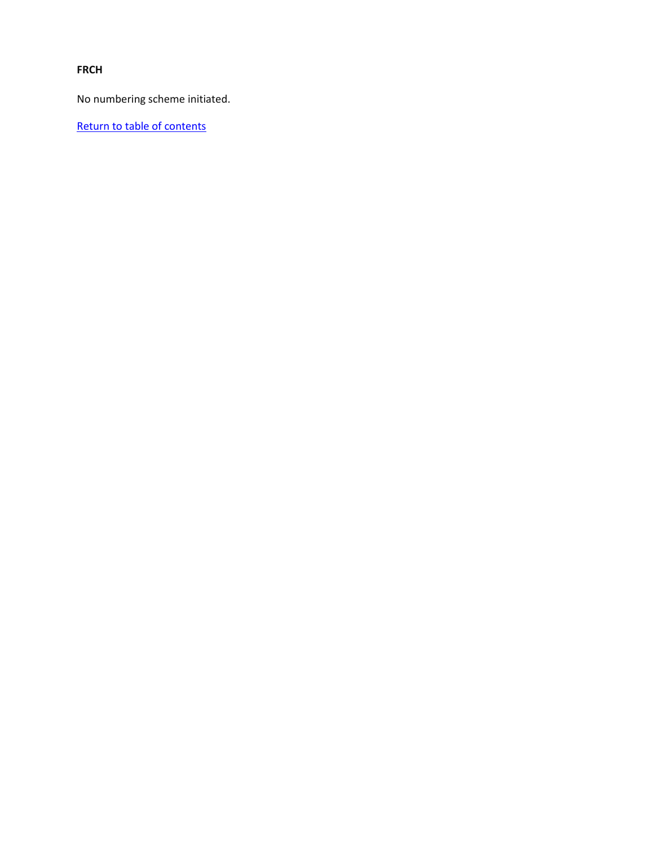**FRCH**

No numbering scheme initiated.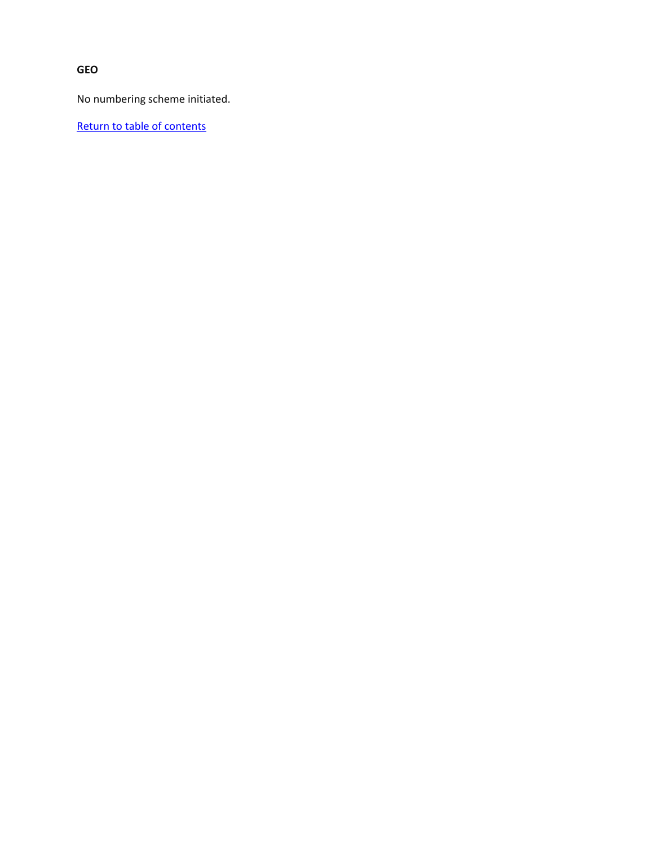**GEO**

No numbering scheme initiated.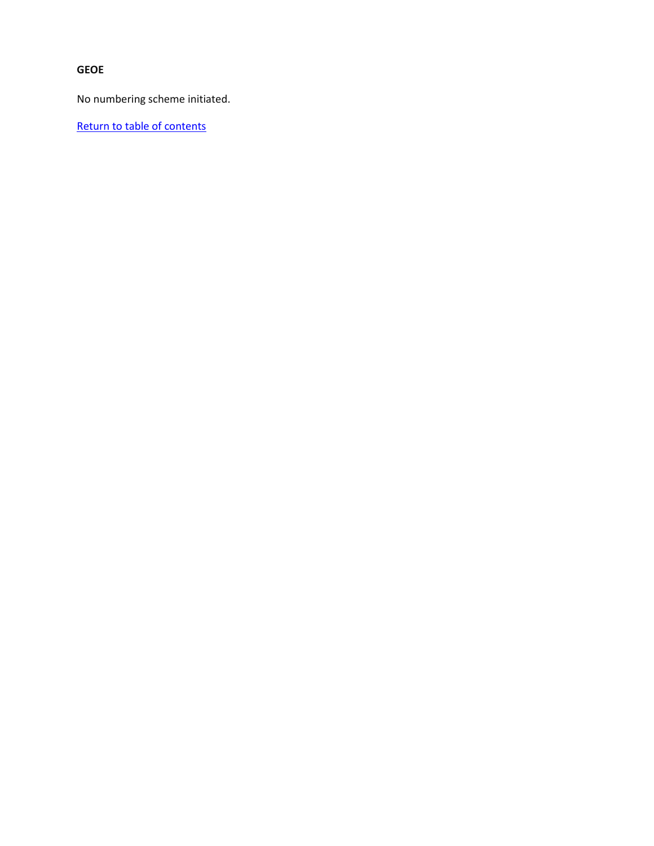## **GEOE**

No numbering scheme initiated.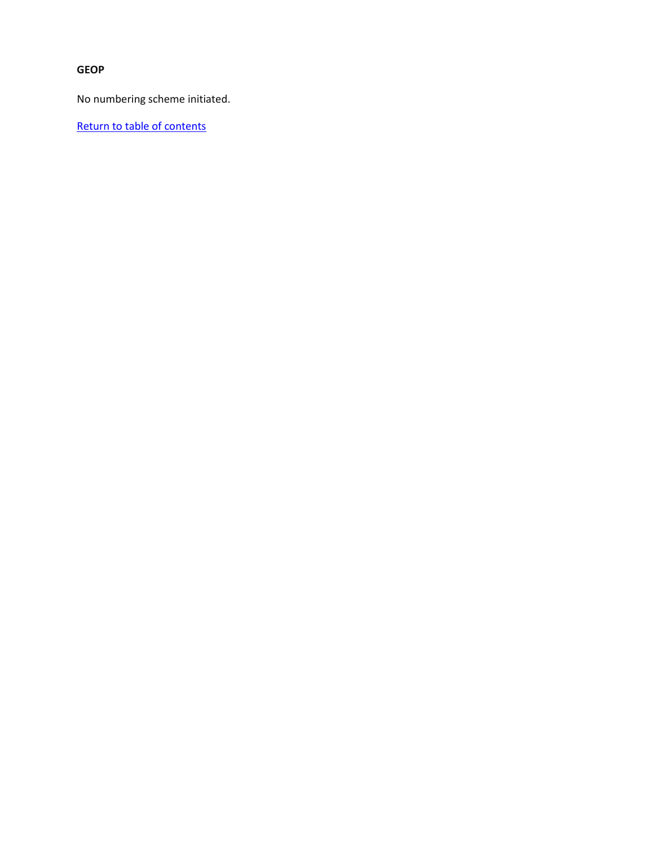# **GEOP**

No numbering scheme initiated.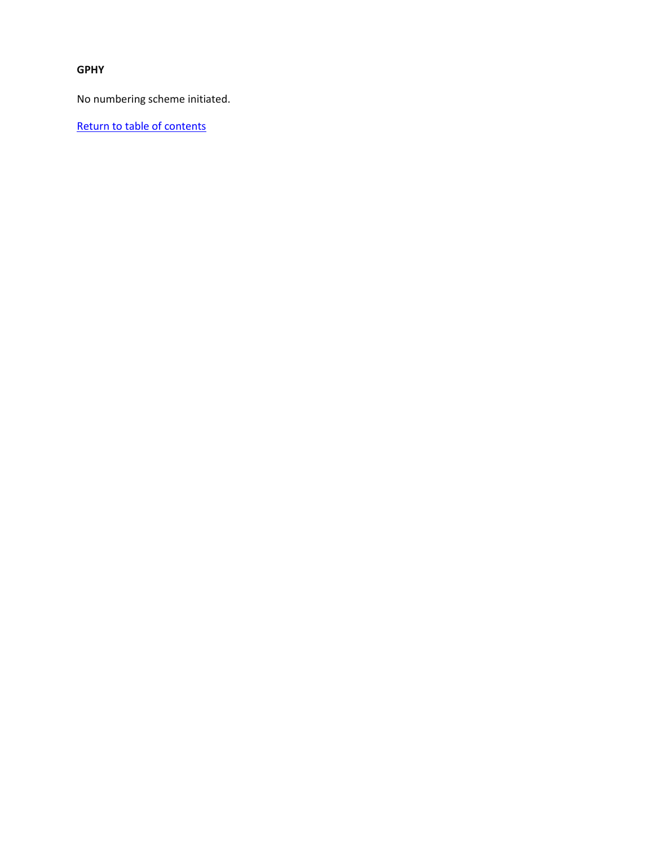#### **GPHY**

No numbering scheme initiated.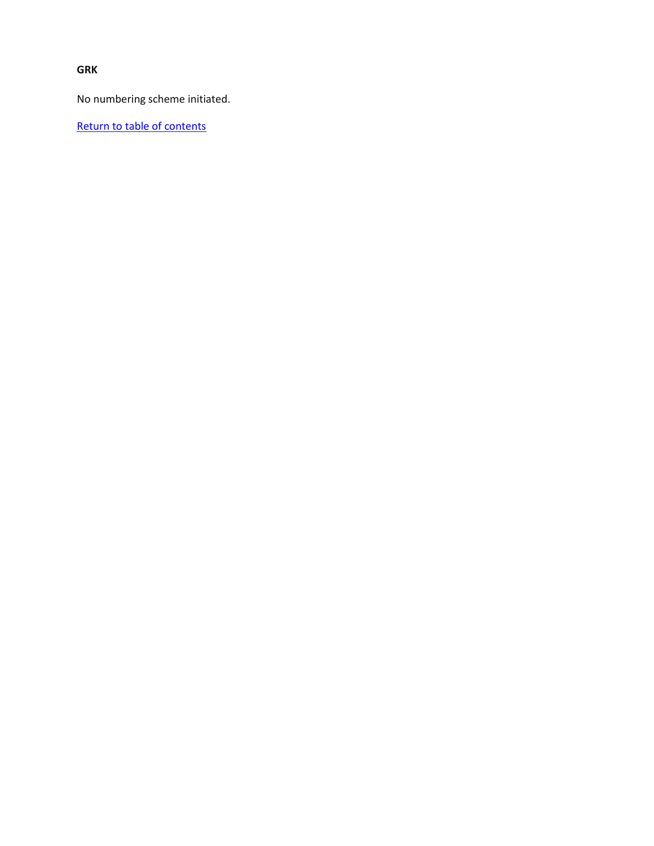**GRK**

No numbering scheme initiated.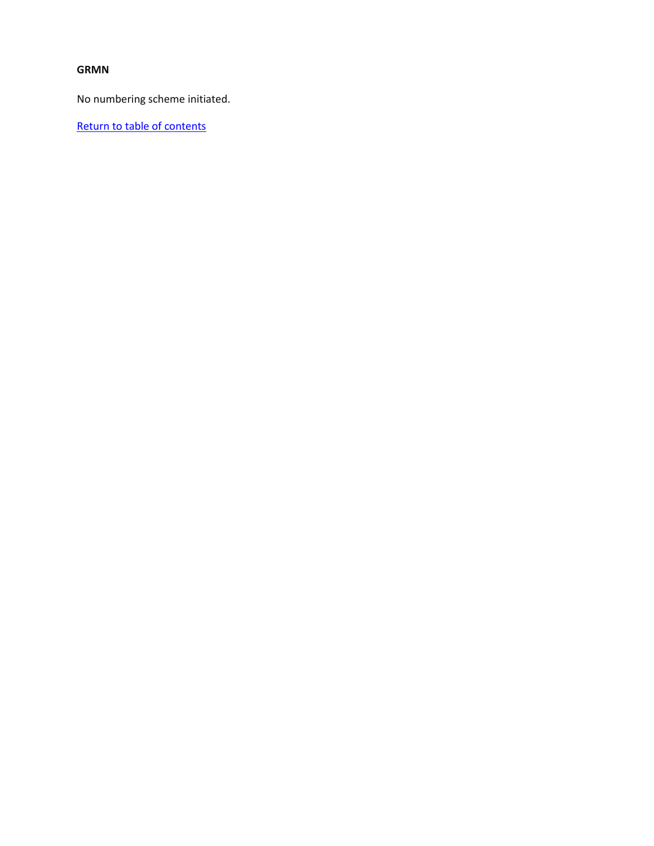## **GRMN**

No numbering scheme initiated.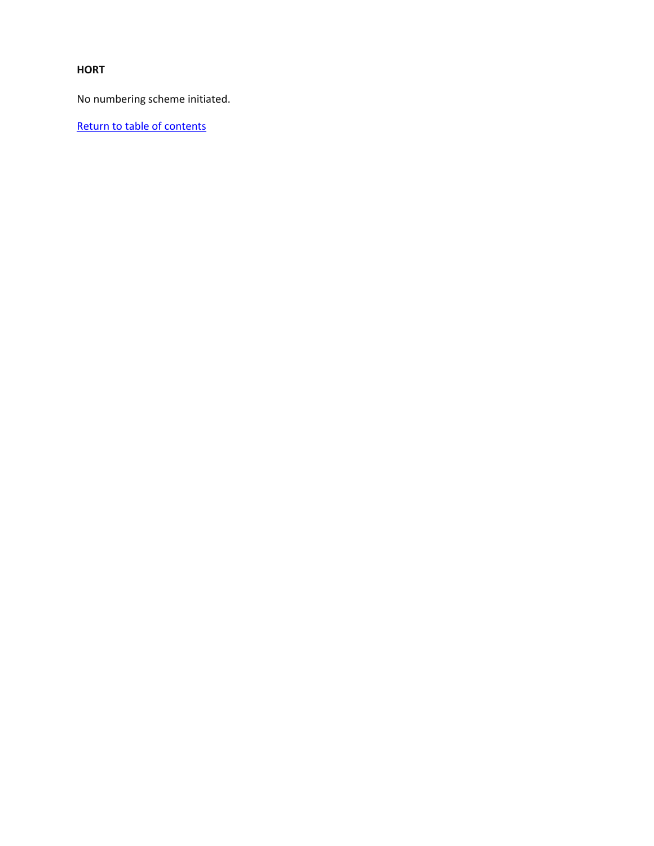## **HORT**

No numbering scheme initiated.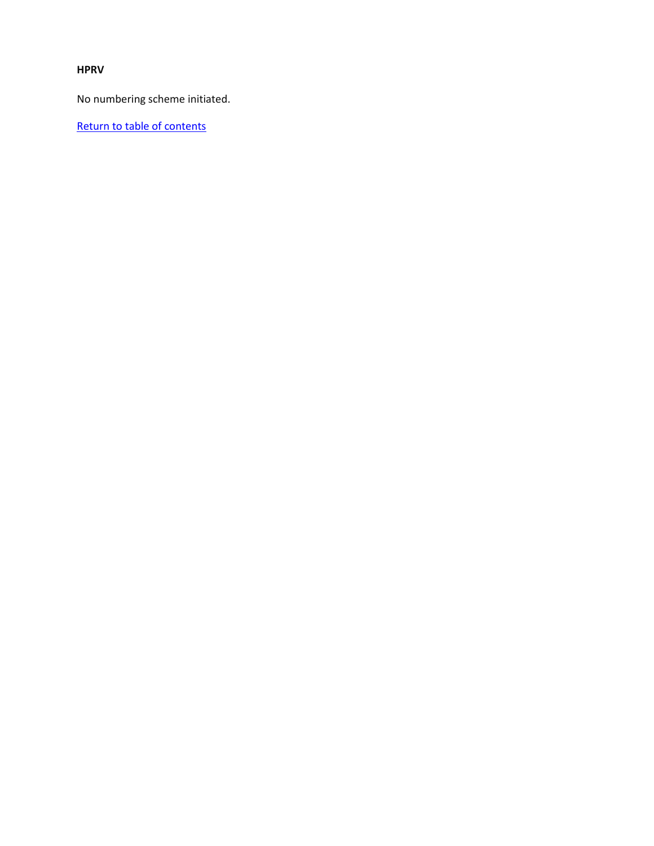#### **HPRV**

No numbering scheme initiated.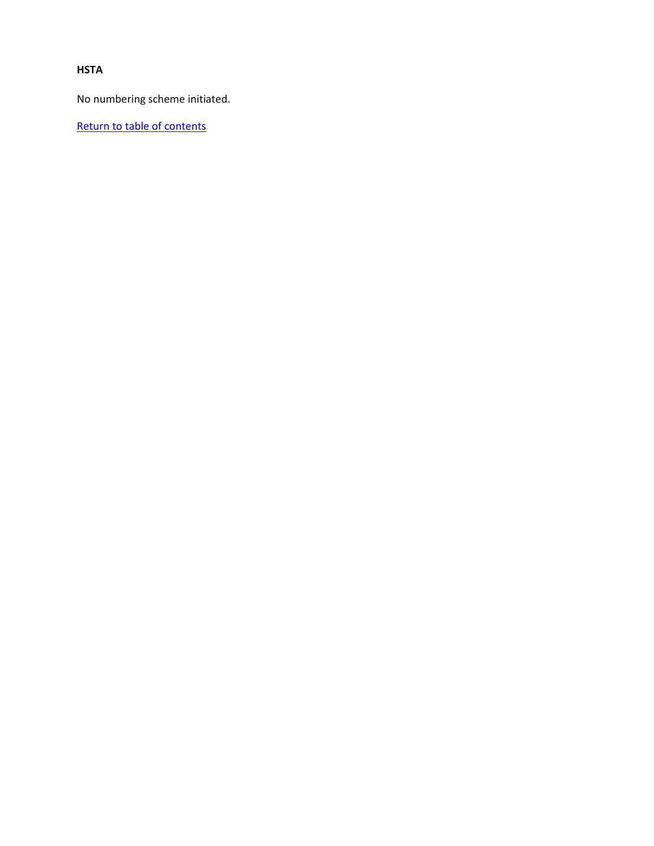## **HSTA**

No numbering scheme initiated.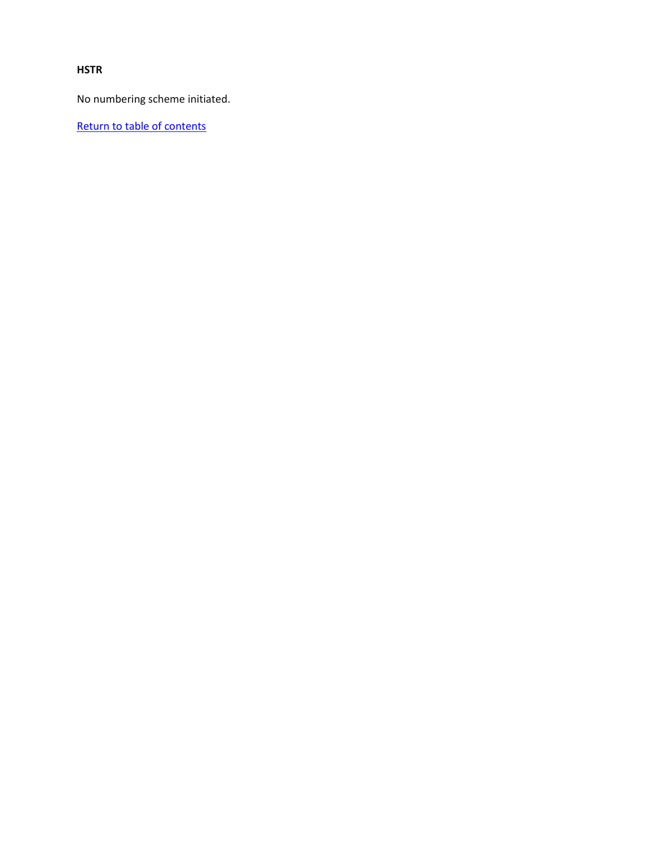## **HSTR**

No numbering scheme initiated.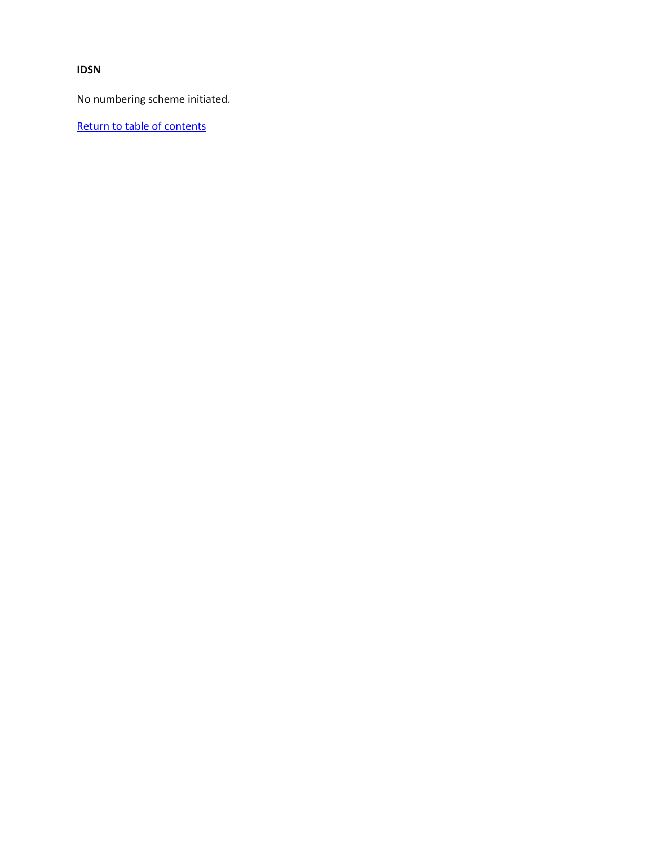**IDSN**

No numbering scheme initiated.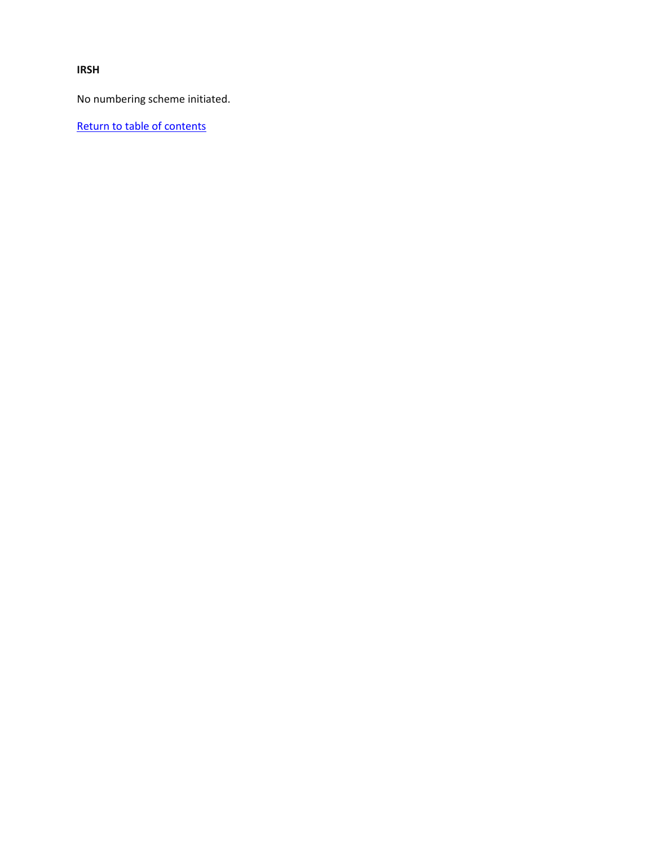**IRSH**

No numbering scheme initiated.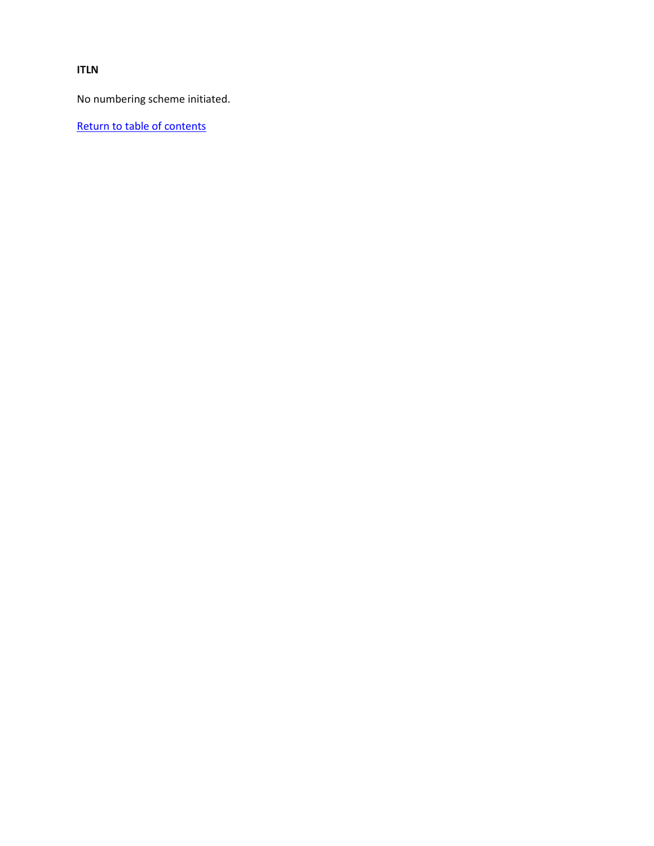**ITLN**

No numbering scheme initiated.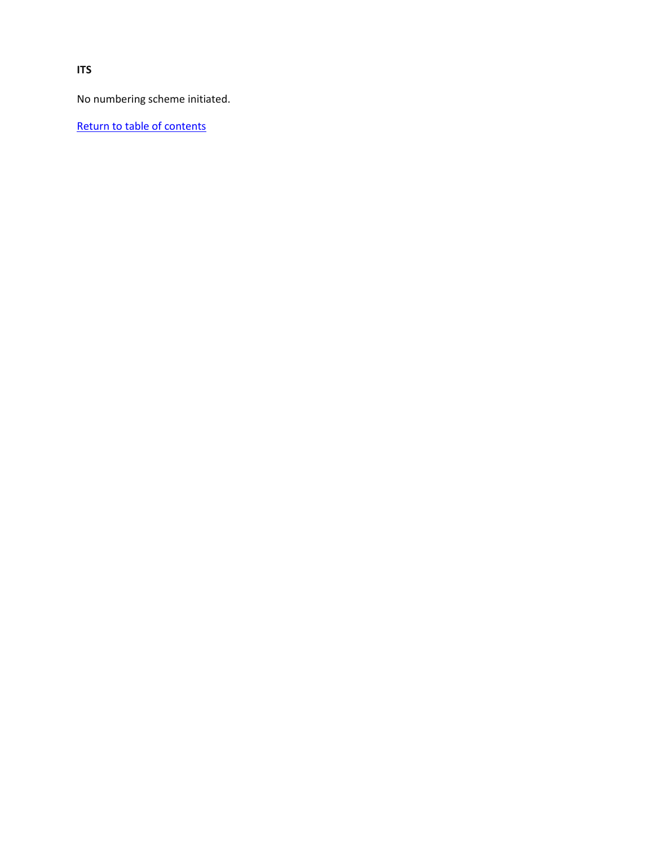No numbering scheme initiated.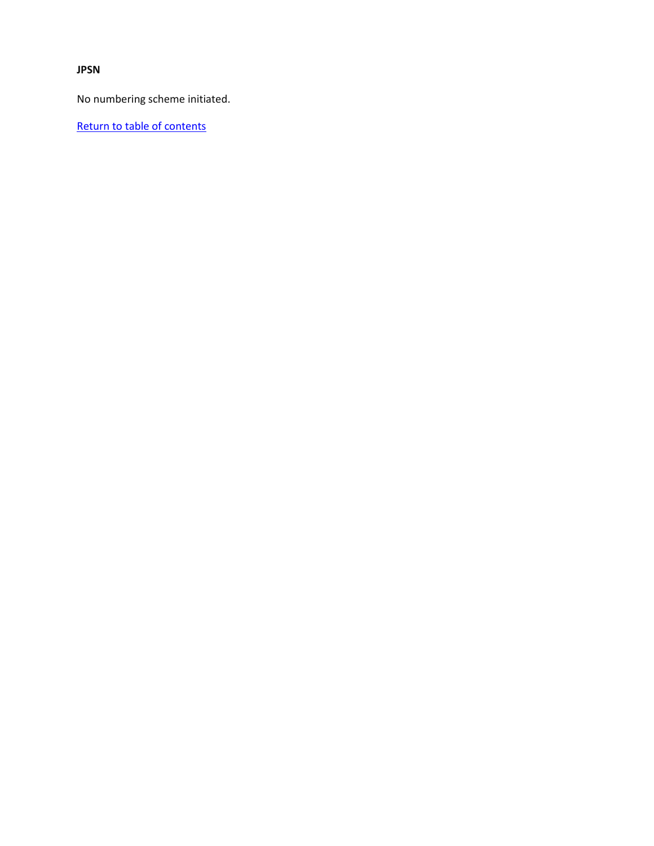**JPSN**

No numbering scheme initiated.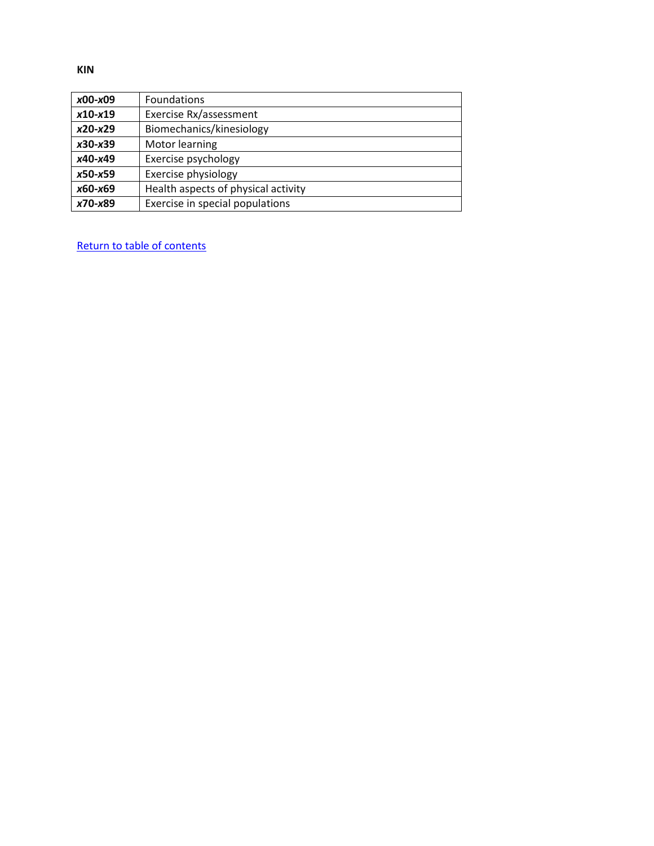| $x00-x09$ | Foundations                         |
|-----------|-------------------------------------|
| $x10-x19$ | Exercise Rx/assessment              |
| $x20-x29$ | Biomechanics/kinesiology            |
| $x30-x39$ | Motor learning                      |
| x40-x49   | Exercise psychology                 |
| x50-x59   | Exercise physiology                 |
| x60-x69   | Health aspects of physical activity |
| x70-x89   | Exercise in special populations     |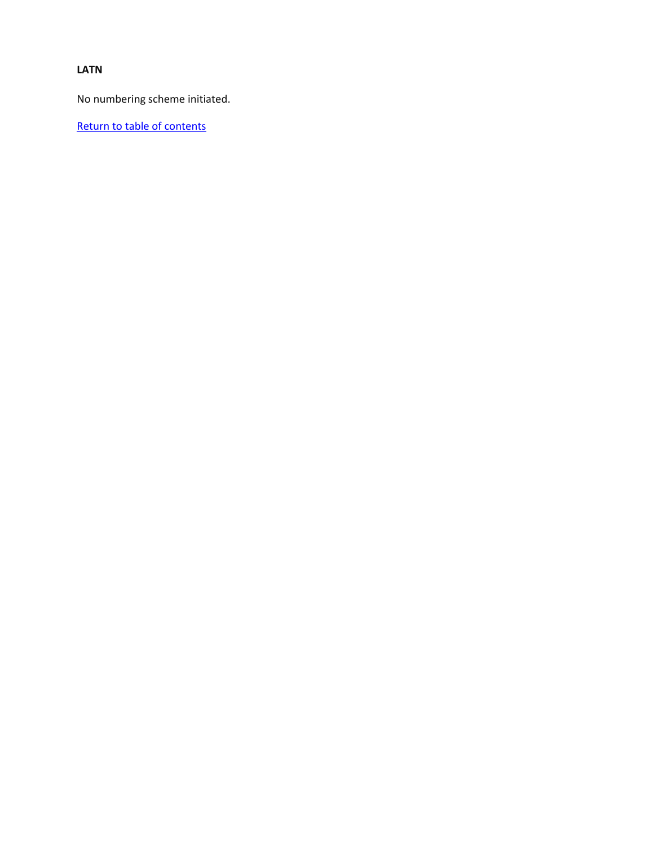## **LATN**

No numbering scheme initiated.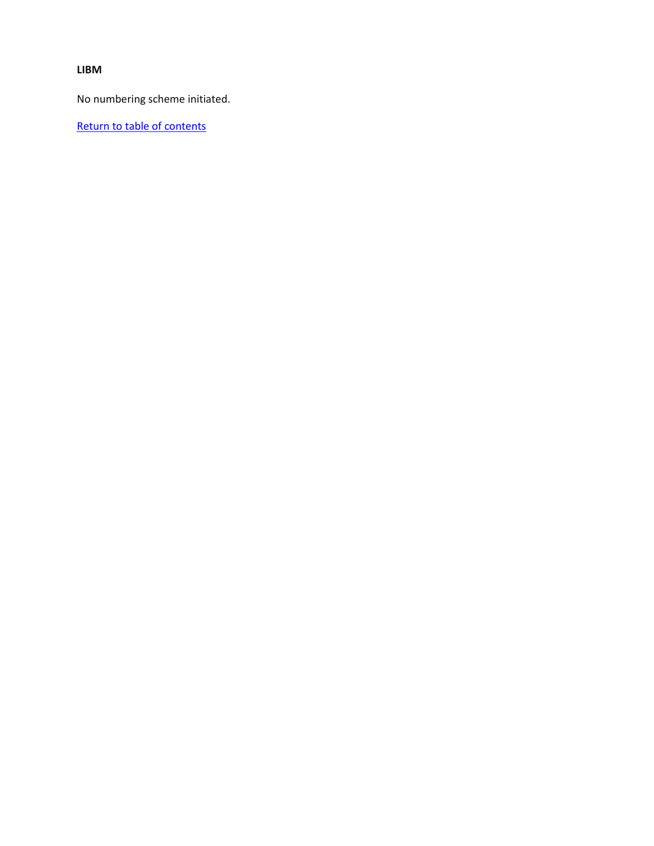**LIBM**

No numbering scheme initiated.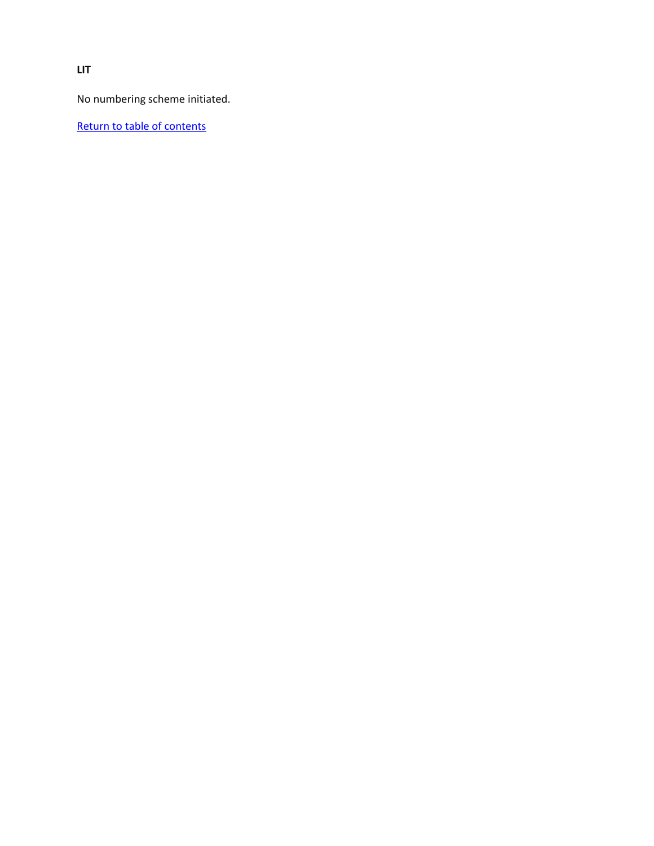**LIT**

No numbering scheme initiated.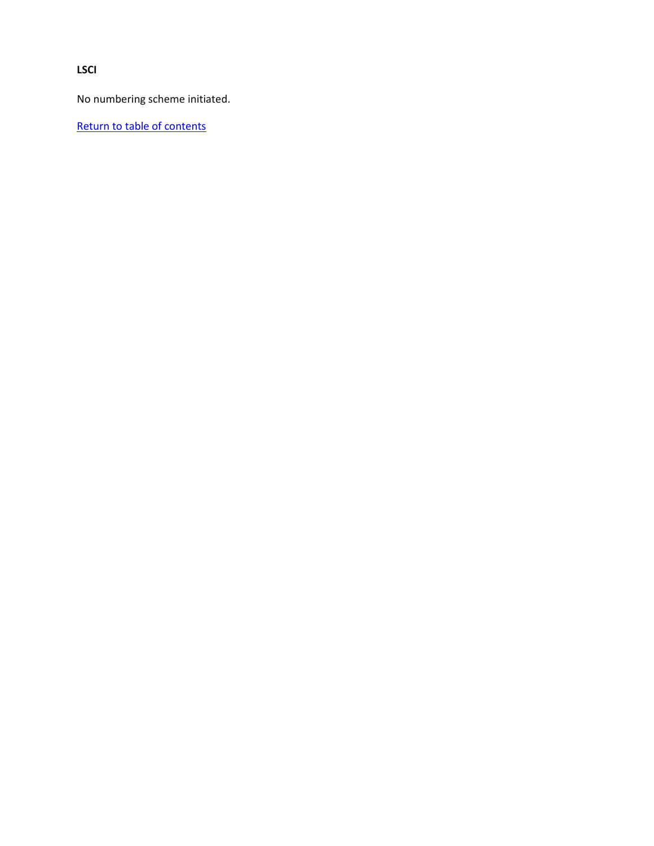**LSCI**

No numbering scheme initiated.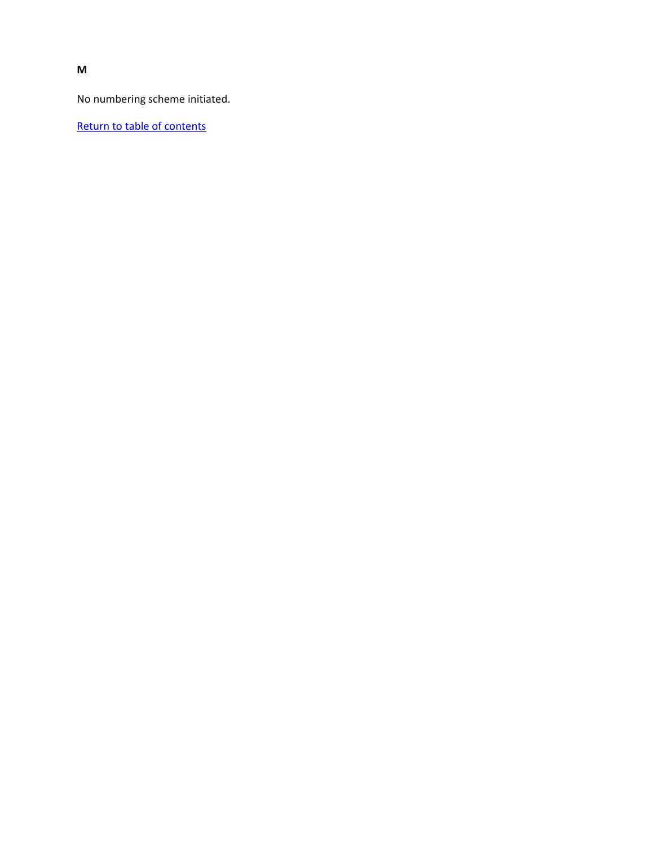**M**

No numbering scheme initiated.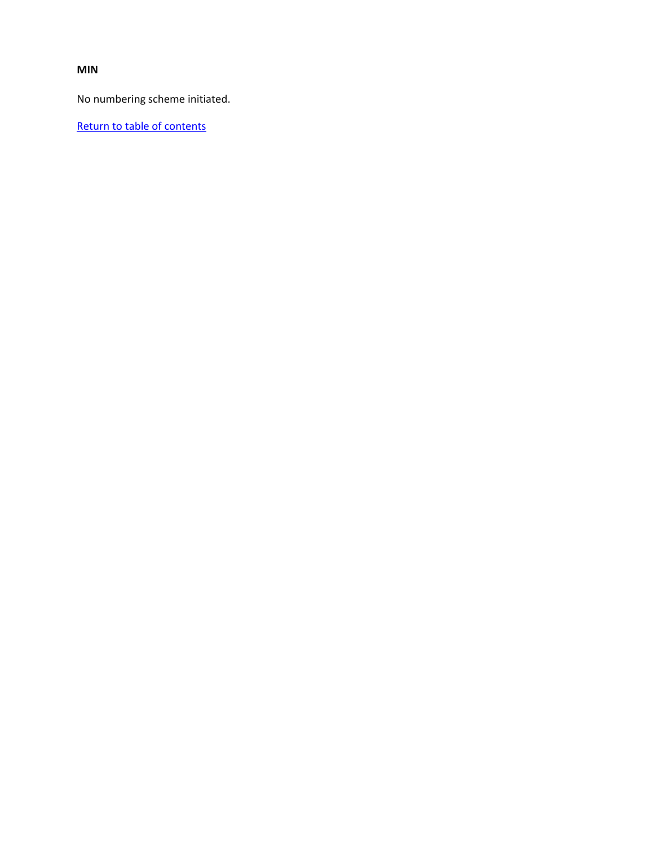**MIN**

No numbering scheme initiated.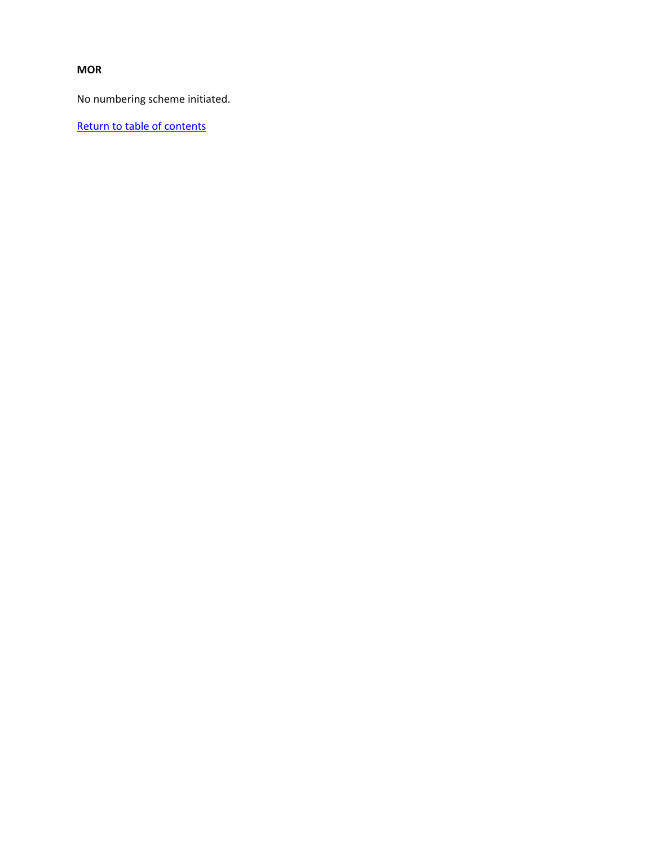#### **MOR**

No numbering scheme initiated.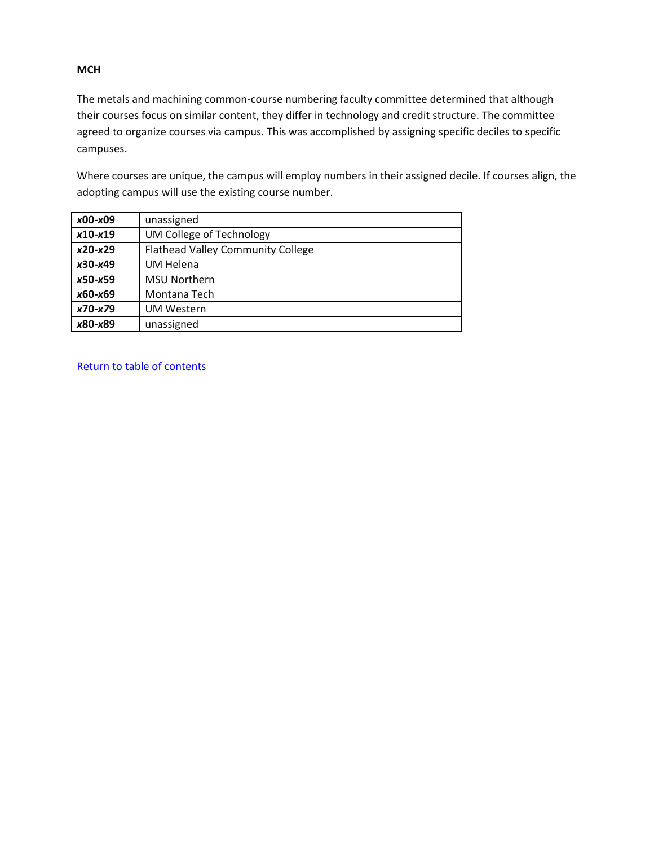#### **MCH**

The metals and machining common-course numbering faculty committee determined that although their courses focus on similar content, they differ in technology and credit structure. The committee agreed to organize courses via campus. This was accomplished by assigning specific deciles to specific campuses.

Where courses are unique, the campus will employ numbers in their assigned decile. If courses align, the adopting campus will use the existing course number.

| x00-x09     | unassigned                               |
|-------------|------------------------------------------|
| $x10-x19$   | UM College of Technology                 |
| $x20-x29$   | <b>Flathead Valley Community College</b> |
| $x30-x49$   | <b>UM Helena</b>                         |
| $x50 - x59$ | <b>MSU Northern</b>                      |
| x60-x69     | Montana Tech                             |
| $x70-x79$   | <b>UM Western</b>                        |
| x80-x89     | unassigned                               |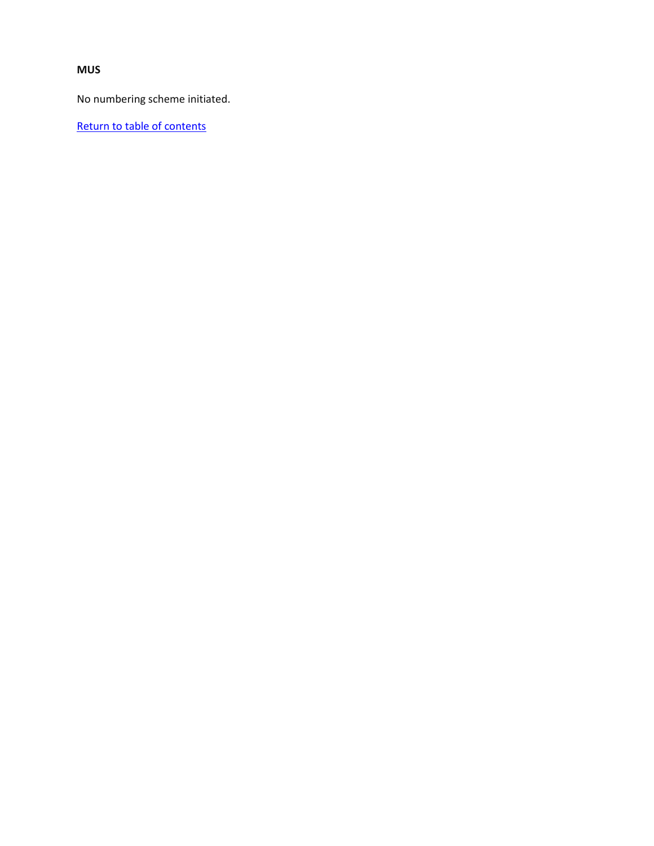**MUS**

No numbering scheme initiated.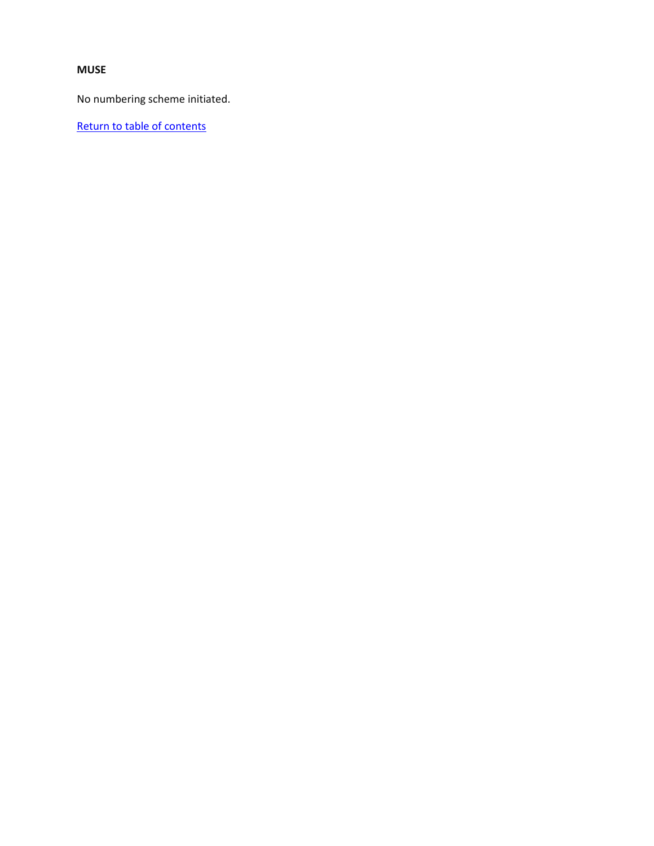#### **MUSE**

No numbering scheme initiated.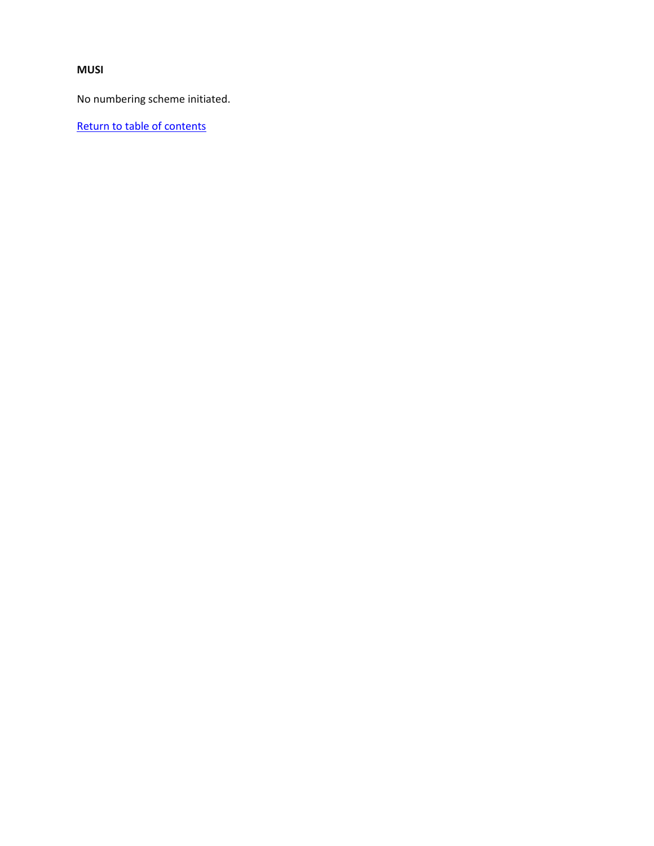#### **MUSI**

No numbering scheme initiated.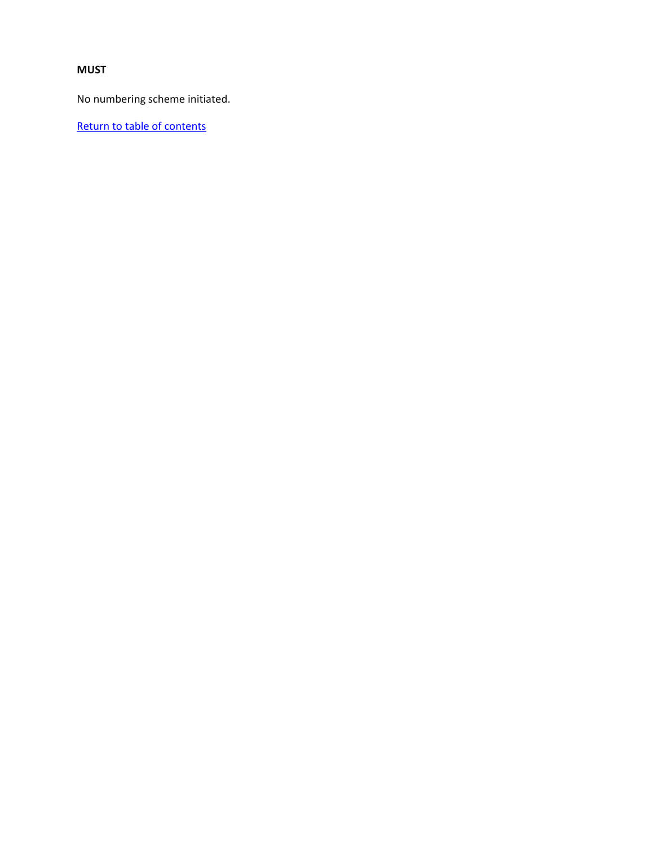#### **MUST**

No numbering scheme initiated.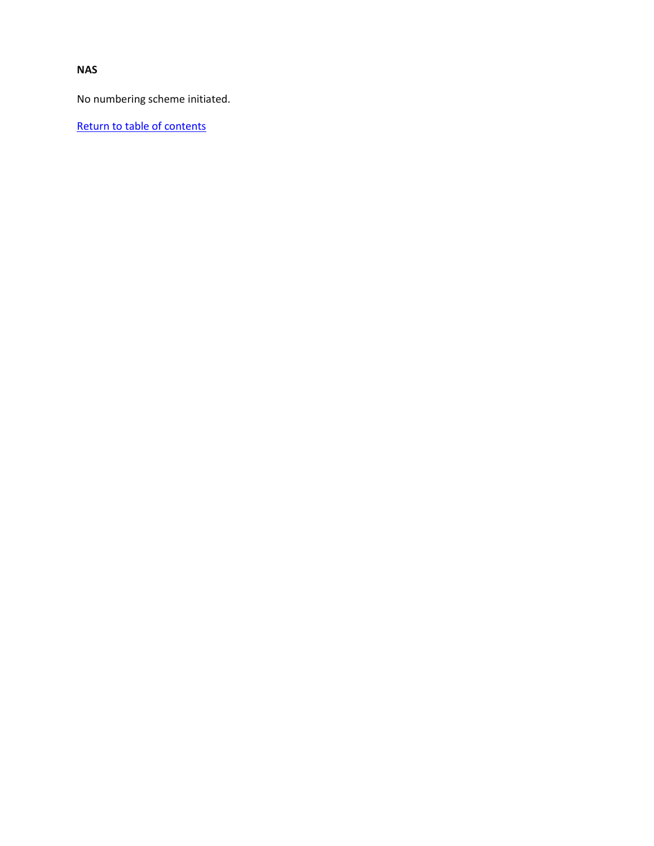**NAS**

No numbering scheme initiated.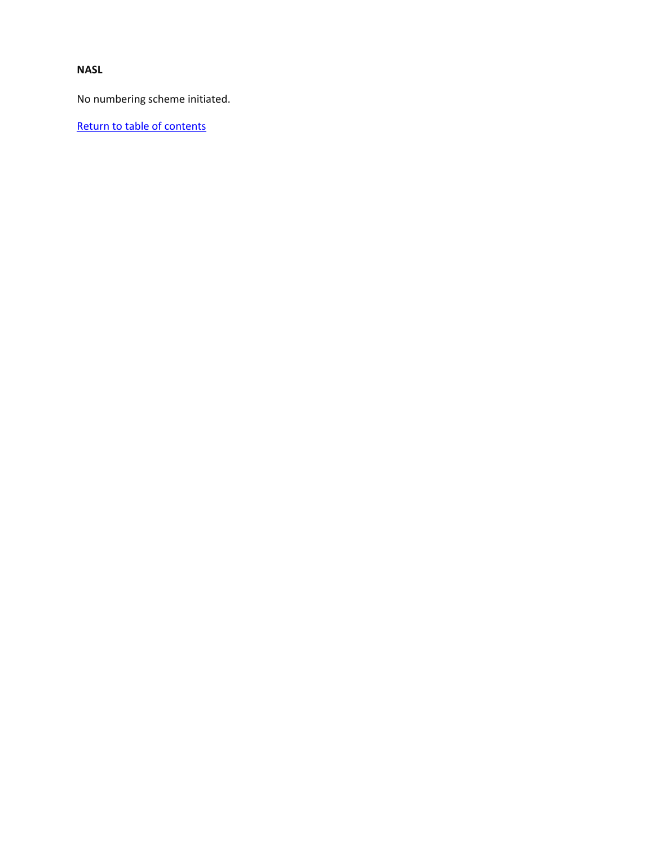## **NASL**

No numbering scheme initiated.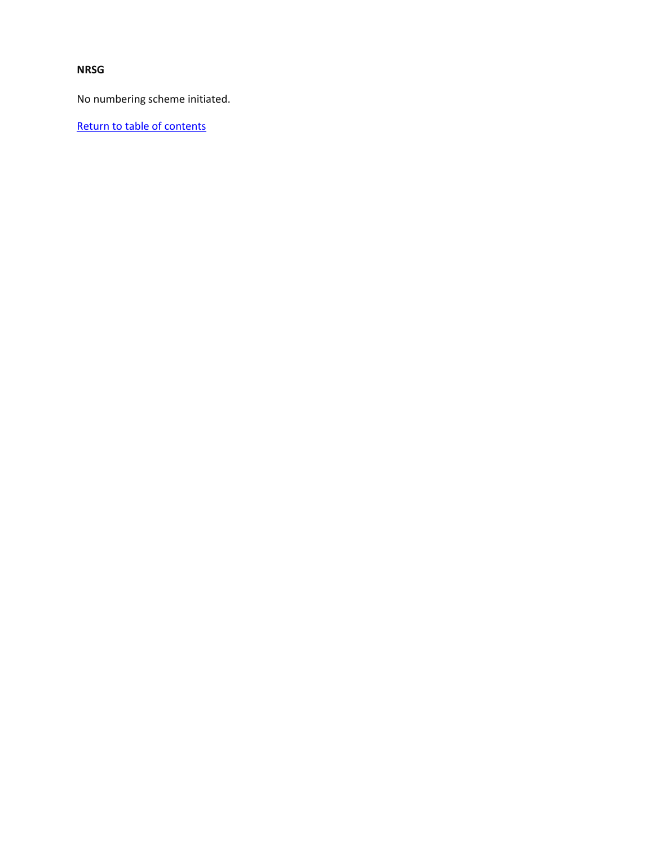## **NRSG**

No numbering scheme initiated.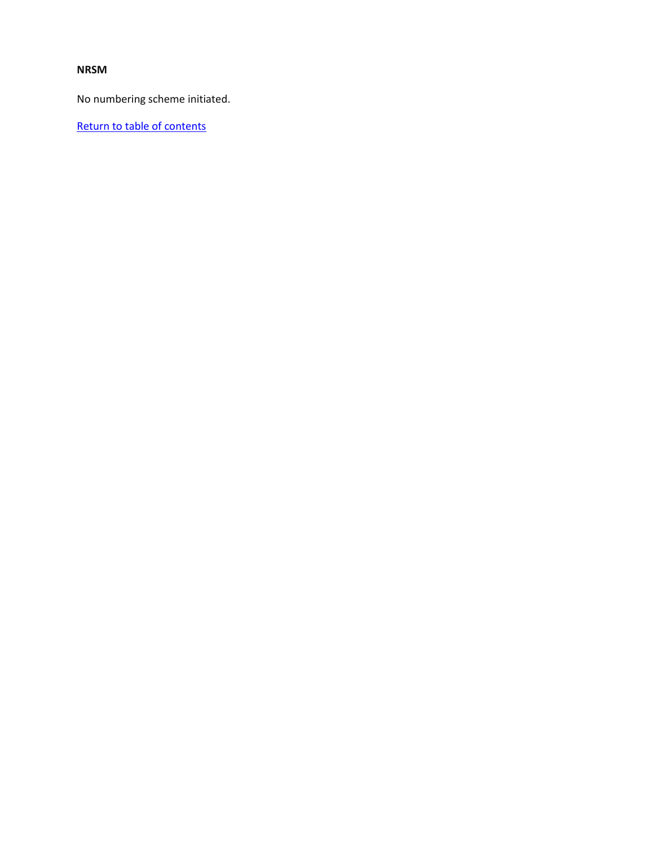### **NRSM**

No numbering scheme initiated.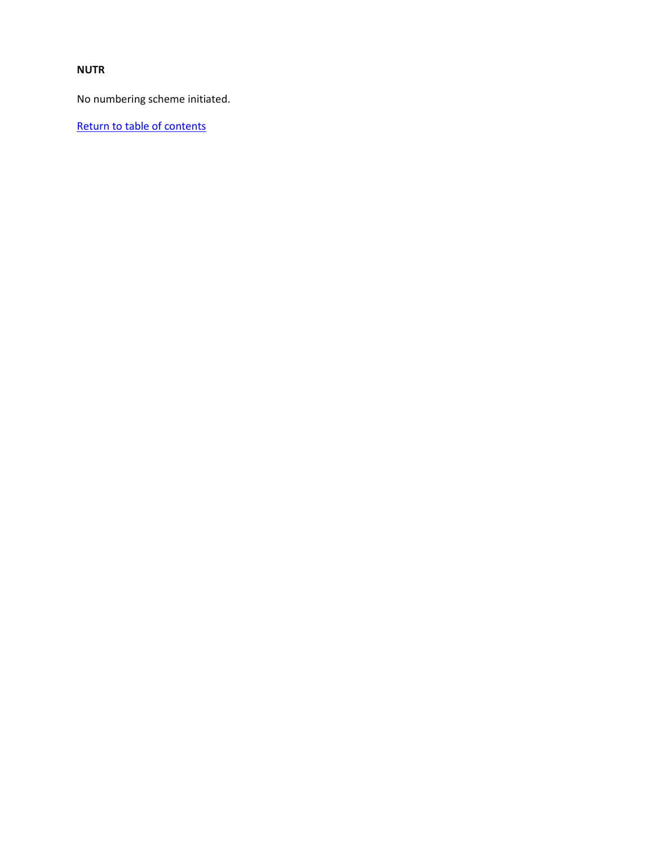# **NUTR**

No numbering scheme initiated.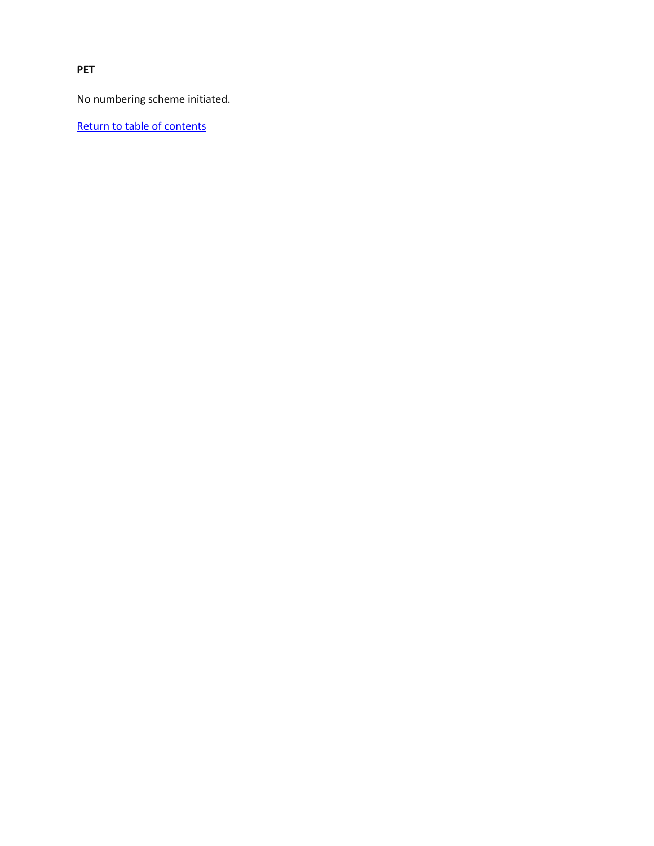**PET**

No numbering scheme initiated.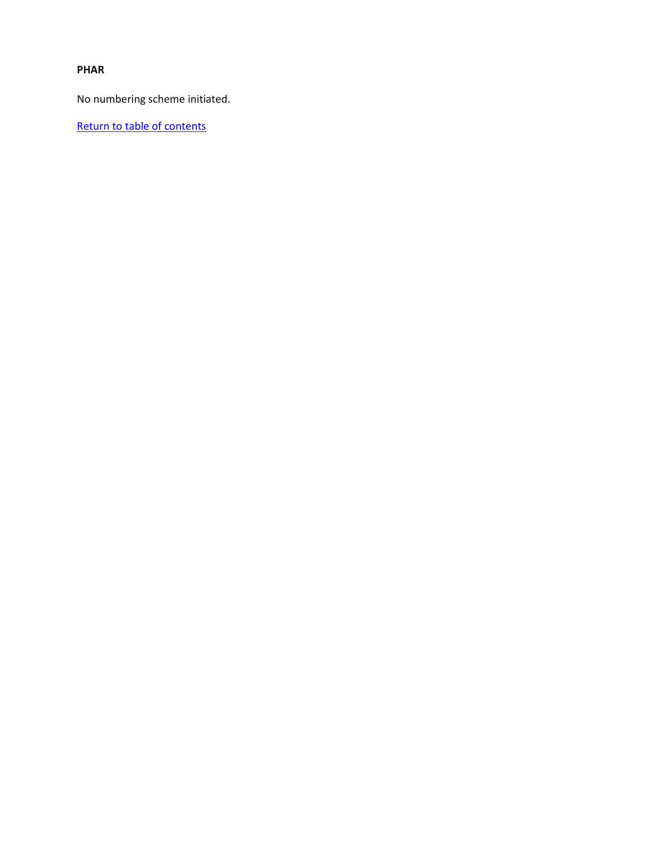### **PHAR**

No numbering scheme initiated.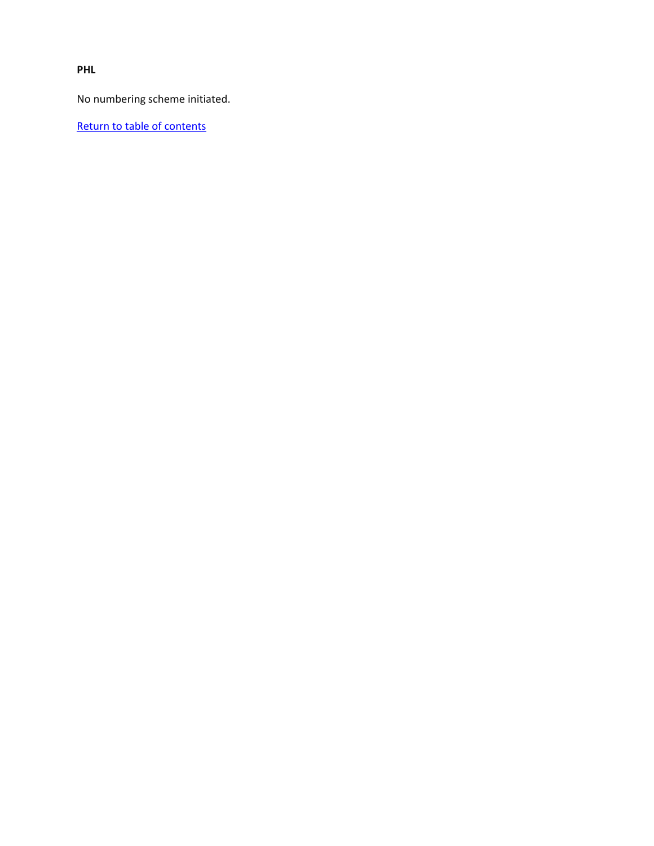**PHL**

No numbering scheme initiated.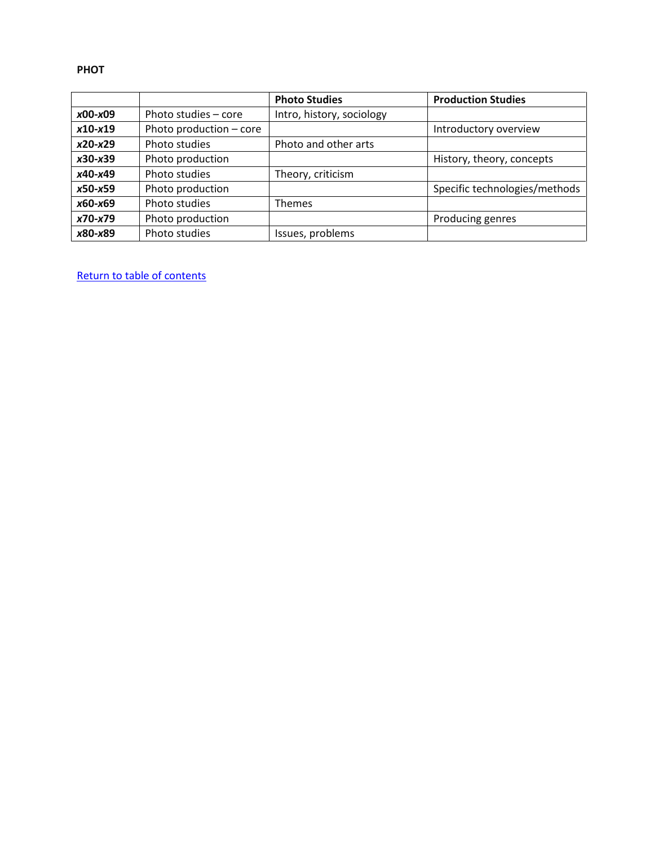#### **PHOT**

|           |                         | <b>Photo Studies</b>      | <b>Production Studies</b>     |
|-----------|-------------------------|---------------------------|-------------------------------|
| $x00-x09$ | Photo studies - core    | Intro, history, sociology |                               |
| $x10-x19$ | Photo production - core |                           | Introductory overview         |
| $x20-x29$ | Photo studies           | Photo and other arts      |                               |
| $x30-x39$ | Photo production        |                           | History, theory, concepts     |
| x40-x49   | Photo studies           | Theory, criticism         |                               |
| $x50-x59$ | Photo production        |                           | Specific technologies/methods |
| x60-x69   | Photo studies           | Themes                    |                               |
| x70-x79   | Photo production        |                           | Producing genres              |
| x80-x89   | Photo studies           | Issues, problems          |                               |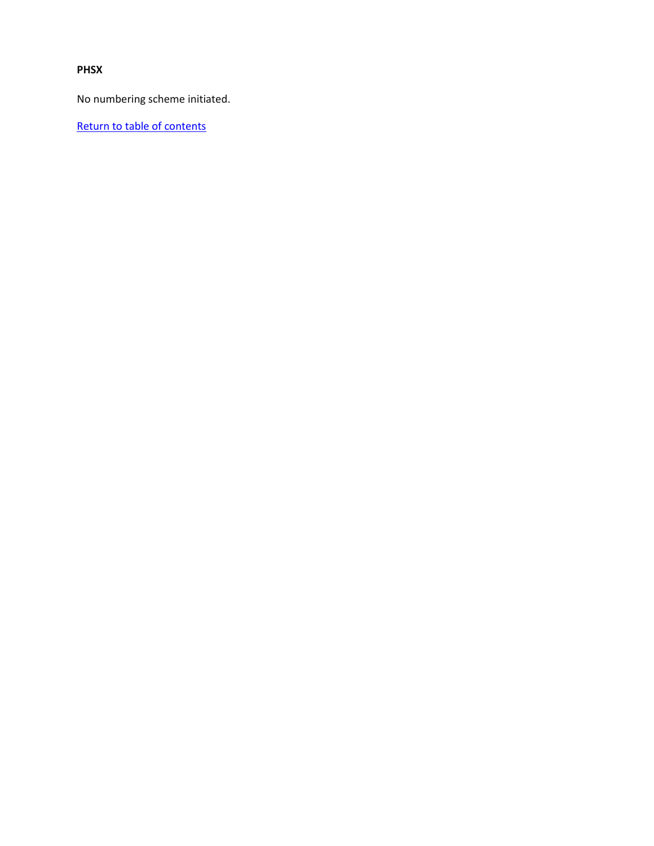## **PHSX**

No numbering scheme initiated.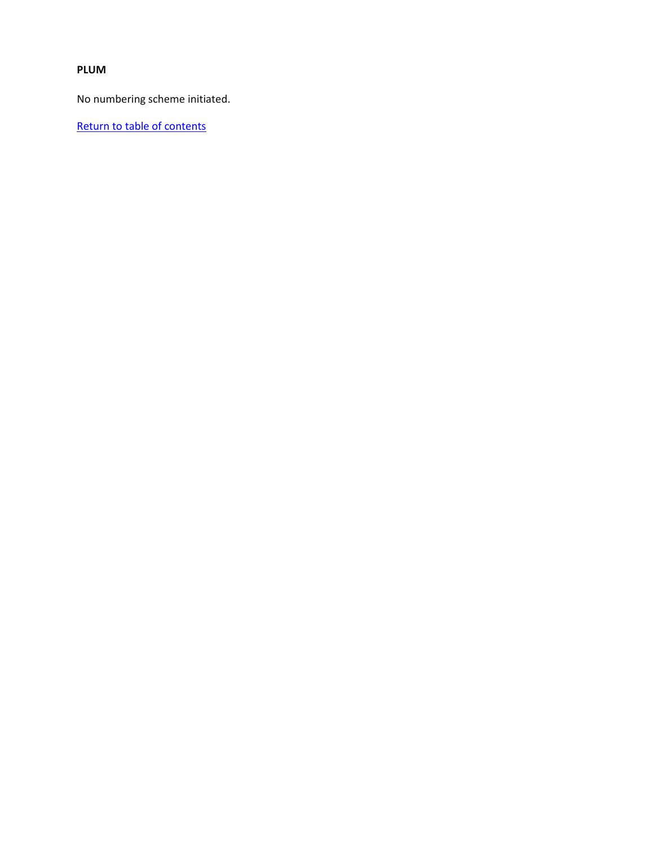# **PLUM**

No numbering scheme initiated.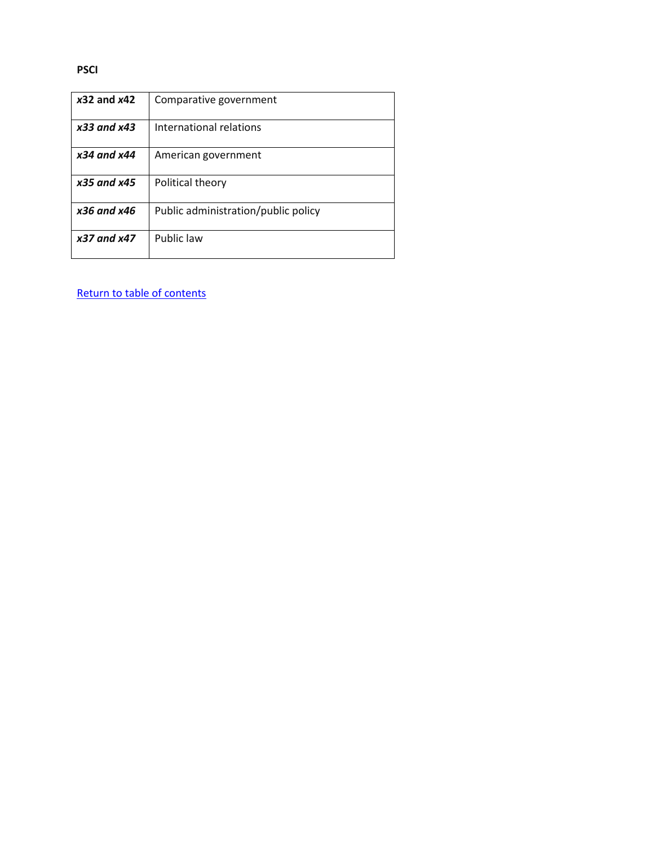#### **PSCI**

| $x32$ and $x42$ | Comparative government              |
|-----------------|-------------------------------------|
| $x33$ and $x43$ | International relations             |
| $x34$ and $x44$ | American government                 |
| $x35$ and $x45$ | Political theory                    |
| $x36$ and $x46$ | Public administration/public policy |
| x37 and x47     | Public law                          |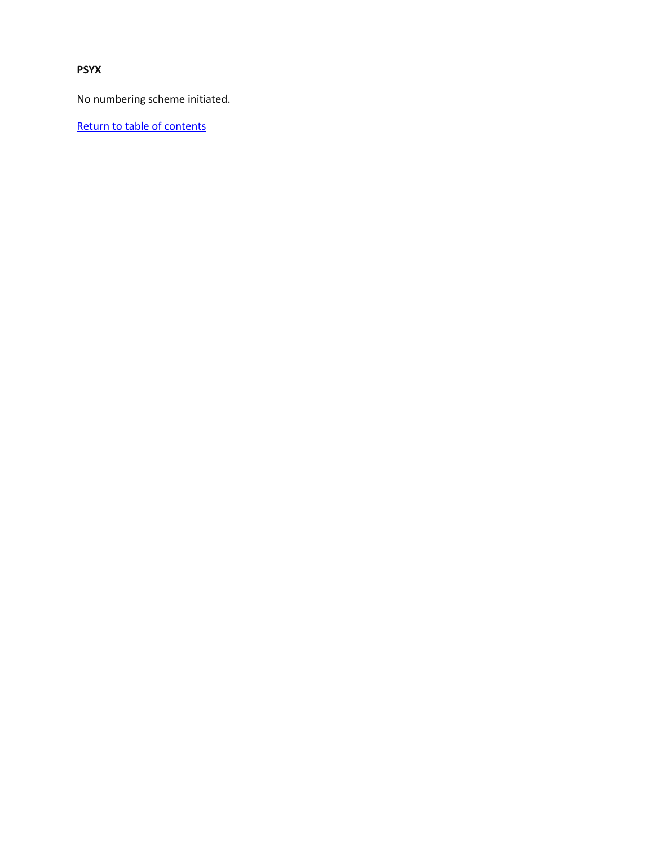**PSYX**

No numbering scheme initiated.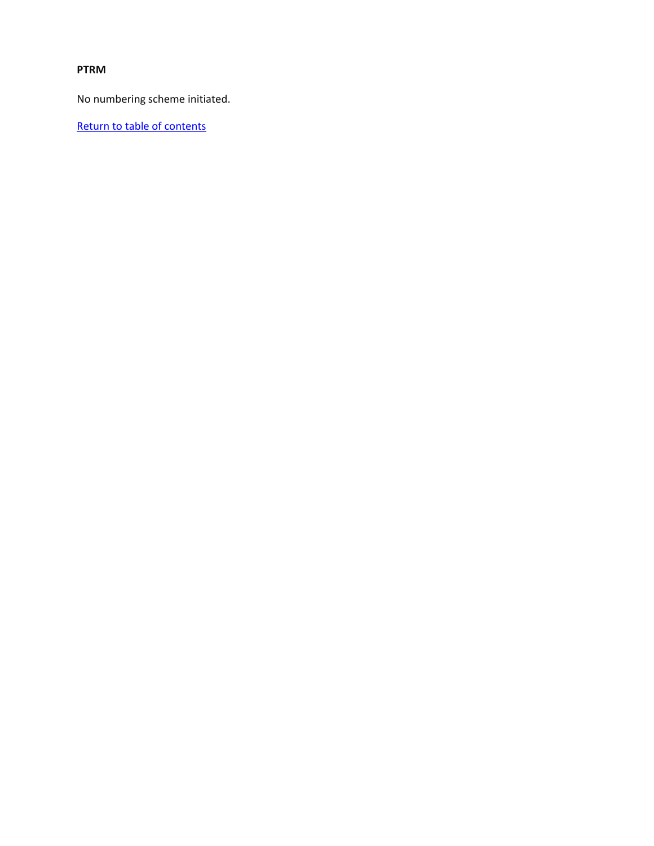## **PTRM**

No numbering scheme initiated.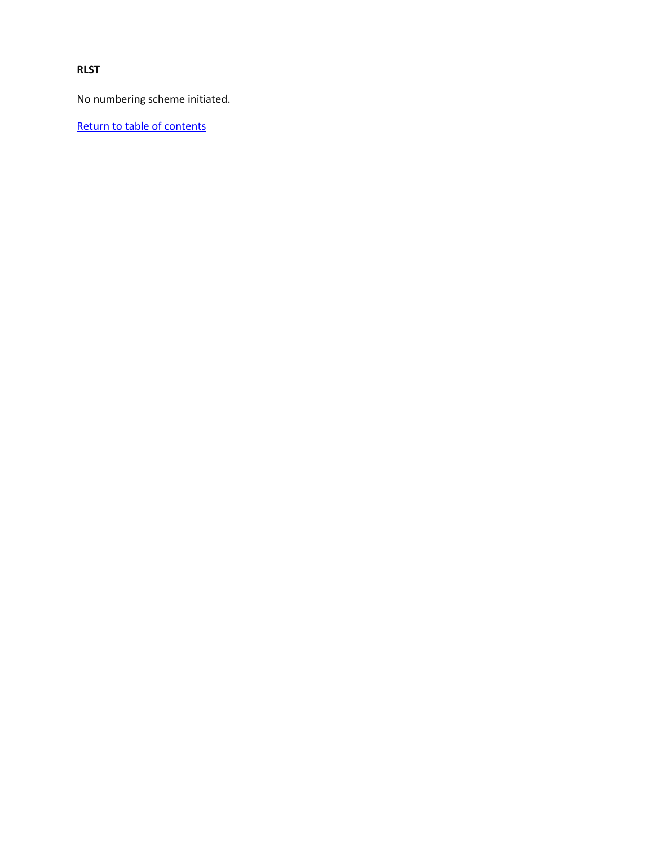**RLST**

No numbering scheme initiated.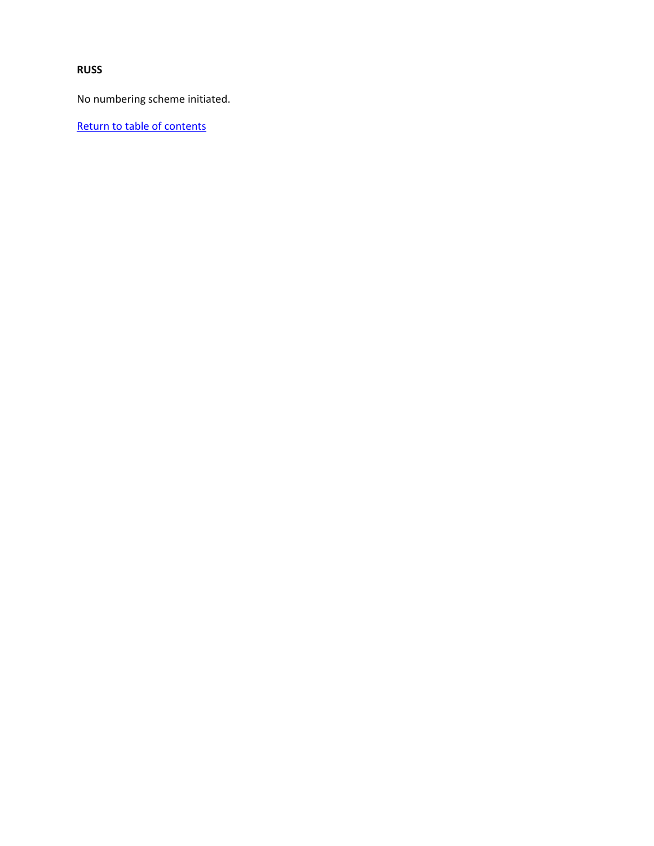**RUSS**

No numbering scheme initiated.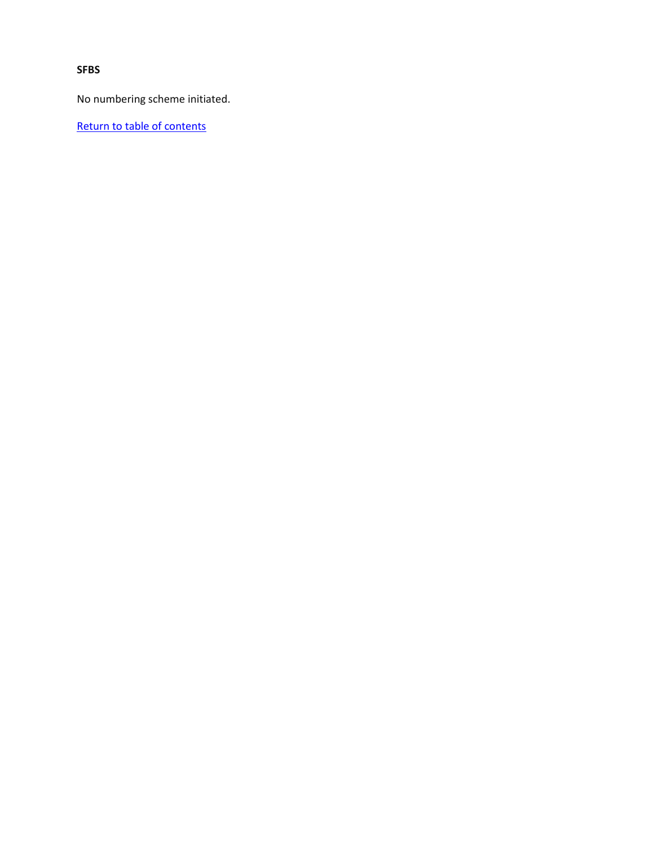**SFBS**

No numbering scheme initiated.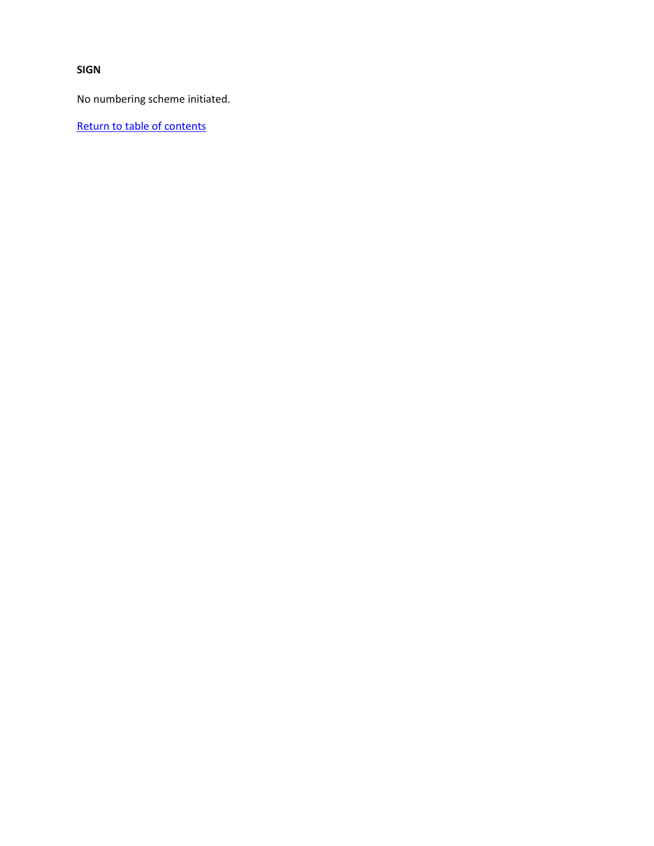**SIGN**

No numbering scheme initiated.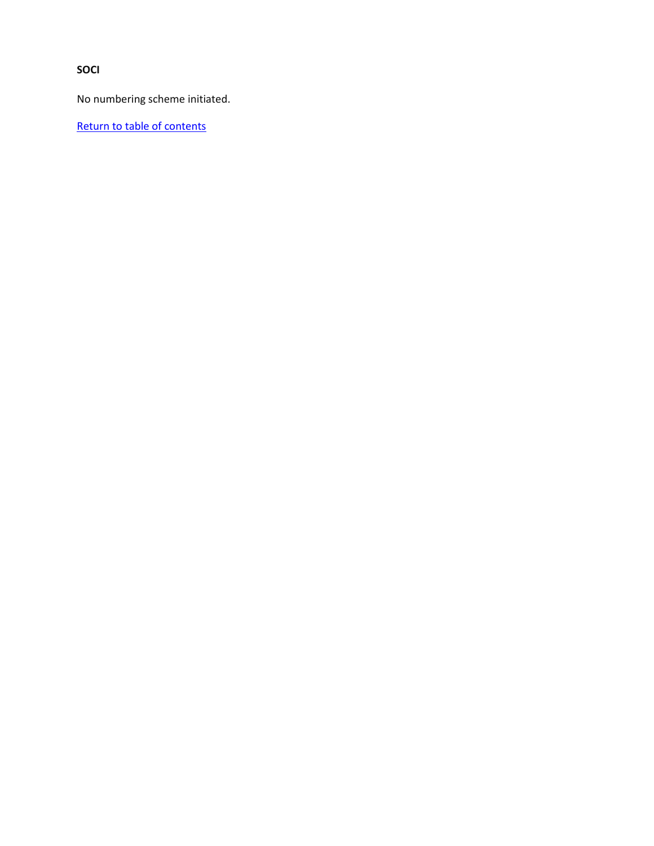**SOCI**

No numbering scheme initiated.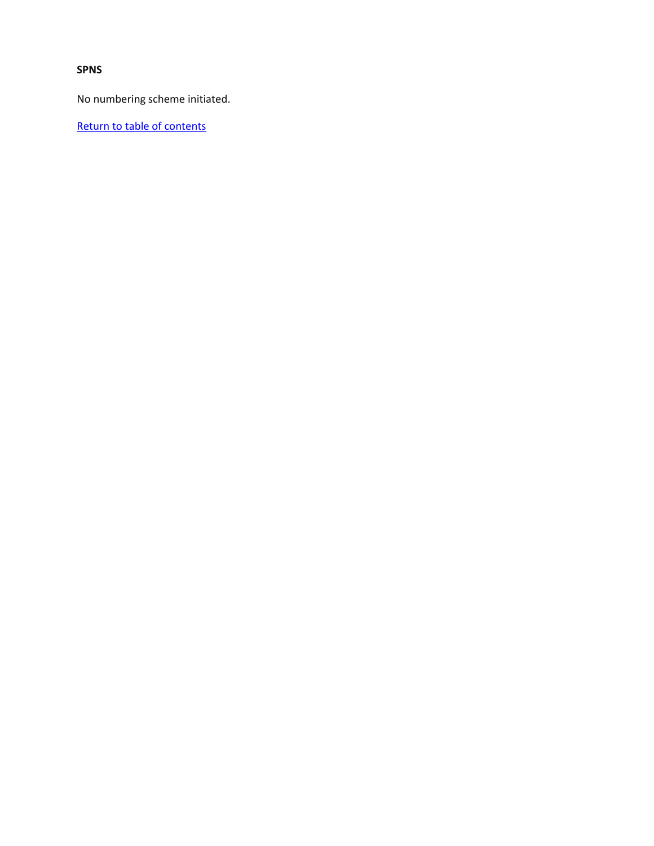**SPNS**

No numbering scheme initiated.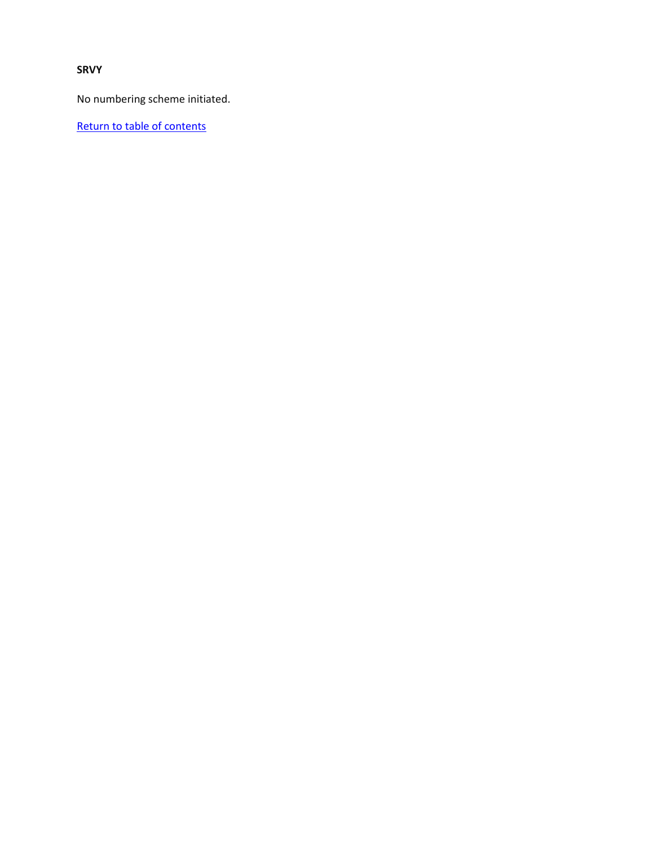**SRVY**

No numbering scheme initiated.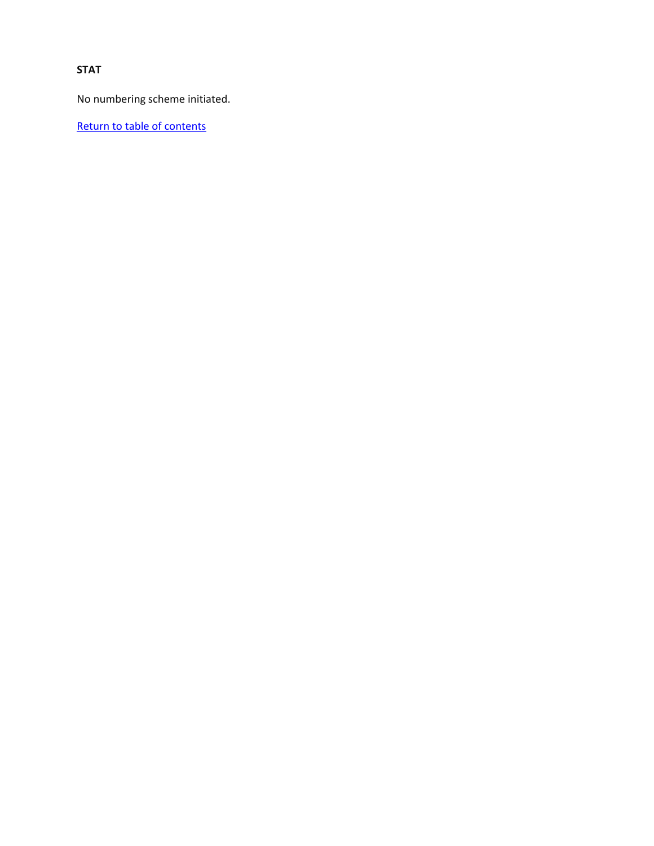# **STAT**

No numbering scheme initiated.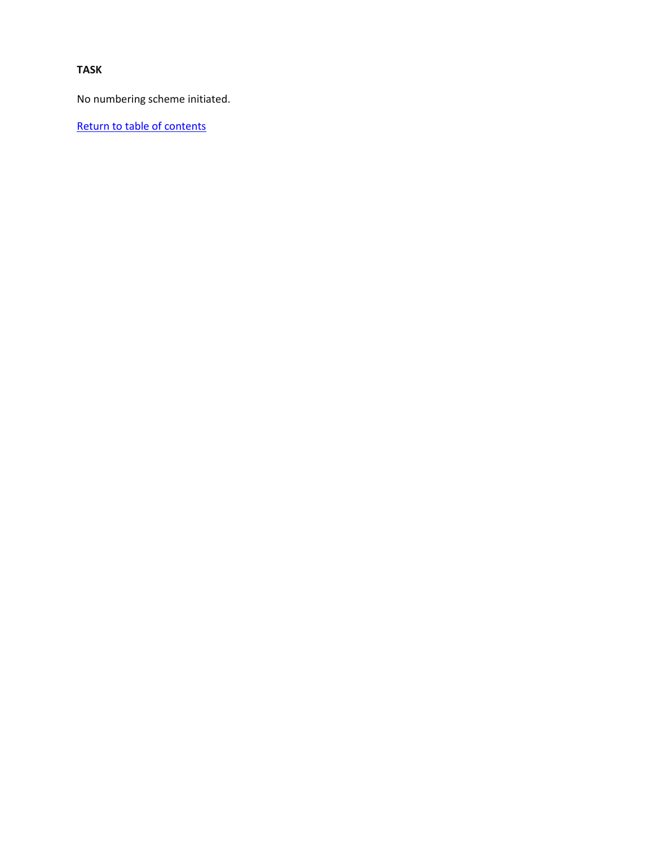# **TASK**

No numbering scheme initiated.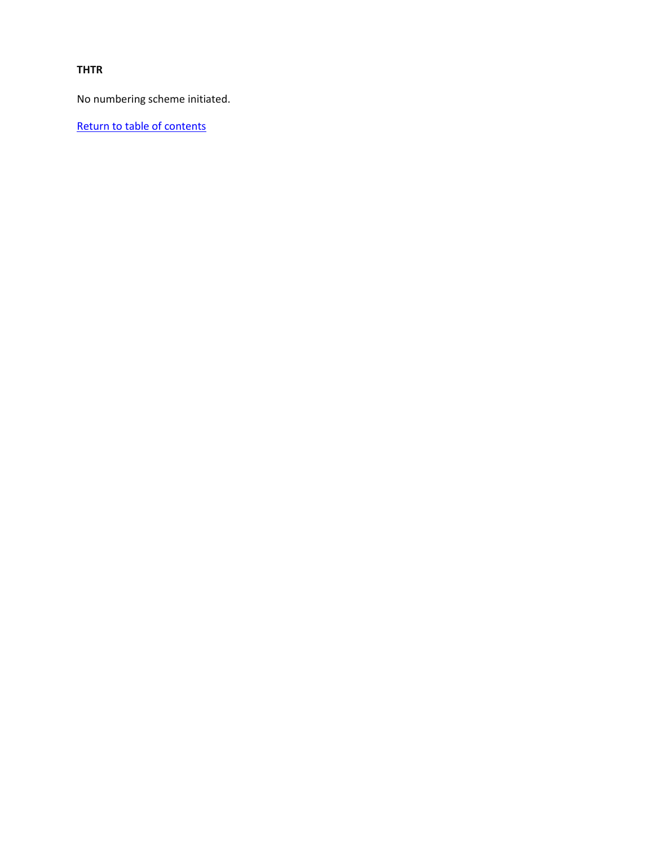### **THTR**

No numbering scheme initiated.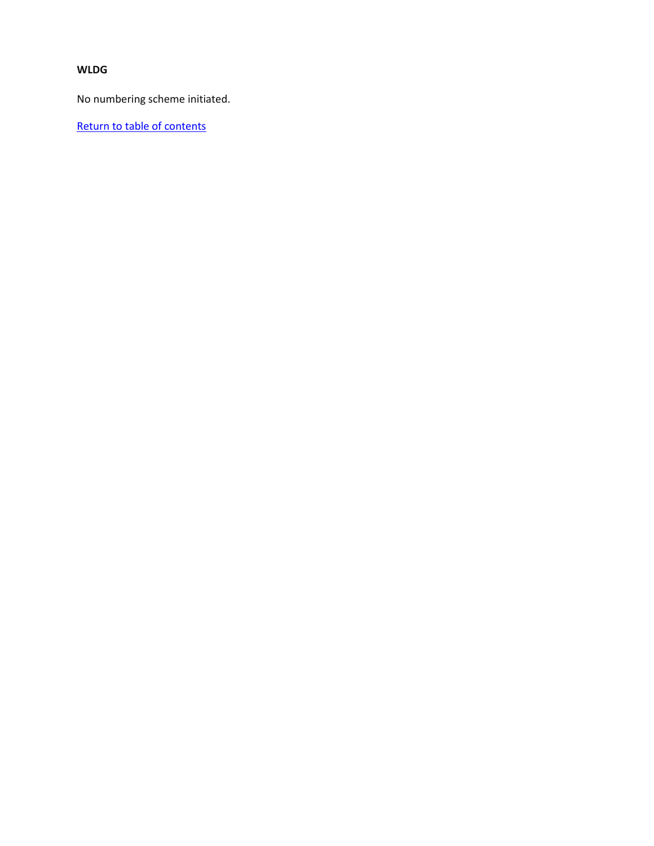# **WLDG**

No numbering scheme initiated.